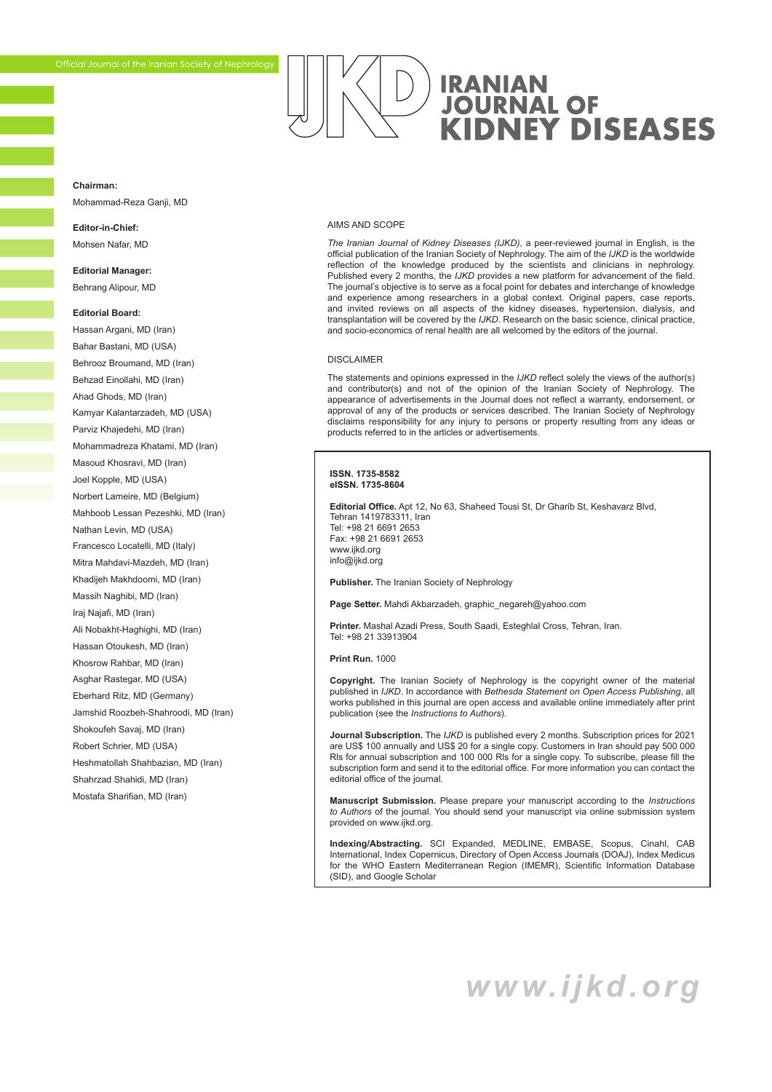# **IRANIAN JOURNAL OF KIDNEY DISEASES**

#### <span id="page-1-0"></span>**Chairman:**

Mohammad-Reza Ganji, MD

#### **Editor-in-Chief:**  Mohsen Nafar, MD

**Editorial Manager:**  Behrang Alipour, MD

#### **Editorial Board:**

Hassan Argani, MD (Iran) Bahar Bastani, MD (USA) Behrooz Broumand, MD (Iran) Behzad Einollahi, MD (Iran) Ahad Ghods, MD (Iran) Kamyar Kalantarzadeh, MD (USA) Parviz Khajedehi, MD (Iran) Mohammadreza Khatami, MD (Iran) Masoud Khosravi, MD (Iran) Joel Kopple, MD (USA) Norbert Lameire, MD (Belgium) Mahboob Lessan Pezeshki, MD (Iran) Nathan Levin, MD (USA) Francesco Locatelli, MD (Italy) Mitra Mahdavi-Mazdeh, MD (Iran) Khadijeh Makhdoomi, MD (Iran) Massih Naghibi, MD (Iran) Iraj Najafi, MD (Iran) Ali Nobakht-Haghighi, MD (Iran) Hassan Otoukesh, MD (Iran) Khosrow Rahbar, MD (Iran) Asghar Rastegar, MD (USA) Eberhard Ritz, MD (Germany) Jamshid Roozbeh-Shahroodi, MD (Iran) Shokoufeh Savaj, MD (Iran) Robert Schrier, MD (USA) Heshmatollah Shahbazian, MD (Iran) Shahrzad Shahidi, MD (Iran) Mostafa Sharifian, MD (Iran)

#### AIMS AND SCOPE

*The Iranian Journal of Kidney Diseases (IJKD)*, a peer-reviewed journal in English, is the official publication of the Iranian Society of Nephrology. The aim of the *IJKD* is the worldwide reflection of the knowledge produced by the scientists and clinicians in nephrology. Published every 2 months, the *IJKD* provides a new platform for advancement of the field. The journal's objective is to serve as a focal point for debates and interchange of knowledge and experience among researchers in a global context. Original papers, case reports, and invited reviews on all aspects of the kidney diseases, hypertension, dialysis, and transplantation will be covered by the *IJKD*. Research on the basic science, clinical practice, and socio-economics of renal health are all welcomed by the editors of the journal.

#### DISCLAIMER

The statements and opinions expressed in the *IJKD* reflect solely the views of the author(s) and contributor(s) and not of the opinion of the Iranian Society of Nephrology. The appearance of advertisements in the Journal does not reflect a warranty, endorsement, or approval of any of the products or services described. The Iranian Society of Nephrology disclaims responsibility for any injury to persons or property resulting from any ideas or products referred to in the articles or advertisements.

#### **ISSN. 1735-8582 eISSN. 1735-8604**

**Editorial Office.** Apt 12, No 63, Shaheed Tousi St, Dr Gharib St, Keshavarz Blvd, Tehran 1419783311, Iran Tel: +98 21 6691 2653 Fax: +98 21 6691 2653 www.ijkd.org info@ijkd.org

**Publisher.** The Iranian Society of Nephrology

**Page Setter.** Mahdi Akbarzadeh, graphic\_negareh@yahoo.com

**Printer.** Mashal Azadi Press, South Saadi, Esteghlal Cross, Tehran, Iran. Tel: +98 21 33913904

**Print Run.** 1000

**Copyright.** The Iranian Society of Nephrology is the copyright owner of the material published in *IJKD*. In accordance with *Bethesda Statement on Open Access Publishing*, all works published in this journal are open access and available online immediately after print publication (see the *Instructions to Authors*).

**Journal Subscription.** The *IJKD* is published every 2 months. Subscription prices for 2021 are US\$ 100 annually and US\$ 20 for a single copy. Customers in Iran should pay 500 000 Rls for annual subscription and 100 000 Rls for a single copy. To subscribe, please fill the subscription form and send it to the editorial office. For more information you can contact the editorial office of the journal.

**Manuscript Submission.** Please prepare your manuscript according to the *Instructions to Authors* of the journal. You should send your manuscript via online submission system provided on www.ijkd.org.

**Indexing/Abstracting.** SCI Expanded, MEDLINE, EMBASE, Scopus, Cinahl, CAB International, Index Copernicus, Directory of Open Access Journals (DOAJ), Index Medicus for the WHO Eastern Mediterranean Region (IMEMR), Scientific Information Database (SID), and Google Scholar

*www.ijkd.org*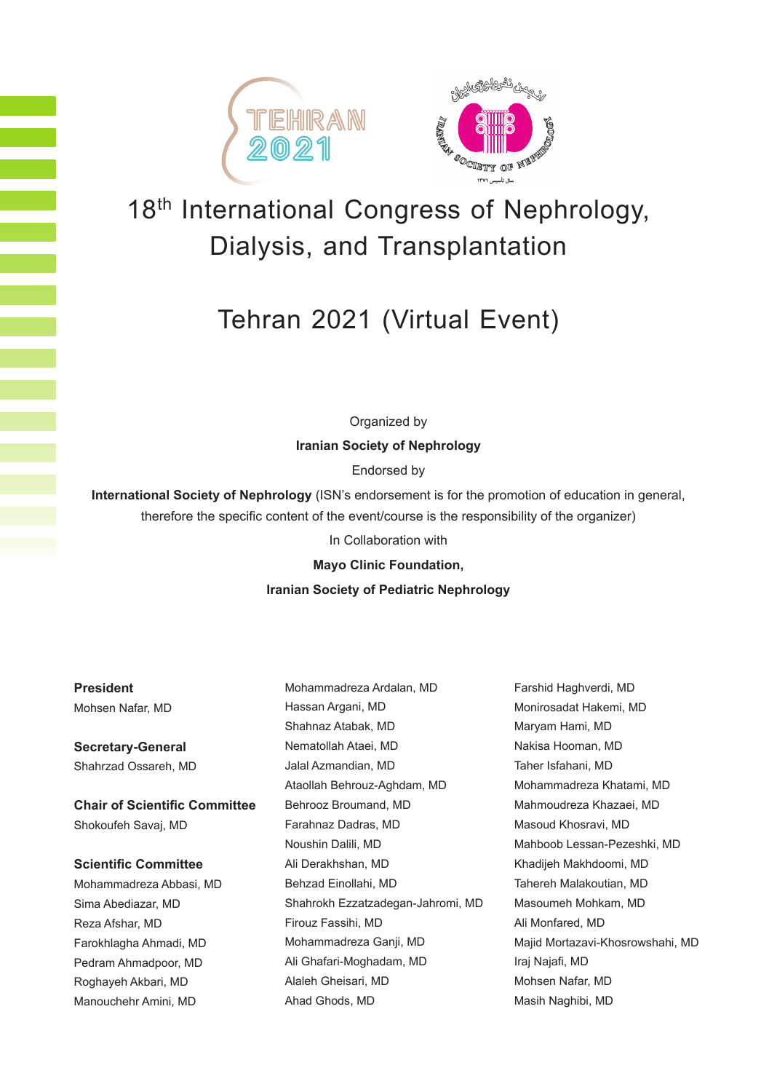



# 18<sup>th</sup> International Congress of Nephrology, Dialysis, and Transplantation

# Tehran 2021 (Virtual Event)

Organized by

**Iranian Society of Nephrology** 

Endorsed by

**International Society of Nephrology** (ISN's endorsement is for the promotion of education in general, therefore the specific content of the event/course is the responsibility of the organizer)

In Collaboration with

**Mayo Clinic Foundation,**

#### **Iranian Society of Pediatric Nephrology**

**President** Mohsen Nafar, MD

**Secretary-General** Shahrzad Ossareh, MD

**Chair of Scientific Committee** Shokoufeh Savaj, MD

**Scientific Committee**

Mohammadreza Abbasi, MD Sima Abediazar, MD Reza Afshar, MD Farokhlagha Ahmadi, MD Pedram Ahmadpoor, MD Roghayeh Akbari, MD Manouchehr Amini, MD

Mohammadreza Ardalan, MD Hassan Argani, MD Shahnaz Atabak, MD Nematollah Ataei, MD Jalal Azmandian, MD Ataollah Behrouz-Aghdam, MD Behrooz Broumand, MD Farahnaz Dadras, MD Noushin Dalili, MD Ali Derakhshan, MD Behzad Einollahi, MD Shahrokh Ezzatzadegan-Jahromi, MD Firouz Fassihi, MD Mohammadreza Ganji, MD Ali Ghafari-Moghadam, MD Alaleh Gheisari, MD Ahad Ghods, MD

Farshid Haghverdi, MD Monirosadat Hakemi, MD Maryam Hami, MD Nakisa Hooman, MD Taher Isfahani, MD Mohammadreza Khatami, MD Mahmoudreza Khazaei, MD Masoud Khosravi, MD Mahboob Lessan-Pezeshki, MD Khadijeh Makhdoomi, MD Tahereh Malakoutian, MD Masoumeh Mohkam, MD Ali Monfared, MD Majid Mortazavi-Khosrowshahi, MD Iraj Najafi, MD Mohsen Nafar, MD Masih Naghibi, MD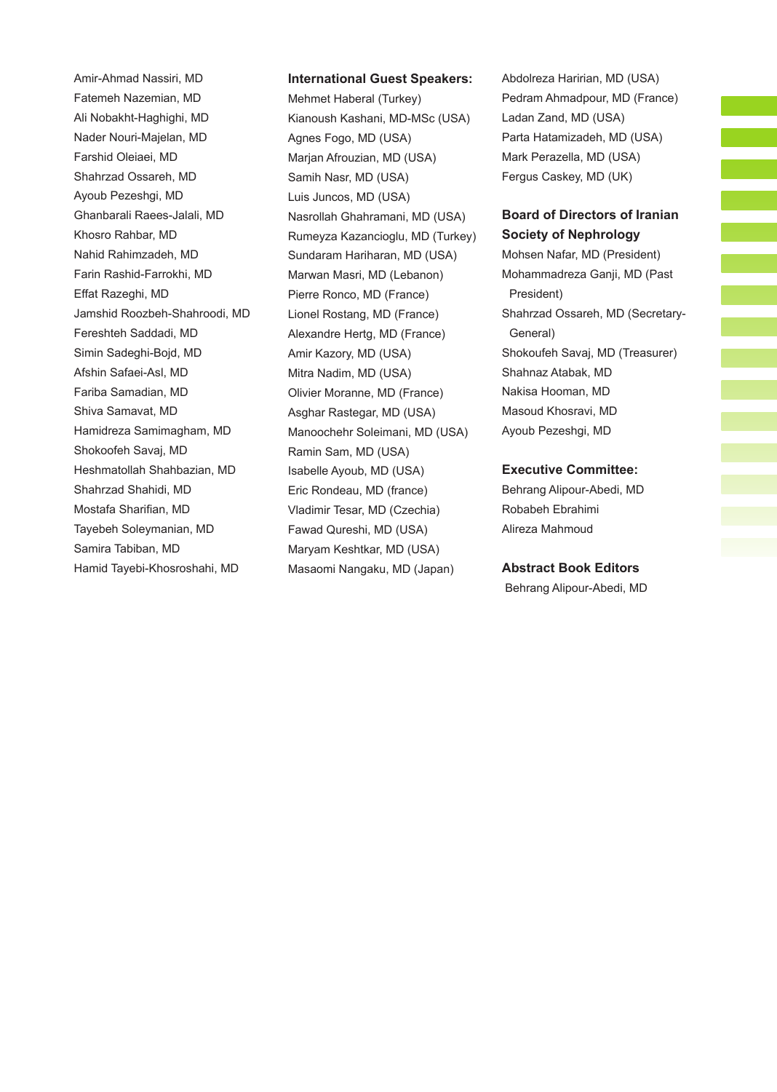Amir-Ahmad Nassiri, MD Fatemeh Nazemian, MD Ali Nobakht-Haghighi, MD Nader Nouri-Majelan, MD Farshid Oleiaei, MD Shahrzad Ossareh, MD Ayoub Pezeshgi, MD Ghanbarali Raees-Jalali, MD Khosro Rahbar, MD Nahid Rahimzadeh, MD Farin Rashid-Farrokhi, MD Effat Razeghi, MD Jamshid Roozbeh-Shahroodi, MD Fereshteh Saddadi, MD Simin Sadeghi-Bojd, MD Afshin Safaei-Asl, MD Fariba Samadian, MD Shiva Samavat, MD Hamidreza Samimagham, MD Shokoofeh Savaj, MD Heshmatollah Shahbazian, MD Shahrzad Shahidi, MD Mostafa Sharifian, MD Tayebeh Soleymanian, MD Samira Tabiban, MD Hamid Tayebi-Khosroshahi, MD

#### **International Guest Speakers:**

Mehmet Haberal (Turkey) Kianoush Kashani, MD-MSc (USA) Agnes Fogo, MD (USA) Marjan Afrouzian, MD (USA) Samih Nasr, MD (USA) Luis Juncos, MD (USA) Nasrollah Ghahramani, MD (USA) Rumeyza Kazancioglu, MD (Turkey) Sundaram Hariharan, MD (USA) Marwan Masri, MD (Lebanon) Pierre Ronco, MD (France) Lionel Rostang, MD (France) Alexandre Hertg, MD (France) Amir Kazory, MD (USA) Mitra Nadim, MD (USA) Olivier Moranne, MD (France) Asghar Rastegar, MD (USA) Manoochehr Soleimani, MD (USA) Ramin Sam, MD (USA) Isabelle Ayoub, MD (USA) Eric Rondeau, MD (france) Vladimir Tesar, MD (Czechia) Fawad Qureshi, MD (USA) Maryam Keshtkar, MD (USA) Masaomi Nangaku, MD (Japan)

Abdolreza Haririan, MD (USA) Pedram Ahmadpour, MD (France) Ladan Zand, MD (USA) Parta Hatamizadeh, MD (USA) Mark Perazella, MD (USA) Fergus Caskey, MD (UK)

### **Board of Directors of Iranian Society of Nephrology**

Mohsen Nafar, MD (President) Mohammadreza Ganji, MD (Past President) Shahrzad Ossareh, MD (Secretary-General) Shokoufeh Savaj, MD (Treasurer) Shahnaz Atabak, MD Nakisa Hooman, MD Masoud Khosravi, MD Ayoub Pezeshgi, MD

#### **Executive Committee:**

Behrang Alipour-Abedi, MD Robabeh Ebrahimi Alireza Mahmoud

#### **Abstract Book Editors**

Behrang Alipour-Abedi, MD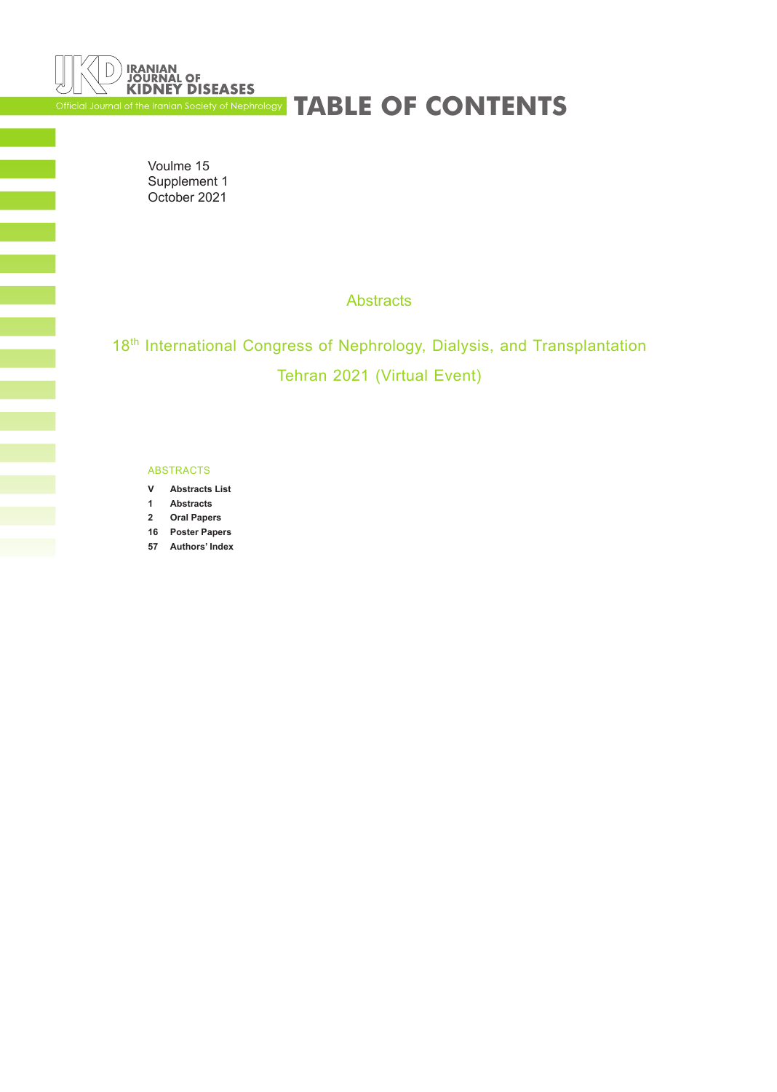<span id="page-4-0"></span>

# Official Journal of the Iranian Society of Nephrology **TABLE OF CONTENTS**

Voulme 15 Supplement 1 October 2021

**Abstracts** 

18<sup>th</sup> International Congress of Nephrology, Dialysis, and Transplantation Tehran 2021 (Virtual Event)

#### ABSTRACTS

- **V [Abstracts List](#page-5-0)**
- **1 [Abstracts](#page-9-0)**
- **2 [Oral Papers](#page-10-0)**
- **16 [Poster Papers](#page-24-0)**
- **57 [Authors' Index](#page-65-0)**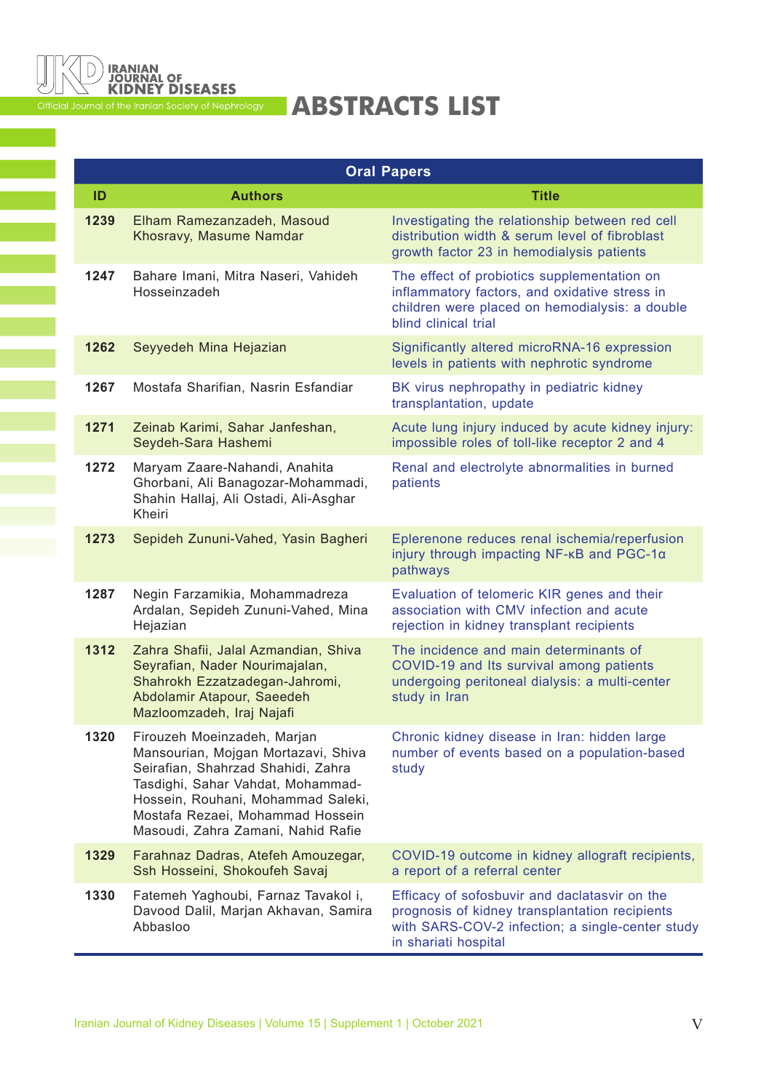<span id="page-5-0"></span>

# Official Journal of the Iranian Society of Nephrology<br> **ABSTRACTS LIST**

|      |                                                                                                                                                                                                                                                               | <b>Oral Papers</b>                                                                                                                                                          |
|------|---------------------------------------------------------------------------------------------------------------------------------------------------------------------------------------------------------------------------------------------------------------|-----------------------------------------------------------------------------------------------------------------------------------------------------------------------------|
| ID   | <b>Authors</b>                                                                                                                                                                                                                                                | <b>Title</b>                                                                                                                                                                |
| 1239 | Elham Ramezanzadeh, Masoud<br>Khosravy, Masume Namdar                                                                                                                                                                                                         | Investigating the relationship between red cell<br>distribution width & serum level of fibroblast<br>growth factor 23 in hemodialysis patients                              |
| 1247 | Bahare Imani, Mitra Naseri, Vahideh<br>Hosseinzadeh                                                                                                                                                                                                           | The effect of probiotics supplementation on<br>inflammatory factors, and oxidative stress in<br>children were placed on hemodialysis: a double<br>blind clinical trial      |
| 1262 | Seyyedeh Mina Hejazian                                                                                                                                                                                                                                        | Significantly altered microRNA-16 expression<br>levels in patients with nephrotic syndrome                                                                                  |
| 1267 | Mostafa Sharifian, Nasrin Esfandiar                                                                                                                                                                                                                           | BK virus nephropathy in pediatric kidney<br>transplantation, update                                                                                                         |
| 1271 | Zeinab Karimi, Sahar Janfeshan,<br>Seydeh-Sara Hashemi                                                                                                                                                                                                        | Acute lung injury induced by acute kidney injury:<br>impossible roles of toll-like receptor 2 and 4                                                                         |
| 1272 | Maryam Zaare-Nahandi, Anahita<br>Ghorbani, Ali Banagozar-Mohammadi,<br>Shahin Hallaj, Ali Ostadi, Ali-Asghar<br>Kheiri                                                                                                                                        | Renal and electrolyte abnormalities in burned<br>patients                                                                                                                   |
| 1273 | Sepideh Zununi-Vahed, Yasin Bagheri                                                                                                                                                                                                                           | Eplerenone reduces renal ischemia/reperfusion<br>injury through impacting NF-KB and PGC-1a<br>pathways                                                                      |
| 1287 | Negin Farzamikia, Mohammadreza<br>Ardalan, Sepideh Zununi-Vahed, Mina<br>Hejazian                                                                                                                                                                             | Evaluation of telomeric KIR genes and their<br>association with CMV infection and acute<br>rejection in kidney transplant recipients                                        |
| 1312 | Zahra Shafii, Jalal Azmandian, Shiva<br>Seyrafian, Nader Nourimajalan,<br>Shahrokh Ezzatzadegan-Jahromi,<br>Abdolamir Atapour, Saeedeh<br>Mazloomzadeh, Iraj Najafi                                                                                           | The incidence and main determinants of<br>COVID-19 and Its survival among patients<br>undergoing peritoneal dialysis: a multi-center<br>study in Iran                       |
| 1320 | Firouzeh Moeinzadeh, Marjan<br>Mansourian, Mojgan Mortazavi, Shiva<br>Seirafian, Shahrzad Shahidi, Zahra<br>Tasdighi, Sahar Vahdat, Mohammad-<br>Hossein, Rouhani, Mohammad Saleki,<br>Mostafa Rezaei, Mohammad Hossein<br>Masoudi, Zahra Zamani, Nahid Rafie | Chronic kidney disease in Iran: hidden large<br>number of events based on a population-based<br>study                                                                       |
| 1329 | Farahnaz Dadras, Atefeh Amouzegar,<br>Ssh Hosseini, Shokoufeh Savaj                                                                                                                                                                                           | COVID-19 outcome in kidney allograft recipients,<br>a report of a referral center                                                                                           |
| 1330 | Fatemeh Yaghoubi, Farnaz Tavakol i,<br>Davood Dalil, Marjan Akhavan, Samira<br>Abbasloo                                                                                                                                                                       | Efficacy of sofosbuvir and daclatasvir on the<br>prognosis of kidney transplantation recipients<br>with SARS-COV-2 infection; a single-center study<br>in shariati hospital |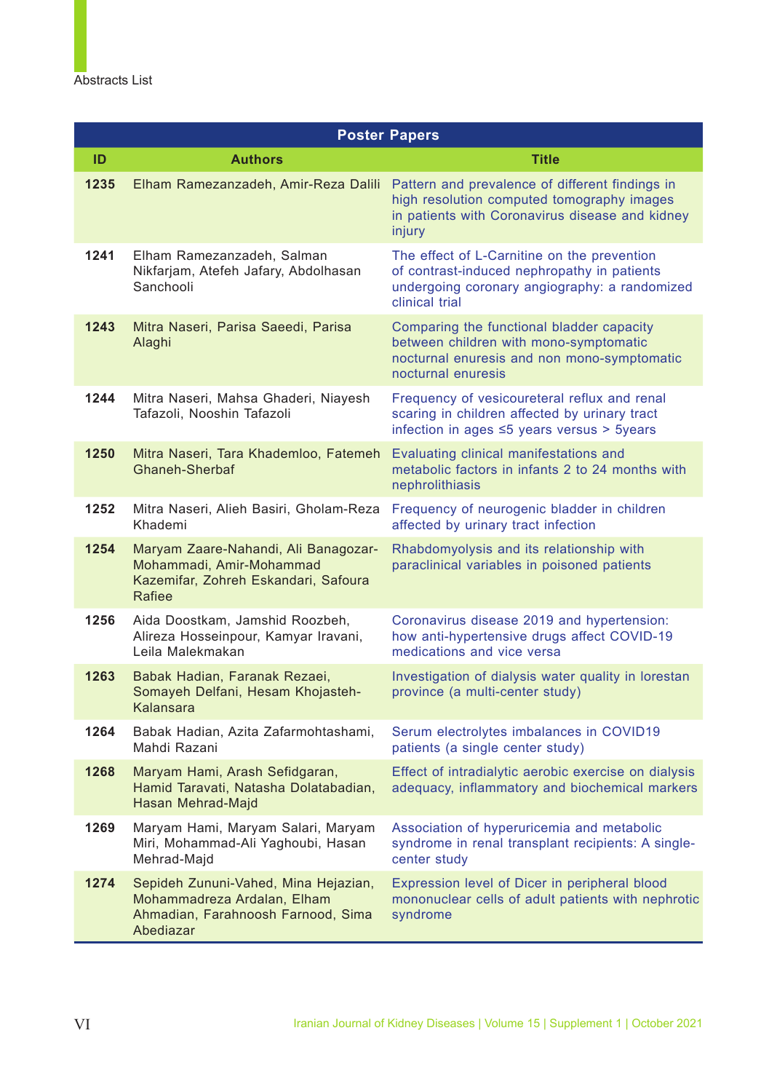<span id="page-6-0"></span>

|      |                                                                                                                           | <b>Poster Papers</b>                                                                                                                                          |
|------|---------------------------------------------------------------------------------------------------------------------------|---------------------------------------------------------------------------------------------------------------------------------------------------------------|
| ID   | <b>Authors</b>                                                                                                            | <b>Title</b>                                                                                                                                                  |
| 1235 | Elham Ramezanzadeh, Amir-Reza Dalili                                                                                      | Pattern and prevalence of different findings in<br>high resolution computed tomography images<br>in patients with Coronavirus disease and kidney<br>injury    |
| 1241 | Elham Ramezanzadeh, Salman<br>Nikfarjam, Atefeh Jafary, Abdolhasan<br>Sanchooli                                           | The effect of L-Carnitine on the prevention<br>of contrast-induced nephropathy in patients<br>undergoing coronary angiography: a randomized<br>clinical trial |
| 1243 | Mitra Naseri, Parisa Saeedi, Parisa<br>Alaghi                                                                             | Comparing the functional bladder capacity<br>between children with mono-symptomatic<br>nocturnal enuresis and non mono-symptomatic<br>nocturnal enuresis      |
| 1244 | Mitra Naseri, Mahsa Ghaderi, Niayesh<br>Tafazoli, Nooshin Tafazoli                                                        | Frequency of vesicoureteral reflux and renal<br>scaring in children affected by urinary tract<br>infection in ages ≤5 years versus > 5years                   |
| 1250 | Mitra Naseri, Tara Khademloo, Fatemeh<br>Ghaneh-Sherbaf                                                                   | Evaluating clinical manifestations and<br>metabolic factors in infants 2 to 24 months with<br>nephrolithiasis                                                 |
| 1252 | Mitra Naseri, Alieh Basiri, Gholam-Reza<br>Khademi                                                                        | Frequency of neurogenic bladder in children<br>affected by urinary tract infection                                                                            |
| 1254 | Maryam Zaare-Nahandi, Ali Banagozar-<br>Mohammadi, Amir-Mohammad<br>Kazemifar, Zohreh Eskandari, Safoura<br><b>Rafiee</b> | Rhabdomyolysis and its relationship with<br>paraclinical variables in poisoned patients                                                                       |
| 1256 | Aida Doostkam, Jamshid Roozbeh,<br>Alireza Hosseinpour, Kamyar Iravani,<br>Leila Malekmakan                               | Coronavirus disease 2019 and hypertension:<br>how anti-hypertensive drugs affect COVID-19<br>medications and vice versa                                       |
| 1263 | Babak Hadian, Faranak Rezaei,<br>Somayeh Delfani, Hesam Khojasteh-<br>Kalansara                                           | Investigation of dialysis water quality in lorestan<br>province (a multi-center study)                                                                        |
| 1264 | Babak Hadian, Azita Zafarmohtashami,<br>Mahdi Razani                                                                      | Serum electrolytes imbalances in COVID19<br>patients (a single center study)                                                                                  |
| 1268 | Maryam Hami, Arash Sefidgaran,<br>Hamid Taravati, Natasha Dolatabadian,<br>Hasan Mehrad-Majd                              | Effect of intradialytic aerobic exercise on dialysis<br>adequacy, inflammatory and biochemical markers                                                        |
| 1269 | Maryam Hami, Maryam Salari, Maryam<br>Miri, Mohammad-Ali Yaghoubi, Hasan<br>Mehrad-Majd                                   | Association of hyperuricemia and metabolic<br>syndrome in renal transplant recipients: A single-<br>center study                                              |
| 1274 | Sepideh Zununi-Vahed, Mina Hejazian,<br>Mohammadreza Ardalan, Elham<br>Ahmadian, Farahnoosh Farnood, Sima<br>Abediazar    | Expression level of Dicer in peripheral blood<br>mononuclear cells of adult patients with nephrotic<br>syndrome                                               |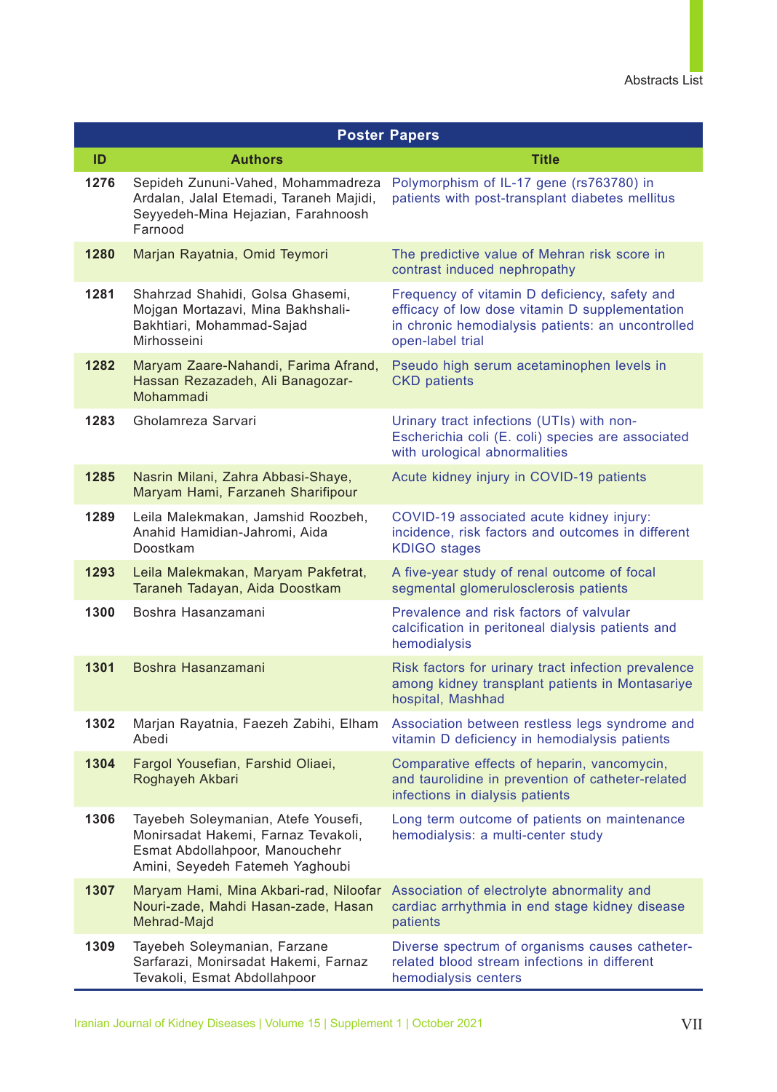<span id="page-7-0"></span>

|      |                                                                                                                                                 | <b>Poster Papers</b>                                                                                                                                                     |
|------|-------------------------------------------------------------------------------------------------------------------------------------------------|--------------------------------------------------------------------------------------------------------------------------------------------------------------------------|
| ID   | <b>Authors</b>                                                                                                                                  | <b>Title</b>                                                                                                                                                             |
| 1276 | Sepideh Zununi-Vahed, Mohammadreza<br>Ardalan, Jalal Etemadi, Taraneh Majidi,<br>Seyyedeh-Mina Hejazian, Farahnoosh<br>Farnood                  | Polymorphism of IL-17 gene (rs763780) in<br>patients with post-transplant diabetes mellitus                                                                              |
| 1280 | Marjan Rayatnia, Omid Teymori                                                                                                                   | The predictive value of Mehran risk score in<br>contrast induced nephropathy                                                                                             |
| 1281 | Shahrzad Shahidi, Golsa Ghasemi,<br>Mojgan Mortazavi, Mina Bakhshali-<br>Bakhtiari, Mohammad-Sajad<br>Mirhosseini                               | Frequency of vitamin D deficiency, safety and<br>efficacy of low dose vitamin D supplementation<br>in chronic hemodialysis patients: an uncontrolled<br>open-label trial |
| 1282 | Maryam Zaare-Nahandi, Farima Afrand,<br>Hassan Rezazadeh, Ali Banagozar-<br>Mohammadi                                                           | Pseudo high serum acetaminophen levels in<br><b>CKD</b> patients                                                                                                         |
| 1283 | Gholamreza Sarvari                                                                                                                              | Urinary tract infections (UTIs) with non-<br>Escherichia coli (E. coli) species are associated<br>with urological abnormalities                                          |
| 1285 | Nasrin Milani, Zahra Abbasi-Shaye,<br>Maryam Hami, Farzaneh Sharifipour                                                                         | Acute kidney injury in COVID-19 patients                                                                                                                                 |
| 1289 | Leila Malekmakan, Jamshid Roozbeh,<br>Anahid Hamidian-Jahromi, Aida<br>Doostkam                                                                 | COVID-19 associated acute kidney injury:<br>incidence, risk factors and outcomes in different<br><b>KDIGO</b> stages                                                     |
| 1293 | Leila Malekmakan, Maryam Pakfetrat,<br>Taraneh Tadayan, Aida Doostkam                                                                           | A five-year study of renal outcome of focal<br>segmental glomerulosclerosis patients                                                                                     |
| 1300 | Boshra Hasanzamani                                                                                                                              | Prevalence and risk factors of valvular<br>calcification in peritoneal dialysis patients and<br>hemodialysis                                                             |
| 1301 | Boshra Hasanzamani                                                                                                                              | Risk factors for urinary tract infection prevalence<br>among kidney transplant patients in Montasariye<br>hospital, Mashhad                                              |
| 1302 | Marjan Rayatnia, Faezeh Zabihi, Elham<br>Abedi                                                                                                  | Association between restless legs syndrome and<br>vitamin D deficiency in hemodialysis patients                                                                          |
| 1304 | Fargol Yousefian, Farshid Oliaei,<br>Roghayeh Akbari                                                                                            | Comparative effects of heparin, vancomycin,<br>and taurolidine in prevention of catheter-related<br>infections in dialysis patients                                      |
| 1306 | Tayebeh Soleymanian, Atefe Yousefi,<br>Monirsadat Hakemi, Farnaz Tevakoli,<br>Esmat Abdollahpoor, Manouchehr<br>Amini, Seyedeh Fatemeh Yaghoubi | Long term outcome of patients on maintenance<br>hemodialysis: a multi-center study                                                                                       |
| 1307 | Maryam Hami, Mina Akbari-rad, Niloofar<br>Nouri-zade, Mahdi Hasan-zade, Hasan<br>Mehrad-Majd                                                    | Association of electrolyte abnormality and<br>cardiac arrhythmia in end stage kidney disease<br>patients                                                                 |
| 1309 | Tayebeh Soleymanian, Farzane<br>Sarfarazi, Monirsadat Hakemi, Farnaz<br>Tevakoli, Esmat Abdollahpoor                                            | Diverse spectrum of organisms causes catheter-<br>related blood stream infections in different<br>hemodialysis centers                                                   |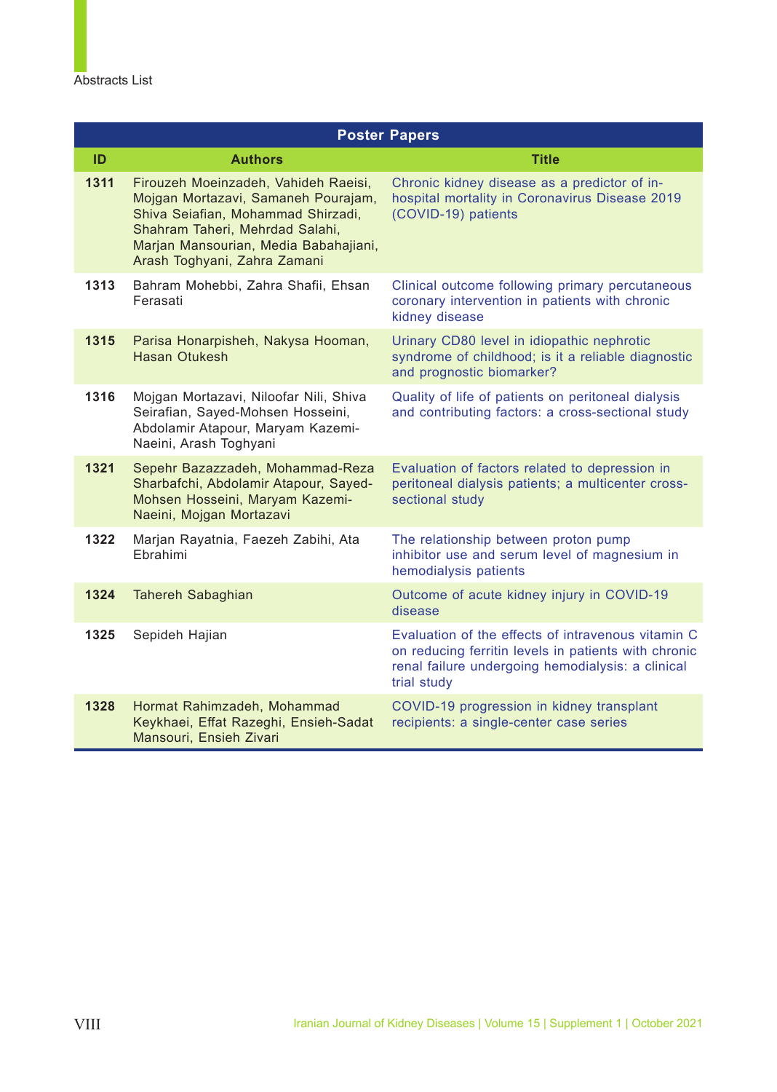<span id="page-8-0"></span>

|      |                                                                                                                                                                                                                               | <b>Poster Papers</b>                                                                                                                                                           |
|------|-------------------------------------------------------------------------------------------------------------------------------------------------------------------------------------------------------------------------------|--------------------------------------------------------------------------------------------------------------------------------------------------------------------------------|
| ID   | <b>Authors</b>                                                                                                                                                                                                                | <b>Title</b>                                                                                                                                                                   |
| 1311 | Firouzeh Moeinzadeh, Vahideh Raeisi,<br>Mojgan Mortazavi, Samaneh Pourajam,<br>Shiva Seiafian, Mohammad Shirzadi,<br>Shahram Taheri, Mehrdad Salahi,<br>Marjan Mansourian, Media Babahajiani,<br>Arash Toghyani, Zahra Zamani | Chronic kidney disease as a predictor of in-<br>hospital mortality in Coronavirus Disease 2019<br>(COVID-19) patients                                                          |
| 1313 | Bahram Mohebbi, Zahra Shafii, Ehsan<br>Ferasati                                                                                                                                                                               | Clinical outcome following primary percutaneous<br>coronary intervention in patients with chronic<br>kidney disease                                                            |
| 1315 | Parisa Honarpisheh, Nakysa Hooman,<br><b>Hasan Otukesh</b>                                                                                                                                                                    | Urinary CD80 level in idiopathic nephrotic<br>syndrome of childhood; is it a reliable diagnostic<br>and prognostic biomarker?                                                  |
| 1316 | Mojgan Mortazavi, Niloofar Nili, Shiva<br>Seirafian, Sayed-Mohsen Hosseini,<br>Abdolamir Atapour, Maryam Kazemi-<br>Naeini, Arash Toghyani                                                                                    | Quality of life of patients on peritoneal dialysis<br>and contributing factors: a cross-sectional study                                                                        |
| 1321 | Sepehr Bazazzadeh, Mohammad-Reza<br>Sharbafchi, Abdolamir Atapour, Sayed-<br>Mohsen Hosseini, Maryam Kazemi-<br>Naeini, Mojgan Mortazavi                                                                                      | Evaluation of factors related to depression in<br>peritoneal dialysis patients; a multicenter cross-<br>sectional study                                                        |
| 1322 | Marjan Rayatnia, Faezeh Zabihi, Ata<br>Ebrahimi                                                                                                                                                                               | The relationship between proton pump<br>inhibitor use and serum level of magnesium in<br>hemodialysis patients                                                                 |
| 1324 | Tahereh Sabaghian                                                                                                                                                                                                             | Outcome of acute kidney injury in COVID-19<br>disease                                                                                                                          |
| 1325 | Sepideh Hajian                                                                                                                                                                                                                | Evaluation of the effects of intravenous vitamin C<br>on reducing ferritin levels in patients with chronic<br>renal failure undergoing hemodialysis: a clinical<br>trial study |
| 1328 | Hormat Rahimzadeh, Mohammad<br>Keykhaei, Effat Razeghi, Ensieh-Sadat<br>Mansouri, Ensieh Zivari                                                                                                                               | COVID-19 progression in kidney transplant<br>recipients: a single-center case series                                                                                           |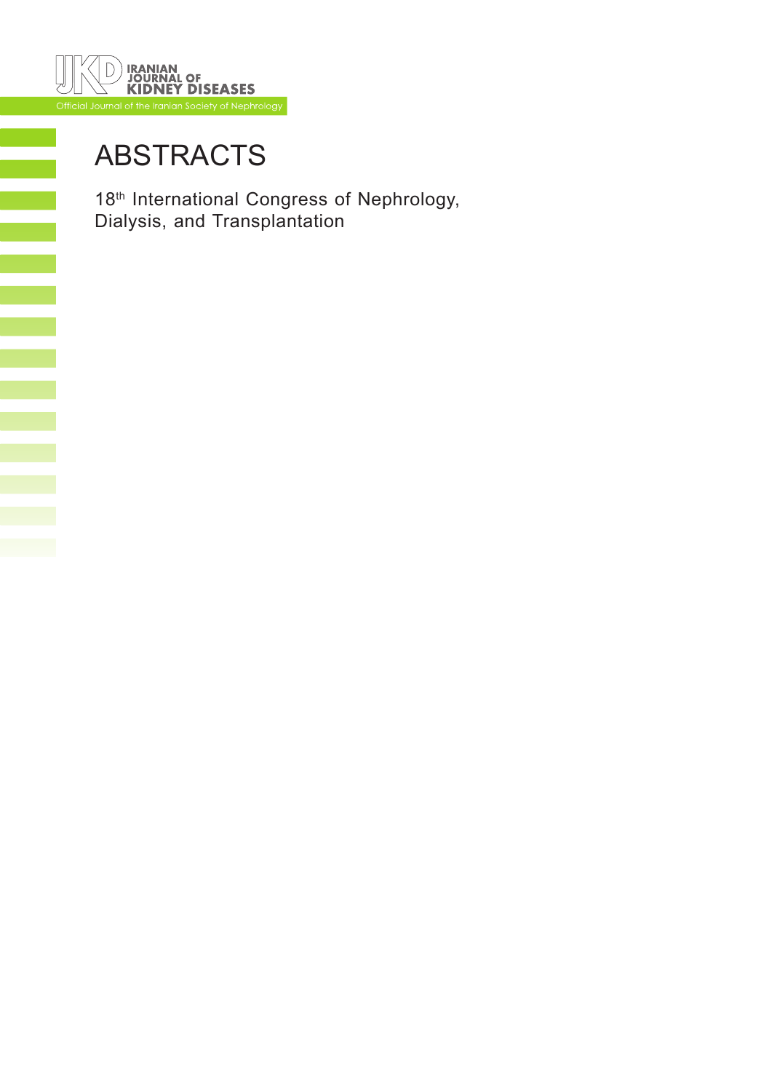<span id="page-9-0"></span>

# [ABSTRACTS](#page-4-0)

18<sup>th</sup> International Congress of Nephrology, Dialysis, and Transplantation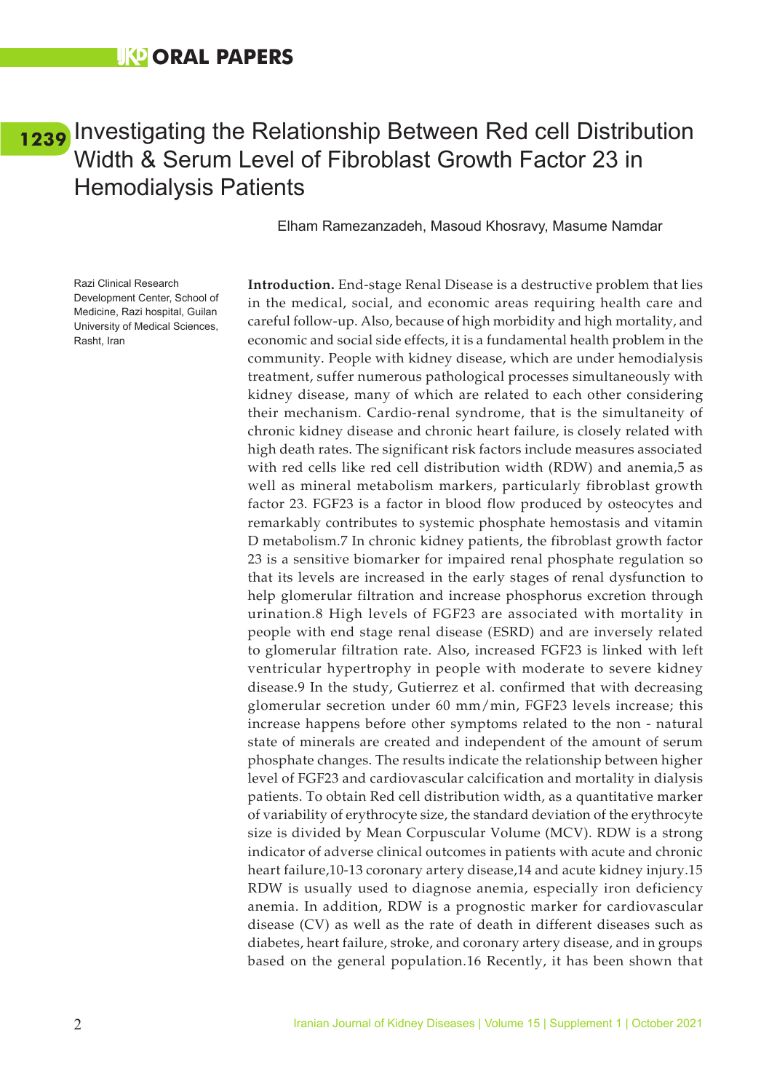### <span id="page-10-0"></span>[1239](#page-1-0) Investigating the Relationship Between Red cell Distribution Width & Serum Level of Fibroblast Growth Factor 23 in Hemodialysis Patients

Elham Ramezanzadeh, Masoud Khosravy, Masume Namdar

Razi Clinical Research Development Center, School of Medicine, Razi hospital, Guilan University of Medical Sciences, Rasht, Iran

**Introduction.** End-stage Renal Disease is a destructive problem that lies in the medical, social, and economic areas requiring health care and careful follow-up. Also, because of high morbidity and high mortality, and economic and social side effects, it is a fundamental health problem in the community. People with kidney disease, which are under hemodialysis treatment, suffer numerous pathological processes simultaneously with kidney disease, many of which are related to each other considering their mechanism. Cardio-renal syndrome, that is the simultaneity of chronic kidney disease and chronic heart failure, is closely related with high death rates. The significant risk factors include measures associated with red cells like red cell distribution width (RDW) and anemia,5 as well as mineral metabolism markers, particularly fibroblast growth factor 23. FGF23 is a factor in blood flow produced by osteocytes and remarkably contributes to systemic phosphate hemostasis and vitamin D metabolism.7 In chronic kidney patients, the fibroblast growth factor 23 is a sensitive biomarker for impaired renal phosphate regulation so that its levels are increased in the early stages of renal dysfunction to help glomerular filtration and increase phosphorus excretion through urination.8 High levels of FGF23 are associated with mortality in people with end stage renal disease (ESRD) and are inversely related to glomerular filtration rate. Also, increased FGF23 is linked with left ventricular hypertrophy in people with moderate to severe kidney disease.9 In the study, Gutierrez et al. confirmed that with decreasing glomerular secretion under 60 mm/min, FGF23 levels increase; this increase happens before other symptoms related to the non - natural state of minerals are created and independent of the amount of serum phosphate changes. The results indicate the relationship between higher level of FGF23 and cardiovascular calcification and mortality in dialysis patients. To obtain Red cell distribution width, as a quantitative marker of variability of erythrocyte size, the standard deviation of the erythrocyte size is divided by Mean Corpuscular Volume (MCV). RDW is a strong indicator of adverse clinical outcomes in patients with acute and chronic heart failure,10-13 coronary artery disease,14 and acute kidney injury.15 RDW is usually used to diagnose anemia, especially iron deficiency anemia. In addition, RDW is a prognostic marker for cardiovascular disease (CV) as well as the rate of death in different diseases such as diabetes, heart failure, stroke, and coronary artery disease, and in groups based on the general population.16 Recently, it has been shown that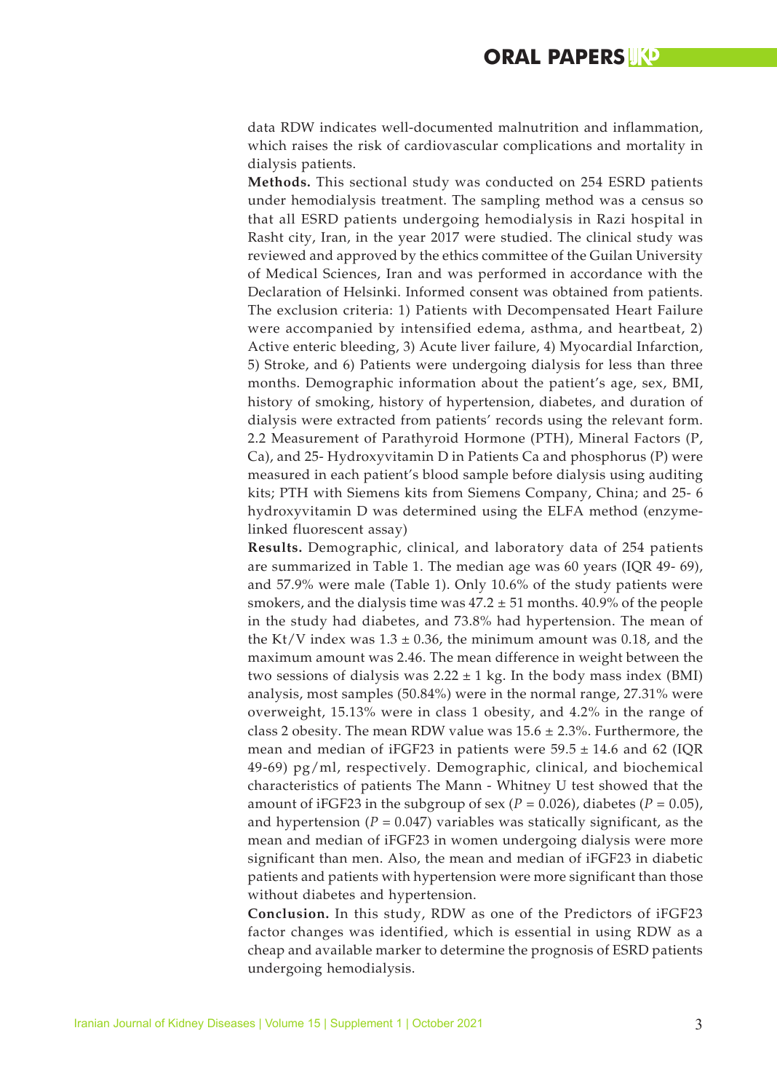data RDW indicates well-documented malnutrition and inflammation, which raises the risk of cardiovascular complications and mortality in dialysis patients.

**Methods.** This sectional study was conducted on 254 ESRD patients under hemodialysis treatment. The sampling method was a census so that all ESRD patients undergoing hemodialysis in Razi hospital in Rasht city, Iran, in the year 2017 were studied. The clinical study was reviewed and approved by the ethics committee of the Guilan University of Medical Sciences, Iran and was performed in accordance with the Declaration of Helsinki. Informed consent was obtained from patients. The exclusion criteria: 1) Patients with Decompensated Heart Failure were accompanied by intensified edema, asthma, and heartbeat, 2) Active enteric bleeding, 3) Acute liver failure, 4) Myocardial Infarction, 5) Stroke, and 6) Patients were undergoing dialysis for less than three months. Demographic information about the patient's age, sex, BMI, history of smoking, history of hypertension, diabetes, and duration of dialysis were extracted from patients' records using the relevant form. 2.2 Measurement of Parathyroid Hormone (PTH), Mineral Factors (P, Ca), and 25- Hydroxyvitamin D in Patients Ca and phosphorus (P) were measured in each patient's blood sample before dialysis using auditing kits; PTH with Siemens kits from Siemens Company, China; and 25- 6 hydroxyvitamin D was determined using the ELFA method (enzymelinked fluorescent assay)

**Results.** Demographic, clinical, and laboratory data of 254 patients are summarized in Table 1. The median age was 60 years (IQR 49- 69), and 57.9% were male (Table 1). Only 10.6% of the study patients were smokers, and the dialysis time was  $47.2 \pm 51$  months.  $40.9\%$  of the people in the study had diabetes, and 73.8% had hypertension. The mean of the Kt/V index was  $1.3 \pm 0.36$ , the minimum amount was 0.18, and the maximum amount was 2.46. The mean difference in weight between the two sessions of dialysis was  $2.22 \pm 1$  kg. In the body mass index (BMI) analysis, most samples (50.84%) were in the normal range, 27.31% were overweight, 15.13% were in class 1 obesity, and 4.2% in the range of class 2 obesity. The mean RDW value was  $15.6 \pm 2.3$ %. Furthermore, the mean and median of iFGF23 in patients were  $59.5 \pm 14.6$  and 62 (IQR 49-69) pg/ml, respectively. Demographic, clinical, and biochemical characteristics of patients The Mann - Whitney U test showed that the amount of iFGF23 in the subgroup of sex  $(P = 0.026)$ , diabetes  $(P = 0.05)$ , and hypertension  $(P = 0.047)$  variables was statically significant, as the mean and median of iFGF23 in women undergoing dialysis were more significant than men. Also, the mean and median of iFGF23 in diabetic patients and patients with hypertension were more significant than those without diabetes and hypertension.

**Conclusion.** In this study, RDW as one of the Predictors of iFGF23 factor changes was identified, which is essential in using RDW as a cheap and available marker to determine the prognosis of ESRD patients undergoing hemodialysis.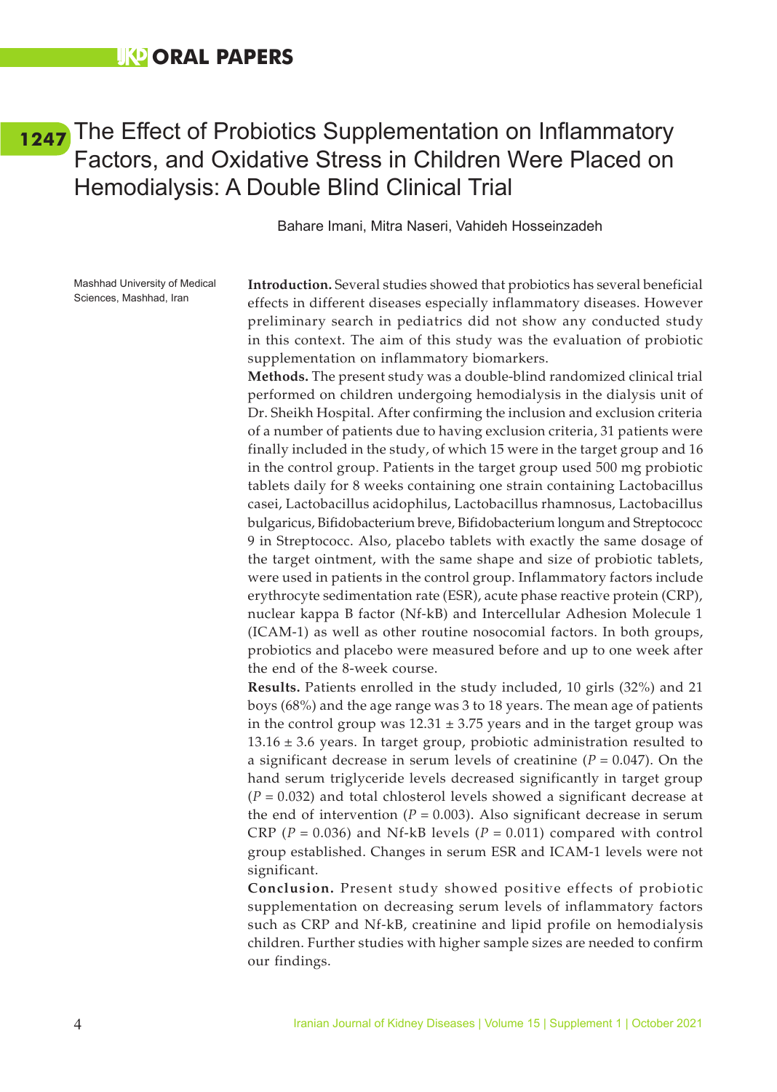## <span id="page-12-0"></span>[1247](#page-5-0) The Effect of Probiotics Supplementation on Inflammatory Factors, and Oxidative Stress in Children Were Placed on Hemodialysis: A Double Blind Clinical Trial

Bahare Imani, Mitra Naseri, Vahideh Hosseinzadeh

Mashhad University of Medical Sciences, Mashhad, Iran

**Introduction.** Several studies showed that probiotics has several beneficial effects in different diseases especially inflammatory diseases. However preliminary search in pediatrics did not show any conducted study in this context. The aim of this study was the evaluation of probiotic supplementation on inflammatory biomarkers.

**Methods.** The present study was a double-blind randomized clinical trial performed on children undergoing hemodialysis in the dialysis unit of Dr. Sheikh Hospital. After confirming the inclusion and exclusion criteria of a number of patients due to having exclusion criteria, 31 patients were finally included in the study, of which 15 were in the target group and 16 in the control group. Patients in the target group used 500 mg probiotic tablets daily for 8 weeks containing one strain containing Lactobacillus casei, Lactobacillus acidophilus, Lactobacillus rhamnosus, Lactobacillus bulgaricus, Bifidobacterium breve, Bifidobacterium longum and Streptococc 9 in Streptococc. Also, placebo tablets with exactly the same dosage of the target ointment, with the same shape and size of probiotic tablets, were used in patients in the control group. Inflammatory factors include erythrocyte sedimentation rate (ESR), acute phase reactive protein (CRP), nuclear kappa B factor (Nf-kB) and Intercellular Adhesion Molecule 1 (ICAM-1) as well as other routine nosocomial factors. In both groups, probiotics and placebo were measured before and up to one week after the end of the 8-week course.

**Results.** Patients enrolled in the study included, 10 girls (32%) and 21 boys (68%) and the age range was 3 to 18 years. The mean age of patients in the control group was  $12.31 \pm 3.75$  years and in the target group was  $13.16 \pm 3.6$  years. In target group, probiotic administration resulted to a significant decrease in serum levels of creatinine (*P* = 0.047). On the hand serum triglyceride levels decreased significantly in target group (*P* = 0.032) and total chlosterol levels showed a significant decrease at the end of intervention ( $P = 0.003$ ). Also significant decrease in serum CRP ( $P = 0.036$ ) and Nf-kB levels ( $P = 0.011$ ) compared with control group established. Changes in serum ESR and ICAM-1 levels were not significant.

**Conclusion.** Present study showed positive effects of probiotic supplementation on decreasing serum levels of inflammatory factors such as CRP and Nf-kB, creatinine and lipid profile on hemodialysis children. Further studies with higher sample sizes are needed to confirm our findings.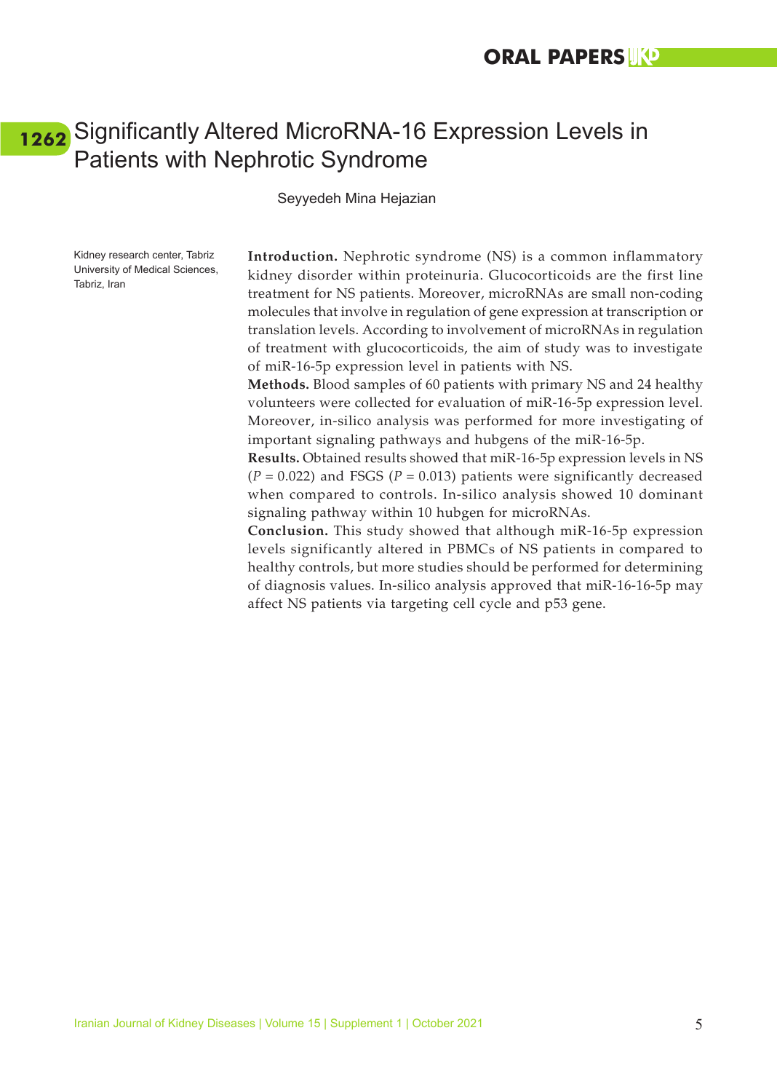### <span id="page-13-0"></span>Significantly Altered MicroRNA-16 Expression Levels in **[1262](#page-5-0)**Patients with Nephrotic Syndrome

Seyyedeh Mina Hejazian

Kidney research center, Tabriz University of Medical Sciences, Tabriz, Iran

**Introduction.** Nephrotic syndrome (NS) is a common inflammatory kidney disorder within proteinuria. Glucocorticoids are the first line treatment for NS patients. Moreover, microRNAs are small non-coding molecules that involve in regulation of gene expression at transcription or translation levels. According to involvement of microRNAs in regulation of treatment with glucocorticoids, the aim of study was to investigate of miR-16-5p expression level in patients with NS.

**Methods.** Blood samples of 60 patients with primary NS and 24 healthy volunteers were collected for evaluation of miR-16-5p expression level. Moreover, in-silico analysis was performed for more investigating of important signaling pathways and hubgens of the miR-16-5p.

**Results.** Obtained results showed that miR-16-5p expression levels in NS  $(P = 0.022)$  and FSGS  $(P = 0.013)$  patients were significantly decreased when compared to controls. In-silico analysis showed 10 dominant signaling pathway within 10 hubgen for microRNAs.

**Conclusion.** This study showed that although miR-16-5p expression levels significantly altered in PBMCs of NS patients in compared to healthy controls, but more studies should be performed for determining of diagnosis values. In-silico analysis approved that miR-16-16-5p may affect NS patients via targeting cell cycle and p53 gene.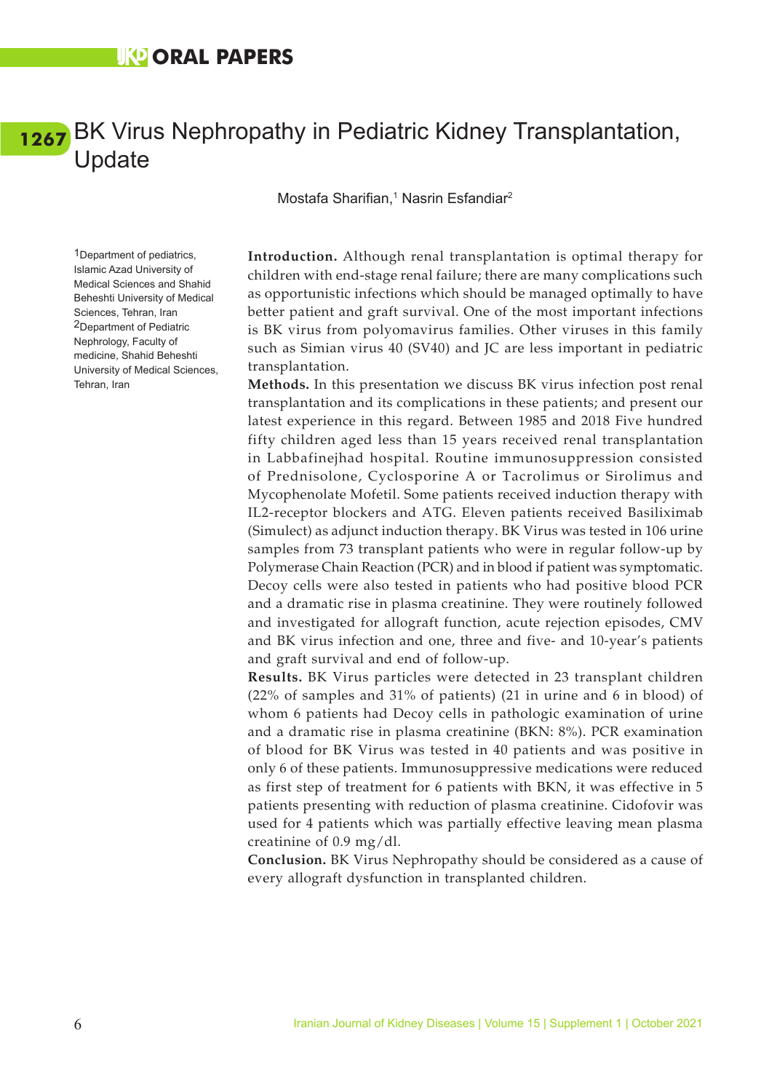### <span id="page-14-0"></span>BK Virus Nephropathy in Pediatric Kidney Transplantation, **[1267](#page-5-0)**Update

Mostafa Sharifian,<sup>1</sup> Nasrin Esfandiar<sup>2</sup>

1Department of pediatrics, Islamic Azad University of Medical Sciences and Shahid Beheshti University of Medical Sciences, Tehran, Iran 2Department of Pediatric Nephrology, Faculty of medicine, Shahid Beheshti University of Medical Sciences, Tehran, Iran

**Introduction.** Although renal transplantation is optimal therapy for children with end-stage renal failure; there are many complications such as opportunistic infections which should be managed optimally to have better patient and graft survival. One of the most important infections is BK virus from polyomavirus families. Other viruses in this family such as Simian virus 40 (SV40) and JC are less important in pediatric transplantation.

**Methods.** In this presentation we discuss BK virus infection post renal transplantation and its complications in these patients; and present our latest experience in this regard. Between 1985 and 2018 Five hundred fifty children aged less than 15 years received renal transplantation in Labbafinejhad hospital. Routine immunosuppression consisted of Prednisolone, Cyclosporine A or Tacrolimus or Sirolimus and Mycophenolate Mofetil. Some patients received induction therapy with IL2-receptor blockers and ATG. Eleven patients received Basiliximab (Simulect) as adjunct induction therapy. BK Virus was tested in 106 urine samples from 73 transplant patients who were in regular follow-up by Polymerase Chain Reaction (PCR) and in blood if patient was symptomatic. Decoy cells were also tested in patients who had positive blood PCR and a dramatic rise in plasma creatinine. They were routinely followed and investigated for allograft function, acute rejection episodes, CMV and BK virus infection and one, three and five- and 10-year's patients and graft survival and end of follow-up.

**Results.** BK Virus particles were detected in 23 transplant children (22% of samples and 31% of patients) (21 in urine and 6 in blood) of whom 6 patients had Decoy cells in pathologic examination of urine and a dramatic rise in plasma creatinine (BKN: 8%). PCR examination of blood for BK Virus was tested in 40 patients and was positive in only 6 of these patients. Immunosuppressive medications were reduced as first step of treatment for 6 patients with BKN, it was effective in 5 patients presenting with reduction of plasma creatinine. Cidofovir was used for 4 patients which was partially effective leaving mean plasma creatinine of 0.9 mg/dl.

**Conclusion.** BK Virus Nephropathy should be considered as a cause of every allograft dysfunction in transplanted children.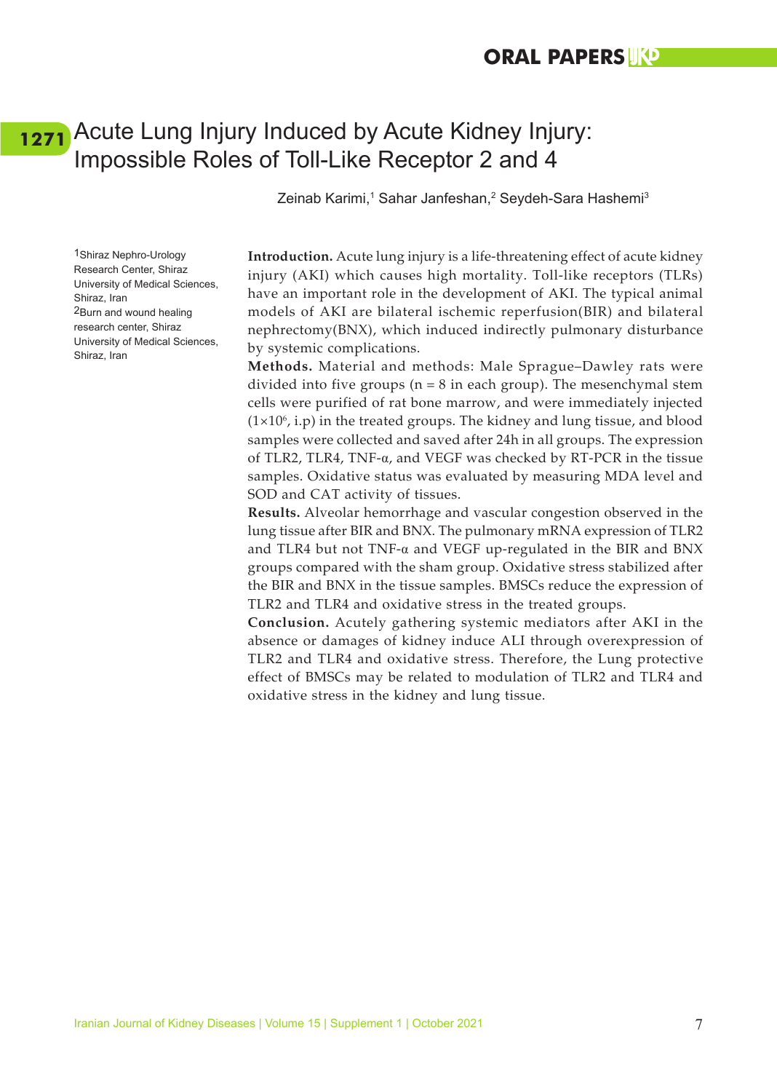### <span id="page-15-0"></span>Acute Lung Injury Induced by Acute Kidney Injury: **[1271](#page-5-0)**Impossible Roles of Toll-Like Receptor 2 and 4

Zeinab Karimi,<sup>1</sup> Sahar Janfeshan,<sup>2</sup> Seydeh-Sara Hashemi<sup>3</sup>

1Shiraz Nephro-Urology Research Center, Shiraz University of Medical Sciences, Shiraz, Iran 2Burn and wound healing research center, Shiraz University of Medical Sciences, Shiraz, Iran

**Introduction.** Acute lung injury is a life-threatening effect of acute kidney injury (AKI) which causes high mortality. Toll-like receptors (TLRs) have an important role in the development of AKI. The typical animal models of AKI are bilateral ischemic reperfusion(BIR) and bilateral nephrectomy(BNX), which induced indirectly pulmonary disturbance by systemic complications.

**Methods.** Material and methods: Male Sprague–Dawley rats were divided into five groups ( $n = 8$  in each group). The mesenchymal stem cells were purified of rat bone marrow, and were immediately injected  $(1\times10^6)$ , i.p) in the treated groups. The kidney and lung tissue, and blood samples were collected and saved after 24h in all groups. The expression of TLR2, TLR4, TNF- $\alpha$ , and VEGF was checked by RT-PCR in the tissue samples. Oxidative status was evaluated by measuring MDA level and SOD and CAT activity of tissues.

**Results.** Alveolar hemorrhage and vascular congestion observed in the lung tissue after BIR and BNX. The pulmonary mRNA expression of TLR2 and TLR4 but not TNF-α and VEGF up-regulated in the BIR and BNX groups compared with the sham group. Oxidative stress stabilized after the BIR and BNX in the tissue samples. BMSCs reduce the expression of TLR2 and TLR4 and oxidative stress in the treated groups.

**Conclusion.** Acutely gathering systemic mediators after AKI in the absence or damages of kidney induce ALI through overexpression of TLR2 and TLR4 and oxidative stress. Therefore, the Lung protective effect of BMSCs may be related to modulation of TLR2 and TLR4 and oxidative stress in the kidney and lung tissue.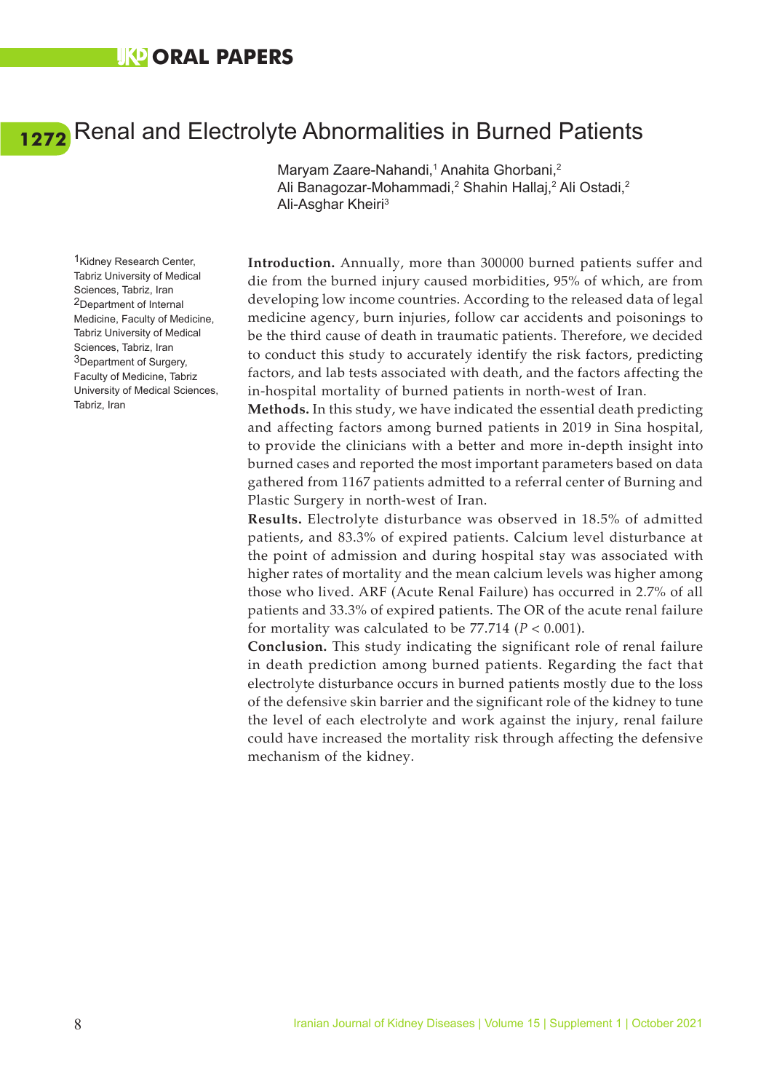### **UKO ORAL PAPERS**

# <span id="page-16-0"></span>Renal and Electrolyte Abnormalities in Burned Patients **[1272](#page-5-0)**

1Kidney Research Center, Tabriz University of Medical Sciences, Tabriz, Iran 2Department of Internal Medicine, Faculty of Medicine, Tabriz University of Medical Sciences, Tabriz, Iran 3Department of Surgery, Faculty of Medicine, Tabriz University of Medical Sciences, Tabriz, Iran

Maryam Zaare-Nahandi,<sup>1</sup> Anahita Ghorbani,<sup>2</sup> Ali Banagozar-Mohammadi,<sup>2</sup> Shahin Hallaj,<sup>2</sup> Ali Ostadi,<sup>2</sup> Ali-Asghar Kheiri3

**Introduction.** Annually, more than 300000 burned patients suffer and die from the burned injury caused morbidities, 95% of which, are from developing low income countries. According to the released data of legal medicine agency, burn injuries, follow car accidents and poisonings to be the third cause of death in traumatic patients. Therefore, we decided to conduct this study to accurately identify the risk factors, predicting factors, and lab tests associated with death, and the factors affecting the in-hospital mortality of burned patients in north-west of Iran.

**Methods.** In this study, we have indicated the essential death predicting and affecting factors among burned patients in 2019 in Sina hospital, to provide the clinicians with a better and more in-depth insight into burned cases and reported the most important parameters based on data gathered from 1167 patients admitted to a referral center of Burning and Plastic Surgery in north-west of Iran.

**Results.** Electrolyte disturbance was observed in 18.5% of admitted patients, and 83.3% of expired patients. Calcium level disturbance at the point of admission and during hospital stay was associated with higher rates of mortality and the mean calcium levels was higher among those who lived. ARF (Acute Renal Failure) has occurred in 2.7% of all patients and 33.3% of expired patients. The OR of the acute renal failure for mortality was calculated to be  $77.714$  ( $P < 0.001$ ).

**Conclusion.** This study indicating the significant role of renal failure in death prediction among burned patients. Regarding the fact that electrolyte disturbance occurs in burned patients mostly due to the loss of the defensive skin barrier and the significant role of the kidney to tune the level of each electrolyte and work against the injury, renal failure could have increased the mortality risk through affecting the defensive mechanism of the kidney.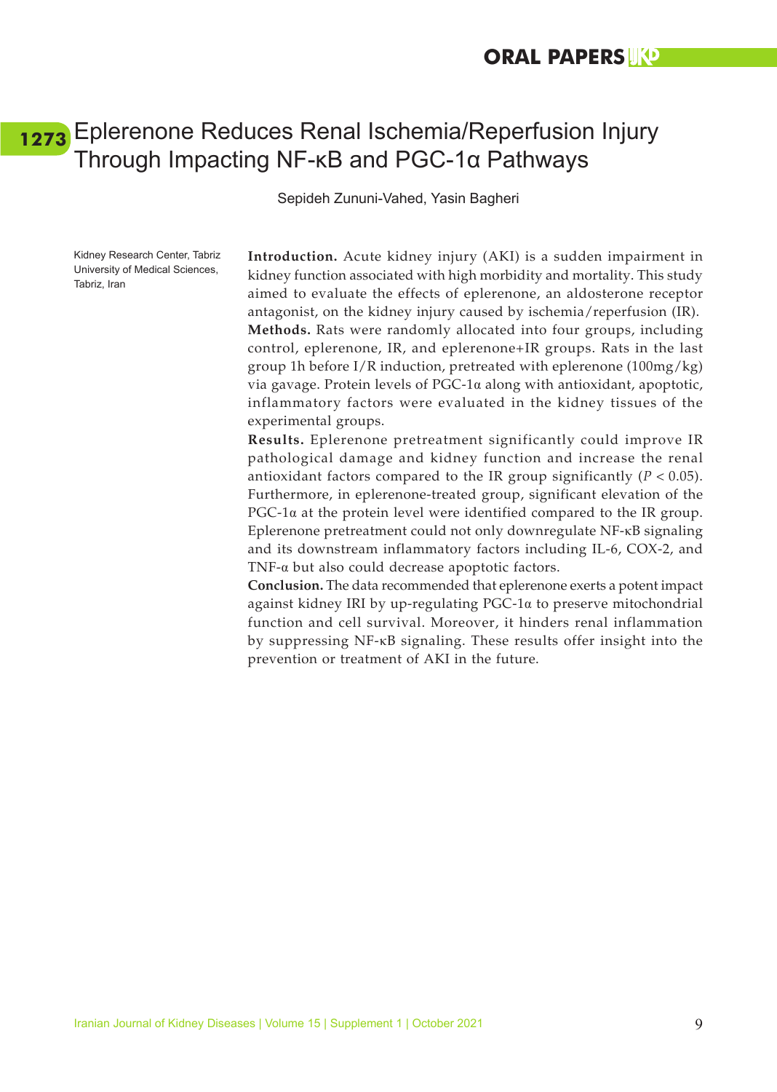### <span id="page-17-0"></span>Eplerenone Reduces Renal Ischemia/Reperfusion Injury **[1273](#page-5-0)**Through Impacting NF-κB and PGC-1α Pathways

Sepideh Zununi-Vahed, Yasin Bagheri

Kidney Research Center, Tabriz University of Medical Sciences, Tabriz, Iran

**Introduction.** Acute kidney injury (AKI) is a sudden impairment in kidney function associated with high morbidity and mortality. This study aimed to evaluate the effects of eplerenone, an aldosterone receptor antagonist, on the kidney injury caused by ischemia/reperfusion (IR). **Methods.** Rats were randomly allocated into four groups, including control, eplerenone, IR, and eplerenone+IR groups. Rats in the last group 1h before  $I/R$  induction, pretreated with eplerenone  $(100mg/kg)$ via gavage. Protein levels of PGC-1α along with antioxidant, apoptotic, inflammatory factors were evaluated in the kidney tissues of the experimental groups.

**Results.** Eplerenone pretreatment significantly could improve IR pathological damage and kidney function and increase the renal antioxidant factors compared to the IR group significantly  $(P < 0.05)$ . Furthermore, in eplerenone-treated group, significant elevation of the PGC-1 $\alpha$  at the protein level were identified compared to the IR group. Eplerenone pretreatment could not only downregulate NF-κB signaling and its downstream inflammatory factors including IL-6, COX-2, and TNF-α but also could decrease apoptotic factors.

**Conclusion.** The data recommended that eplerenone exerts a potent impact against kidney IRI by up-regulating PGC-1α to preserve mitochondrial function and cell survival. Moreover, it hinders renal inflammation by suppressing NF-κB signaling. These results offer insight into the prevention or treatment of AKI in the future.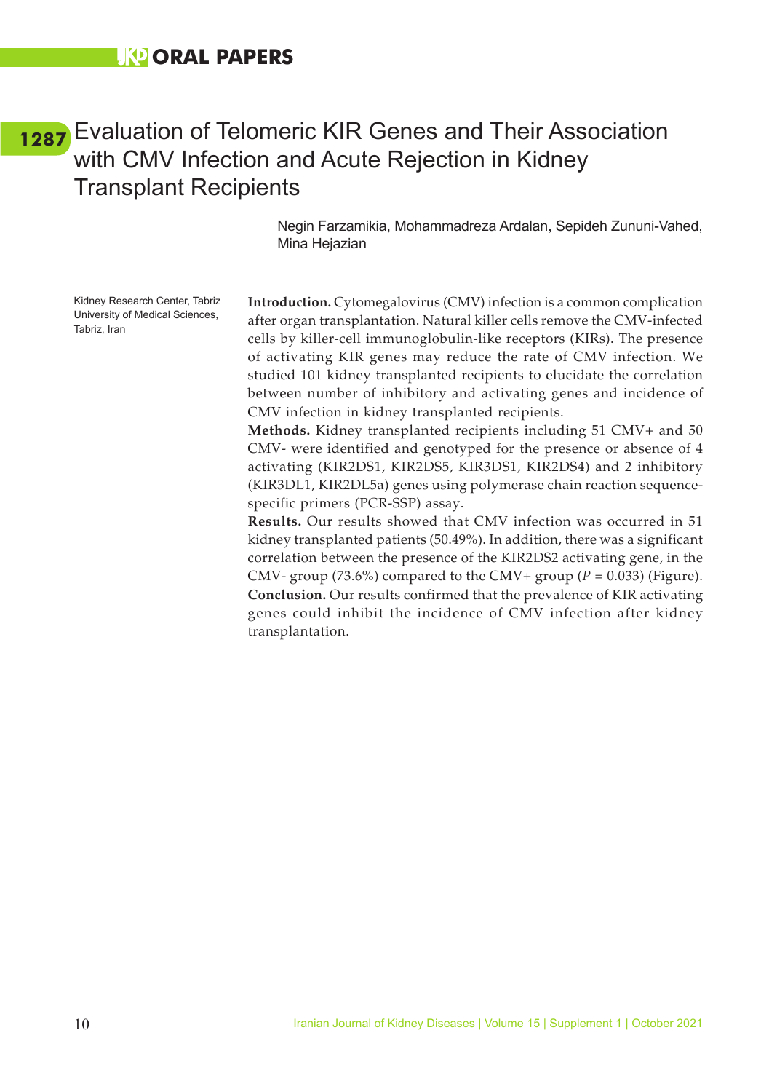### <span id="page-18-0"></span>Evaluation of Telomeric KIR Genes and Their Association **[1287](#page-5-0)**with CMV Infection and Acute Rejection in Kidney Transplant Recipients

Negin Farzamikia, Mohammadreza Ardalan, Sepideh Zununi-Vahed, Mina Hejazian

Kidney Research Center, Tabriz University of Medical Sciences, Tabriz, Iran

**Introduction.** Cytomegalovirus (CMV) infection is a common complication after organ transplantation. Natural killer cells remove the CMV-infected cells by killer-cell immunoglobulin-like receptors (KIRs). The presence of activating KIR genes may reduce the rate of CMV infection. We studied 101 kidney transplanted recipients to elucidate the correlation between number of inhibitory and activating genes and incidence of CMV infection in kidney transplanted recipients.

**Methods.** Kidney transplanted recipients including 51 CMV+ and 50 CMV- were identified and genotyped for the presence or absence of 4 activating (KIR2DS1, KIR2DS5, KIR3DS1, KIR2DS4) and 2 inhibitory (KIR3DL1, KIR2DL5a) genes using polymerase chain reaction sequencespecific primers (PCR-SSP) assay.

**Results.** Our results showed that CMV infection was occurred in 51 kidney transplanted patients (50.49%). In addition, there was a significant correlation between the presence of the KIR2DS2 activating gene, in the CMV- group (73.6%) compared to the CMV+ group ( $P = 0.033$ ) (Figure). **Conclusion.** Our results confirmed that the prevalence of KIR activating genes could inhibit the incidence of CMV infection after kidney transplantation.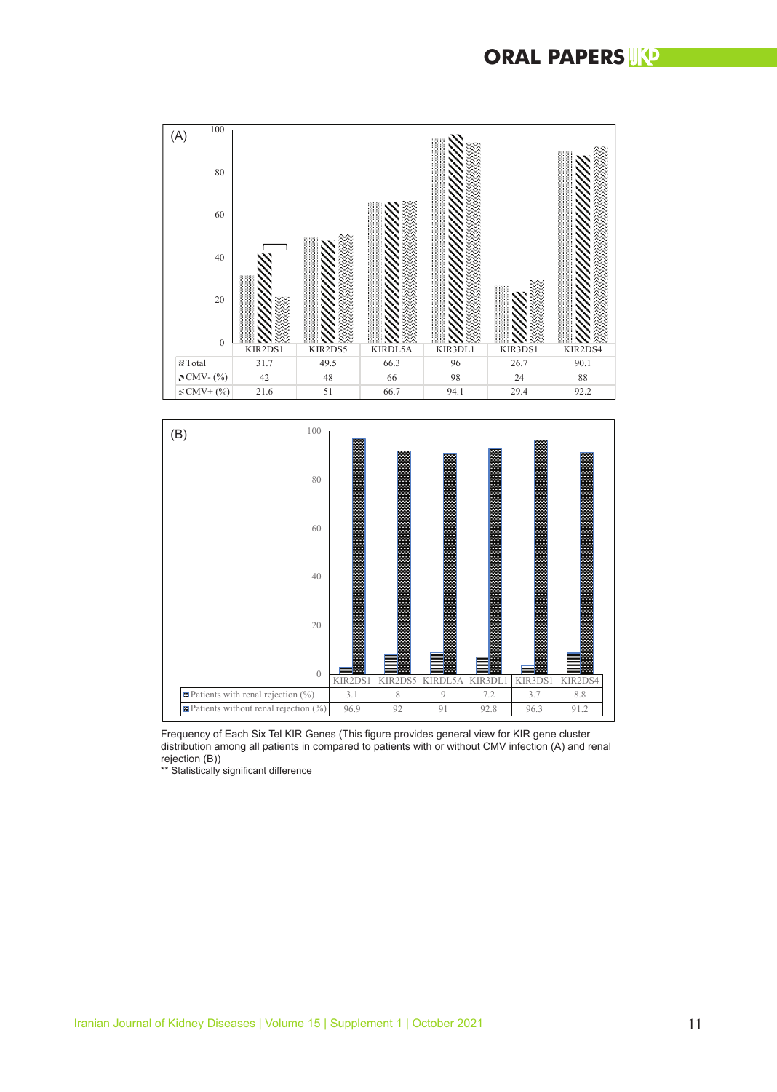





Ĩ \*\* Statistically significant difference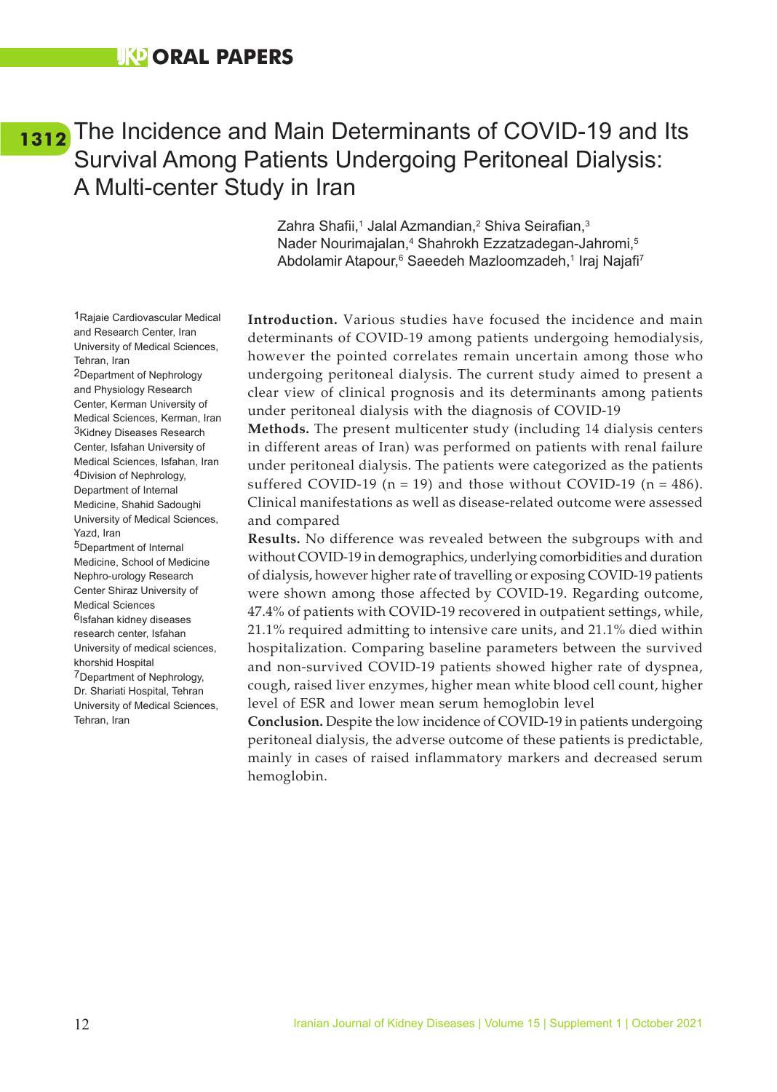### <span id="page-20-0"></span>[1312](#page-5-0) The Incidence and Main Determinants of COVID-19 and Its Survival Among Patients Undergoing Peritoneal Dialysis: A Multi-center Study in Iran

Zahra Shafii,<sup>1</sup> Jalal Azmandian,<sup>2</sup> Shiva Seirafian,<sup>3</sup> Nader Nourimajalan,<sup>4</sup> Shahrokh Ezzatzadegan-Jahromi,<sup>5</sup> Abdolamir Atapour,<sup>6</sup> Saeedeh Mazloomzadeh,<sup>1</sup> Iraj Najafi<sup>7</sup>

**Introduction.** Various studies have focused the incidence and main determinants of COVID-19 among patients undergoing hemodialysis, however the pointed correlates remain uncertain among those who undergoing peritoneal dialysis. The current study aimed to present a clear view of clinical prognosis and its determinants among patients under peritoneal dialysis with the diagnosis of COVID-19

**Methods.** The present multicenter study (including 14 dialysis centers in different areas of Iran) was performed on patients with renal failure under peritoneal dialysis. The patients were categorized as the patients suffered COVID-19 ( $n = 19$ ) and those without COVID-19 ( $n = 486$ ). Clinical manifestations as well as disease-related outcome were assessed and compared

**Results.** No difference was revealed between the subgroups with and without COVID-19 in demographics, underlying comorbidities and duration of dialysis, however higher rate of travelling or exposing COVID-19 patients were shown among those affected by COVID-19. Regarding outcome, 47.4% of patients with COVID-19 recovered in outpatient settings, while, 21.1% required admitting to intensive care units, and 21.1% died within hospitalization. Comparing baseline parameters between the survived and non-survived COVID-19 patients showed higher rate of dyspnea, cough, raised liver enzymes, higher mean white blood cell count, higher level of ESR and lower mean serum hemoglobin level

**Conclusion.** Despite the low incidence of COVID-19 in patients undergoing peritoneal dialysis, the adverse outcome of these patients is predictable, mainly in cases of raised inflammatory markers and decreased serum hemoglobin.

1Rajaie Cardiovascular Medical and Research Center, Iran University of Medical Sciences, Tehran, Iran

2Department of Nephrology and Physiology Research Center, Kerman University of Medical Sciences, Kerman, Iran 3Kidney Diseases Research Center, Isfahan University of Medical Sciences, Isfahan, Iran 4Division of Nephrology, Department of Internal Medicine, Shahid Sadoughi University of Medical Sciences, Yazd, Iran 5Department of Internal Medicine, School of Medicine Nephro-urology Research Center Shiraz University of Medical Sciences 6Isfahan kidney diseases research center, Isfahan University of medical sciences, khorshid Hospital 7Department of Nephrology, Dr. Shariati Hospital, Tehran University of Medical Sciences, Tehran, Iran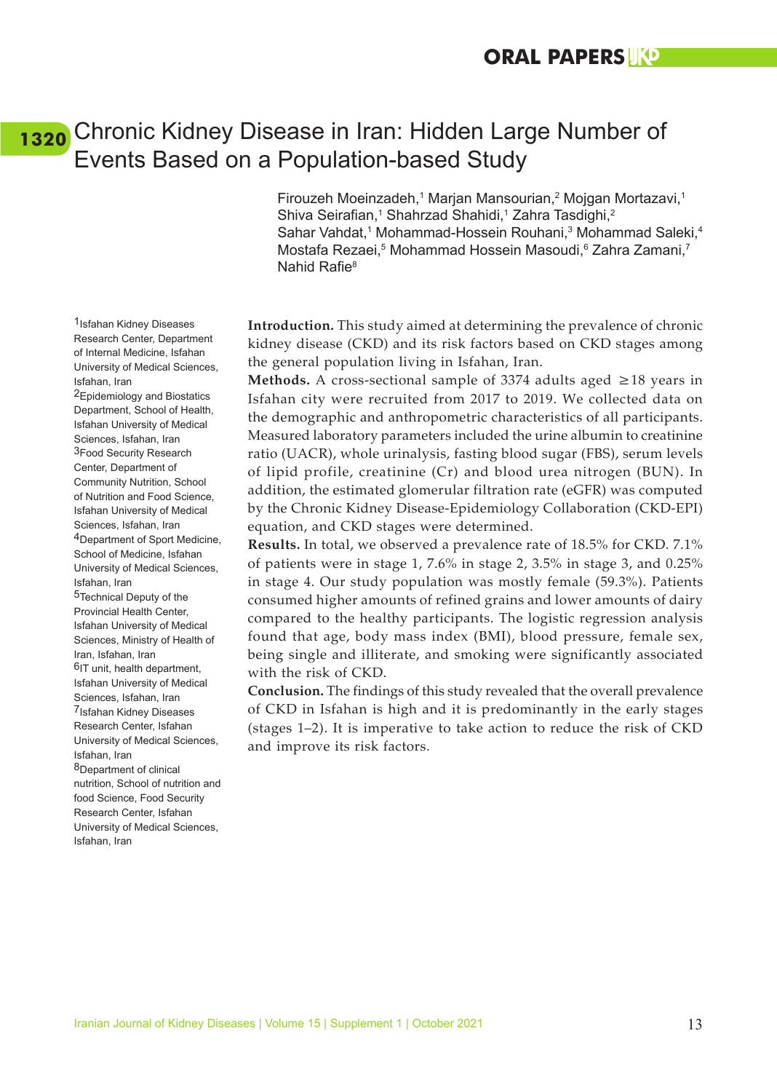### <span id="page-21-0"></span>Chronic Kidney Disease in Iran: Hidden Large Number of **[1320](#page-5-0)**Events Based on a Population-based Study

Firouzeh Moeinzadeh,<sup>1</sup> Marjan Mansourian,<sup>2</sup> Mojgan Mortazavi,<sup>1</sup> Shiva Seirafian,<sup>1</sup> Shahrzad Shahidi,<sup>1</sup> Zahra Tasdighi,<sup>2</sup> Sahar Vahdat,<sup>1</sup> Mohammad-Hossein Rouhani,<sup>3</sup> Mohammad Saleki,<sup>4</sup> Mostafa Rezaei,<sup>5</sup> Mohammad Hossein Masoudi,<sup>6</sup> Zahra Zamani,<sup>7</sup> Nahid Rafie<sup>8</sup>

**Introduction.** This study aimed at determining the prevalence of chronic kidney disease (CKD) and its risk factors based on CKD stages among the general population living in Isfahan, Iran.

**Methods.** A cross-sectional sample of 3374 adults aged ≥18 years in Isfahan city were recruited from 2017 to 2019. We collected data on the demographic and anthropometric characteristics of all participants. Measured laboratory parameters included the urine albumin to creatinine ratio (UACR), whole urinalysis, fasting blood sugar (FBS), serum levels of lipid profile, creatinine (Cr) and blood urea nitrogen (BUN). In addition, the estimated glomerular filtration rate (eGFR) was computed by the Chronic Kidney Disease-Epidemiology Collaboration (CKD-EPI) equation, and CKD stages were determined.

**Results.** In total, we observed a prevalence rate of 18.5% for CKD. 7.1% of patients were in stage 1, 7.6% in stage 2, 3.5% in stage 3, and 0.25% in stage 4. Our study population was mostly female (59.3%). Patients consumed higher amounts of refined grains and lower amounts of dairy compared to the healthy participants. The logistic regression analysis found that age, body mass index (BMI), blood pressure, female sex, being single and illiterate, and smoking were significantly associated with the risk of CKD.

**Conclusion.** The findings of this study revealed that the overall prevalence of CKD in Isfahan is high and it is predominantly in the early stages (stages 1–2). It is imperative to take action to reduce the risk of CKD and improve its risk factors.

1Isfahan Kidney Diseases Research Center, Department of Internal Medicine, Isfahan University of Medical Sciences, Isfahan, Iran

2Epidemiology and Biostatics Department, School of Health, Isfahan University of Medical Sciences, Isfahan, Iran 3Food Security Research Center, Department of Community Nutrition, School of Nutrition and Food Science, Isfahan University of Medical Sciences, Isfahan, Iran 4Department of Sport Medicine, School of Medicine, Isfahan University of Medical Sciences, Isfahan, Iran

5Technical Deputy of the Provincial Health Center, Isfahan University of Medical Sciences, Ministry of Health of Iran, Isfahan, Iran <sup>6</sup>IT unit, health department, Isfahan University of Medical Sciences, Isfahan, Iran 7Isfahan Kidney Diseases Research Center, Isfahan University of Medical Sciences, Isfahan, Iran 8Department of clinical nutrition, School of nutrition and food Science, Food Security Research Center, Isfahan University of Medical Sciences, Isfahan, Iran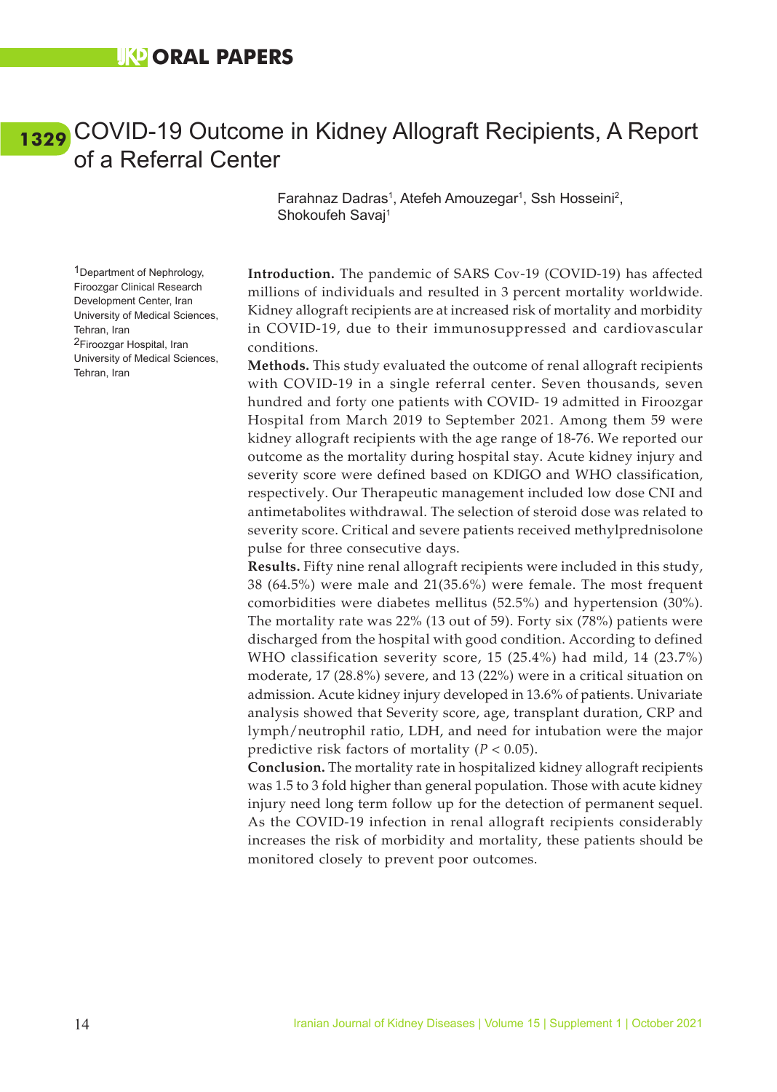### <span id="page-22-0"></span>COVID-19 Outcome in Kidney Allograft Recipients, A Report **[1329](#page-5-0)**of a Referral Center

Farahnaz Dadras<sup>1</sup>, Atefeh Amouzegar<sup>1</sup>, Ssh Hosseini<sup>2</sup>, Shokoufeh Savaj1

1Department of Nephrology, Firoozgar Clinical Research Development Center, Iran University of Medical Sciences, Tehran, Iran 2Firoozgar Hospital, Iran University of Medical Sciences, Tehran, Iran

**Introduction.** The pandemic of SARS Cov-19 (COVID-19) has affected millions of individuals and resulted in 3 percent mortality worldwide. Kidney allograft recipients are at increased risk of mortality and morbidity in COVID-19, due to their immunosuppressed and cardiovascular conditions.

**Methods.** This study evaluated the outcome of renal allograft recipients with COVID-19 in a single referral center. Seven thousands, seven hundred and forty one patients with COVID- 19 admitted in Firoozgar Hospital from March 2019 to September 2021. Among them 59 were kidney allograft recipients with the age range of 18-76. We reported our outcome as the mortality during hospital stay. Acute kidney injury and severity score were defined based on KDIGO and WHO classification, respectively. Our Therapeutic management included low dose CNI and antimetabolites withdrawal. The selection of steroid dose was related to severity score. Critical and severe patients received methylprednisolone pulse for three consecutive days.

**Results.** Fifty nine renal allograft recipients were included in this study, 38 (64.5%) were male and 21(35.6%) were female. The most frequent comorbidities were diabetes mellitus (52.5%) and hypertension (30%). The mortality rate was 22% (13 out of 59). Forty six (78%) patients were discharged from the hospital with good condition. According to defined WHO classification severity score, 15 (25.4%) had mild, 14 (23.7%) moderate, 17 (28.8%) severe, and 13 (22%) were in a critical situation on admission. Acute kidney injury developed in 13.6% of patients. Univariate analysis showed that Severity score, age, transplant duration, CRP and lymph/neutrophil ratio, LDH, and need for intubation were the major predictive risk factors of mortality (*P* < 0.05).

**Conclusion.** The mortality rate in hospitalized kidney allograft recipients was 1.5 to 3 fold higher than general population. Those with acute kidney injury need long term follow up for the detection of permanent sequel. As the COVID-19 infection in renal allograft recipients considerably increases the risk of morbidity and mortality, these patients should be monitored closely to prevent poor outcomes.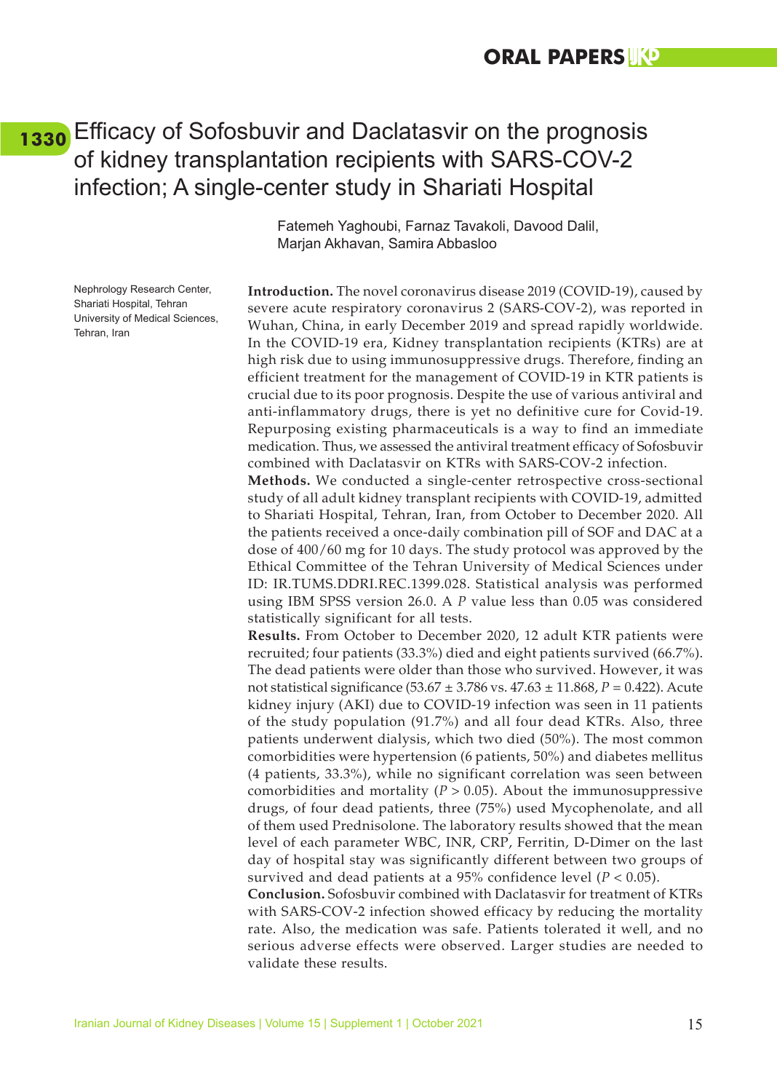### <span id="page-23-0"></span>Efficacy of Sofosbuvir and Daclatasvir on the prognosis **[1330](#page-5-0)**of kidney transplantation recipients with SARS-COV-2 infection; A single-center study in Shariati Hospital

Nephrology Research Center, Shariati Hospital, Tehran University of Medical Sciences, Tehran, Iran

Fatemeh Yaghoubi, Farnaz Tavakoli, Davood Dalil, Marjan Akhavan, Samira Abbasloo

**Introduction.** The novel coronavirus disease 2019 (COVID-19), caused by severe acute respiratory coronavirus 2 (SARS-COV-2), was reported in Wuhan, China, in early December 2019 and spread rapidly worldwide. In the COVID-19 era, Kidney transplantation recipients (KTRs) are at high risk due to using immunosuppressive drugs. Therefore, finding an efficient treatment for the management of COVID-19 in KTR patients is crucial due to its poor prognosis. Despite the use of various antiviral and anti-inflammatory drugs, there is yet no definitive cure for Covid-19. Repurposing existing pharmaceuticals is a way to find an immediate medication. Thus, we assessed the antiviral treatment efficacy of Sofosbuvir combined with Daclatasvir on KTRs with SARS-COV-2 infection.

**Methods.** We conducted a single-center retrospective cross-sectional study of all adult kidney transplant recipients with COVID-19, admitted to Shariati Hospital, Tehran, Iran, from October to December 2020. All the patients received a once-daily combination pill of SOF and DAC at a dose of 400/60 mg for 10 days. The study protocol was approved by the Ethical Committee of the Tehran University of Medical Sciences under ID: IR.TUMS.DDRI.REC.1399.028. Statistical analysis was performed using IBM SPSS version 26.0. A *P* value less than 0.05 was considered statistically significant for all tests.

**Results.** From October to December 2020, 12 adult KTR patients were recruited; four patients (33.3%) died and eight patients survived (66.7%). The dead patients were older than those who survived. However, it was not statistical significance (53.67 ± 3.786 vs. 47.63 ± 11.868, *P* = 0.422). Acute kidney injury (AKI) due to COVID-19 infection was seen in 11 patients of the study population (91.7%) and all four dead KTRs. Also, three patients underwent dialysis, which two died (50%). The most common comorbidities were hypertension (6 patients, 50%) and diabetes mellitus (4 patients, 33.3%), while no significant correlation was seen between comorbidities and mortality ( $P > 0.05$ ). About the immunosuppressive drugs, of four dead patients, three (75%) used Mycophenolate, and all of them used Prednisolone. The laboratory results showed that the mean level of each parameter WBC, INR, CRP, Ferritin, D-Dimer on the last day of hospital stay was significantly different between two groups of survived and dead patients at a 95% confidence level (*P* < 0.05).

**Conclusion.** Sofosbuvir combined with Daclatasvir for treatment of KTRs with SARS-COV-2 infection showed efficacy by reducing the mortality rate. Also, the medication was safe. Patients tolerated it well, and no serious adverse effects were observed. Larger studies are needed to validate these results.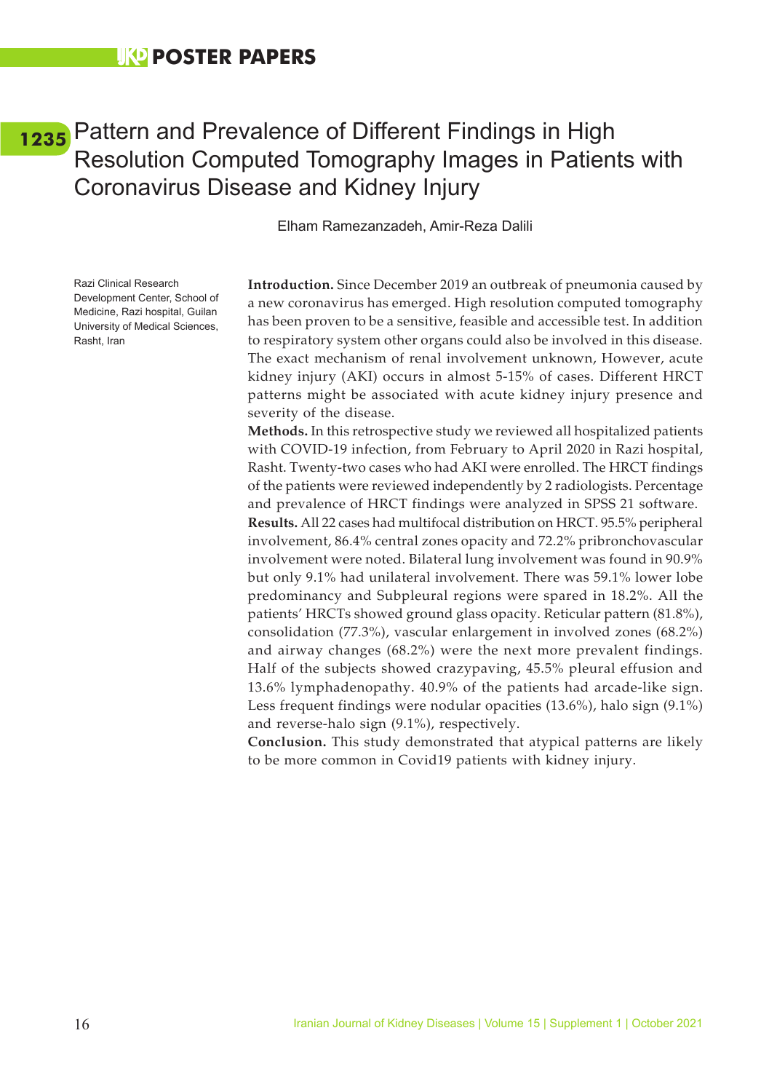## <span id="page-24-0"></span>Pattern and Prevalence of Different Findings in High **[1235](#page-6-0)**Resolution Computed Tomography Images in Patients with Coronavirus Disease and Kidney Injury

Elham Ramezanzadeh, Amir-Reza Dalili

Razi Clinical Research Development Center, School of Medicine, Razi hospital, Guilan University of Medical Sciences, Rasht, Iran

**Introduction.** Since December 2019 an outbreak of pneumonia caused by a new coronavirus has emerged. High resolution computed tomography has been proven to be a sensitive, feasible and accessible test. In addition to respiratory system other organs could also be involved in this disease. The exact mechanism of renal involvement unknown, However, acute kidney injury (AKI) occurs in almost 5-15% of cases. Different HRCT patterns might be associated with acute kidney injury presence and severity of the disease.

**Methods.** In this retrospective study we reviewed all hospitalized patients with COVID-19 infection, from February to April 2020 in Razi hospital, Rasht. Twenty-two cases who had AKI were enrolled. The HRCT findings of the patients were reviewed independently by 2 radiologists. Percentage and prevalence of HRCT findings were analyzed in SPSS 21 software. **Results.** All 22 cases had multifocal distribution on HRCT. 95.5% peripheral involvement, 86.4% central zones opacity and 72.2% pribronchovascular involvement were noted. Bilateral lung involvement was found in 90.9% but only 9.1% had unilateral involvement. There was 59.1% lower lobe predominancy and Subpleural regions were spared in 18.2%. All the patients' HRCTs showed ground glass opacity. Reticular pattern (81.8%), consolidation (77.3%), vascular enlargement in involved zones (68.2%) and airway changes (68.2%) were the next more prevalent findings. Half of the subjects showed crazypaving, 45.5% pleural effusion and 13.6% lymphadenopathy. 40.9% of the patients had arcade-like sign. Less frequent findings were nodular opacities (13.6%), halo sign (9.1%) and reverse-halo sign (9.1%), respectively.

**Conclusion.** This study demonstrated that atypical patterns are likely to be more common in Covid19 patients with kidney injury.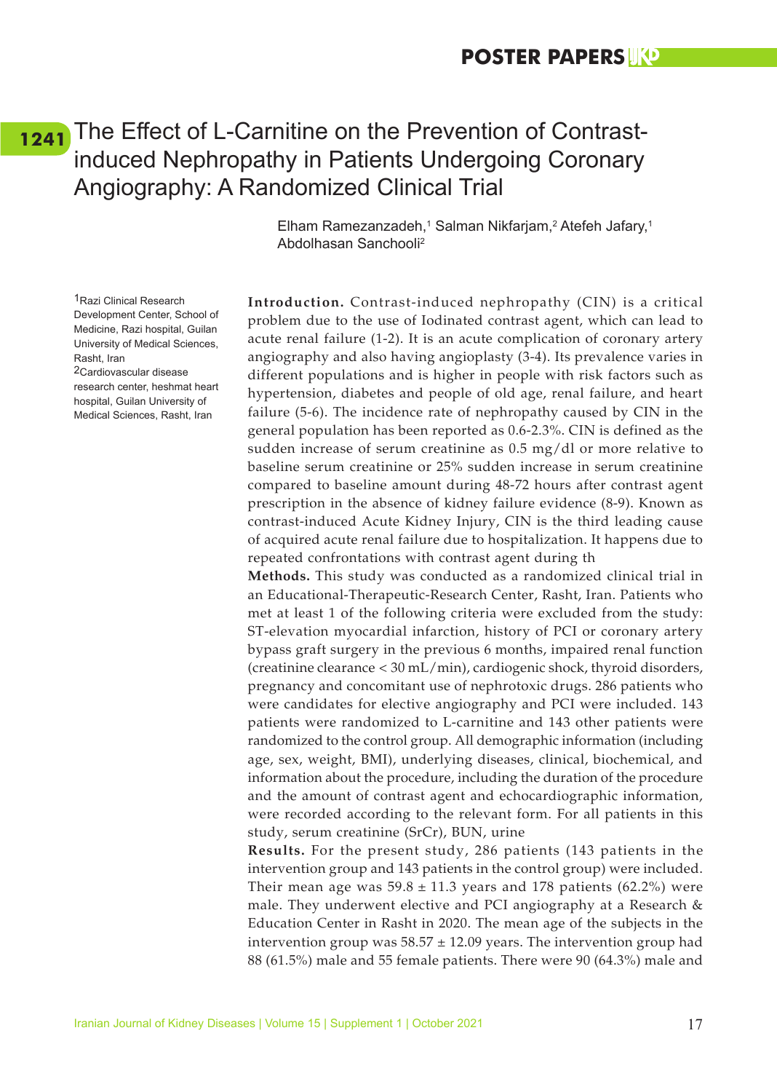## <span id="page-25-0"></span>[1241](#page-6-0) The Effect of L-Carnitine on the Prevention of Contrastinduced Nephropathy in Patients Undergoing Coronary Angiography: A Randomized Clinical Trial

Elham Ramezanzadeh,<sup>1</sup> Salman Nikfarjam,<sup>2</sup> Atefeh Jafary,<sup>1</sup> Abdolhasan Sanchooli2

**Introduction.** Contrast-induced nephropathy (CIN) is a critical problem due to the use of Iodinated contrast agent, which can lead to acute renal failure (1-2). It is an acute complication of coronary artery angiography and also having angioplasty (3-4). Its prevalence varies in different populations and is higher in people with risk factors such as hypertension, diabetes and people of old age, renal failure, and heart failure (5-6). The incidence rate of nephropathy caused by CIN in the general population has been reported as 0.6-2.3%. CIN is defined as the sudden increase of serum creatinine as 0.5 mg/dl or more relative to baseline serum creatinine or 25% sudden increase in serum creatinine compared to baseline amount during 48-72 hours after contrast agent prescription in the absence of kidney failure evidence (8-9). Known as contrast-induced Acute Kidney Injury, CIN is the third leading cause of acquired acute renal failure due to hospitalization. It happens due to repeated confrontations with contrast agent during th

**Methods.** This study was conducted as a randomized clinical trial in an Educational-Therapeutic-Research Center, Rasht, Iran. Patients who met at least 1 of the following criteria were excluded from the study: ST-elevation myocardial infarction, history of PCI or coronary artery bypass graft surgery in the previous 6 months, impaired renal function (creatinine clearance < 30 mL/min), cardiogenic shock, thyroid disorders, pregnancy and concomitant use of nephrotoxic drugs. 286 patients who were candidates for elective angiography and PCI were included. 143 patients were randomized to L-carnitine and 143 other patients were randomized to the control group. All demographic information (including age, sex, weight, BMI), underlying diseases, clinical, biochemical, and information about the procedure, including the duration of the procedure and the amount of contrast agent and echocardiographic information, were recorded according to the relevant form. For all patients in this study, serum creatinine (SrCr), BUN, urine

**Results.** For the present study, 286 patients (143 patients in the intervention group and 143 patients in the control group) were included. Their mean age was  $59.8 \pm 11.3$  years and 178 patients (62.2%) were male. They underwent elective and PCI angiography at a Research & Education Center in Rasht in 2020. The mean age of the subjects in the intervention group was  $58.57 \pm 12.09$  years. The intervention group had 88 (61.5%) male and 55 female patients. There were 90 (64.3%) male and

1Razi Clinical Research Development Center, School of Medicine, Razi hospital, Guilan University of Medical Sciences, Rasht, Iran 2Cardiovascular disease

research center, heshmat heart hospital, Guilan University of Medical Sciences, Rasht, Iran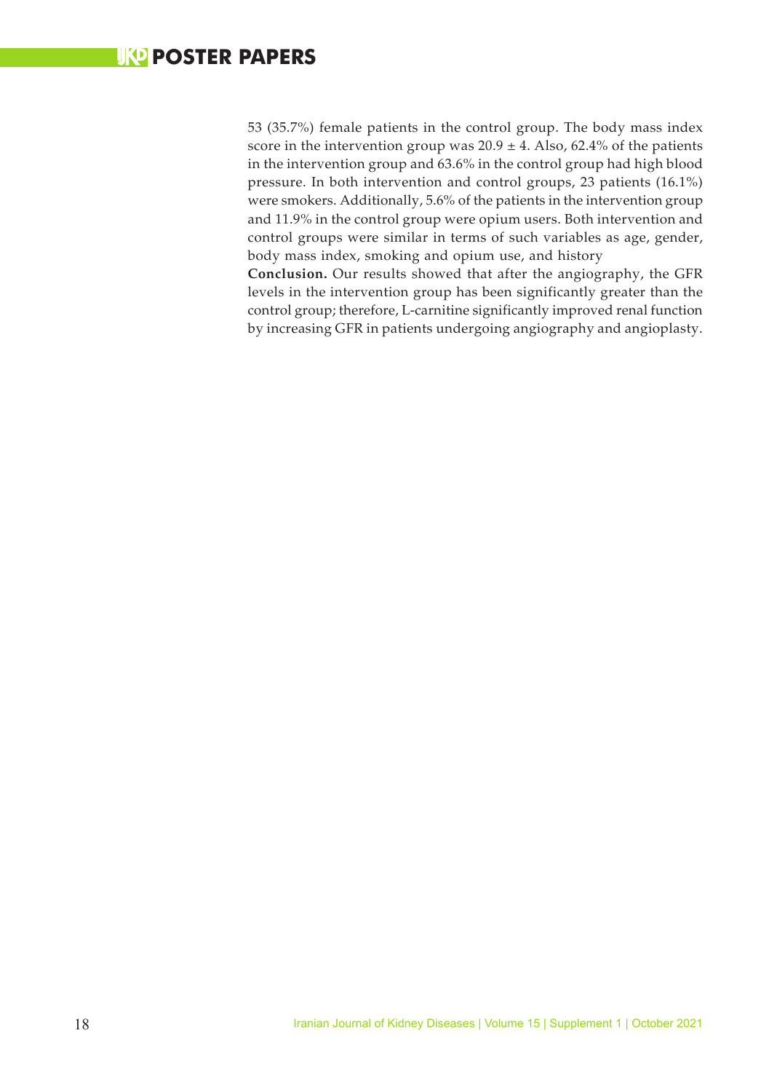53 (35.7%) female patients in the control group. The body mass index score in the intervention group was  $20.9 \pm 4$ . Also, 62.4% of the patients in the intervention group and 63.6% in the control group had high blood pressure. In both intervention and control groups, 23 patients (16.1%) were smokers. Additionally, 5.6% of the patients in the intervention group and 11.9% in the control group were opium users. Both intervention and control groups were similar in terms of such variables as age, gender, body mass index, smoking and opium use, and history

**Conclusion.** Our results showed that after the angiography, the GFR levels in the intervention group has been significantly greater than the control group; therefore, L-carnitine significantly improved renal function by increasing GFR in patients undergoing angiography and angioplasty.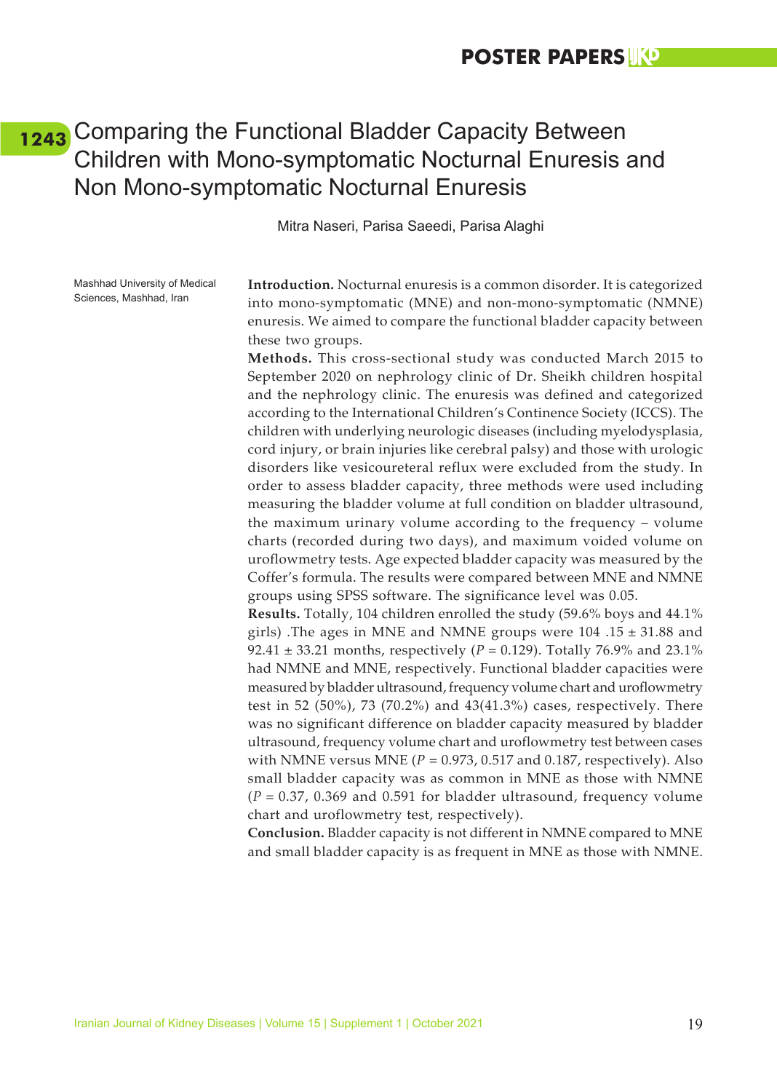## <span id="page-27-0"></span>Comparing the Functional Bladder Capacity Between **[1243](#page-6-0)**Children with Mono-symptomatic Nocturnal Enuresis and Non Mono-symptomatic Nocturnal Enuresis

Mitra Naseri, Parisa Saeedi, Parisa Alaghi

Mashhad University of Medical Sciences, Mashhad, Iran

**Introduction.** Nocturnal enuresis is a common disorder. It is categorized into mono-symptomatic (MNE) and non-mono-symptomatic (NMNE) enuresis. We aimed to compare the functional bladder capacity between these two groups.

**Methods.** This cross-sectional study was conducted March 2015 to September 2020 on nephrology clinic of Dr. Sheikh children hospital and the nephrology clinic. The enuresis was defined and categorized according to the International Children's Continence Society (ICCS). The children with underlying neurologic diseases (including myelodysplasia, cord injury, or brain injuries like cerebral palsy) and those with urologic disorders like vesicoureteral reflux were excluded from the study. In order to assess bladder capacity, three methods were used including measuring the bladder volume at full condition on bladder ultrasound, the maximum urinary volume according to the frequency – volume charts (recorded during two days), and maximum voided volume on uroflowmetry tests. Age expected bladder capacity was measured by the Coffer's formula. The results were compared between MNE and NMNE groups using SPSS software. The significance level was 0.05.

**Results.** Totally, 104 children enrolled the study (59.6% boys and 44.1% girls) .The ages in MNE and NMNE groups were 104 .15 ± 31.88 and 92.41 ± 33.21 months, respectively (*P* = 0.129). Totally 76.9% and 23.1% had NMNE and MNE, respectively. Functional bladder capacities were measured by bladder ultrasound, frequency volume chart and uroflowmetry test in 52 (50%), 73 (70.2%) and 43(41.3%) cases, respectively. There was no significant difference on bladder capacity measured by bladder ultrasound, frequency volume chart and uroflowmetry test between cases with NMNE versus MNE  $(P = 0.973, 0.517$  and 0.187, respectively). Also small bladder capacity was as common in MNE as those with NMNE (*P* = 0.37, 0.369 and 0.591 for bladder ultrasound, frequency volume chart and uroflowmetry test, respectively).

**Conclusion.** Bladder capacity is not different in NMNE compared to MNE and small bladder capacity is as frequent in MNE as those with NMNE.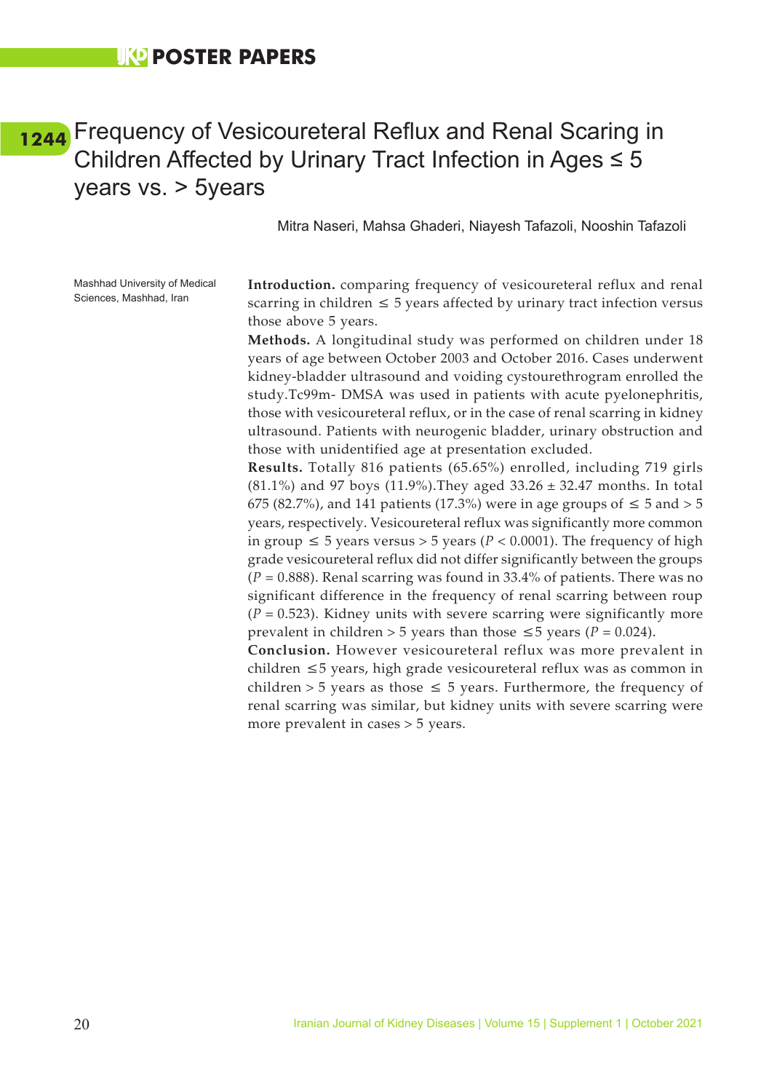### <span id="page-28-0"></span>Frequency of Vesicoureteral Reflux and Renal Scaring in **[1244](#page-6-0)**Children Affected by Urinary Tract Infection in Ages ≤ 5 years vs. > 5years

Mitra Naseri, Mahsa Ghaderi, Niayesh Tafazoli, Nooshin Tafazoli

Mashhad University of Medical Sciences, Mashhad, Iran

**Introduction.** comparing frequency of vesicoureteral reflux and renal scarring in children  $\leq 5$  years affected by urinary tract infection versus those above 5 years.

**Methods.** A longitudinal study was performed on children under 18 years of age between October 2003 and October 2016. Cases underwent kidney-bladder ultrasound and voiding cystourethrogram enrolled the study.Tc99m- DMSA was used in patients with acute pyelonephritis, those with vesicoureteral reflux, or in the case of renal scarring in kidney ultrasound. Patients with neurogenic bladder, urinary obstruction and those with unidentified age at presentation excluded.

**Results.** Totally 816 patients (65.65%) enrolled, including 719 girls  $(81.1\%)$  and 97 boys  $(11.9\%)$ . They aged  $33.26 \pm 32.47$  months. In total 675 (82.7%), and 141 patients (17.3%) were in age groups of  $\leq 5$  and  $> 5$ years, respectively. Vesicoureteral reflux was significantly more common in group ≤ 5 years versus > 5 years (*P* < 0.0001). The frequency of high grade vesicoureteral reflux did not differ significantly between the groups (*P* = 0.888). Renal scarring was found in 33.4% of patients. There was no significant difference in the frequency of renal scarring between roup  $(P = 0.523)$ . Kidney units with severe scarring were significantly more prevalent in children > 5 years than those ≤5 years ( $P = 0.024$ ).

**Conclusion.** However vesicoureteral reflux was more prevalent in children ≤5 years, high grade vesicoureteral reflux was as common in children > 5 years as those  $\leq$  5 years. Furthermore, the frequency of renal scarring was similar, but kidney units with severe scarring were more prevalent in cases > 5 years.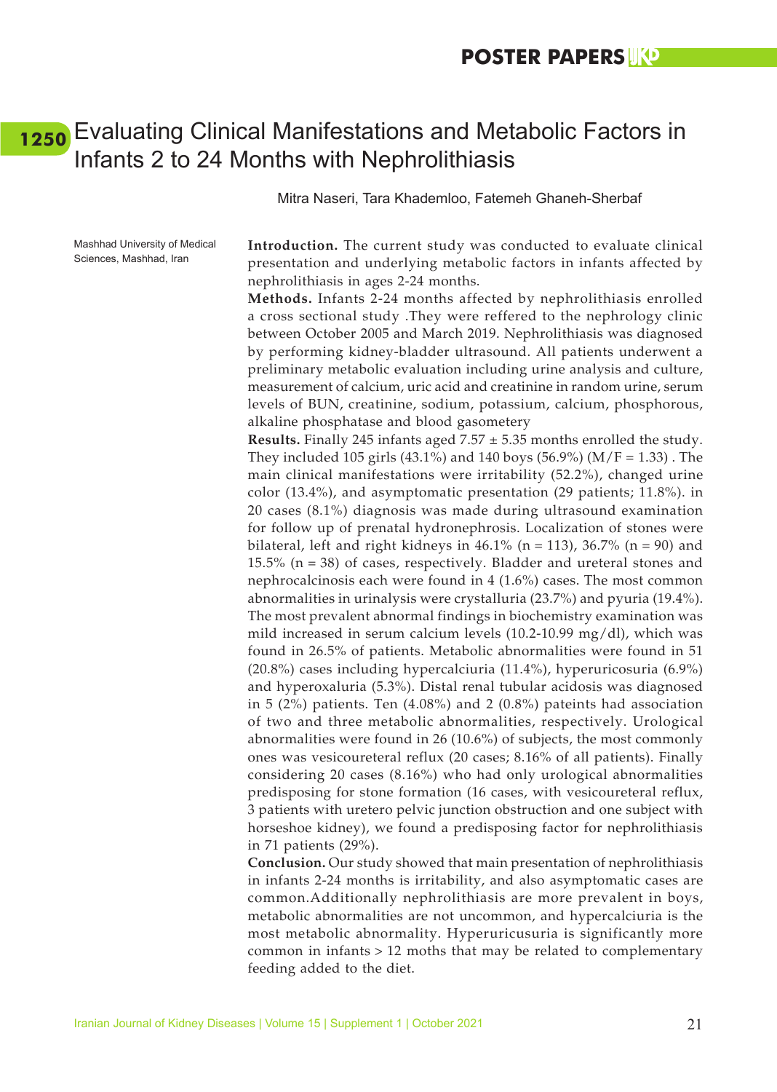### <span id="page-29-0"></span>Evaluating Clinical Manifestations and Metabolic Factors in **[1250](#page-6-0)**Infants 2 to 24 Months with Nephrolithiasis

Mitra Naseri, Tara Khademloo, Fatemeh Ghaneh-Sherbaf

Mashhad University of Medical Sciences, Mashhad, Iran

**Introduction.** The current study was conducted to evaluate clinical presentation and underlying metabolic factors in infants affected by nephrolithiasis in ages 2-24 months.

**Methods.** Infants 2-24 months affected by nephrolithiasis enrolled a cross sectional study .They were reffered to the nephrology clinic between October 2005 and March 2019. Nephrolithiasis was diagnosed by performing kidney-bladder ultrasound. All patients underwent a preliminary metabolic evaluation including urine analysis and culture, measurement of calcium, uric acid and creatinine in random urine, serum levels of BUN, creatinine, sodium, potassium, calcium, phosphorous, alkaline phosphatase and blood gasometery

**Results.** Finally 245 infants aged 7.57 ± 5.35 months enrolled the study. They included 105 girls (43.1%) and 140 boys (56.9%) ( $M/F = 1.33$ ). The main clinical manifestations were irritability (52.2%), changed urine color (13.4%), and asymptomatic presentation (29 patients; 11.8%). in 20 cases (8.1%) diagnosis was made during ultrasound examination for follow up of prenatal hydronephrosis. Localization of stones were bilateral, left and right kidneys in  $46.1\%$  (n = 113),  $36.7\%$  (n = 90) and 15.5% ( $n = 38$ ) of cases, respectively. Bladder and ureteral stones and nephrocalcinosis each were found in 4 (1.6%) cases. The most common abnormalities in urinalysis were crystalluria (23.7%) and pyuria (19.4%). The most prevalent abnormal findings in biochemistry examination was mild increased in serum calcium levels (10.2-10.99 mg/dl), which was found in 26.5% of patients. Metabolic abnormalities were found in 51 (20.8%) cases including hypercalciuria (11.4%), hyperuricosuria (6.9%) and hyperoxaluria (5.3%). Distal renal tubular acidosis was diagnosed in 5 (2%) patients. Ten (4.08%) and 2 (0.8%) pateints had association of two and three metabolic abnormalities, respectively. Urological abnormalities were found in 26 (10.6%) of subjects, the most commonly ones was vesicoureteral reflux (20 cases; 8.16% of all patients). Finally considering 20 cases (8.16%) who had only urological abnormalities predisposing for stone formation (16 cases, with vesicoureteral reflux, 3 patients with uretero pelvic junction obstruction and one subject with horseshoe kidney), we found a predisposing factor for nephrolithiasis in 71 patients (29%).

**Conclusion.** Our study showed that main presentation of nephrolithiasis in infants 2-24 months is irritability, and also asymptomatic cases are common.Additionally nephrolithiasis are more prevalent in boys, metabolic abnormalities are not uncommon, and hypercalciuria is the most metabolic abnormality. Hyperuricusuria is significantly more common in infants > 12 moths that may be related to complementary feeding added to the diet.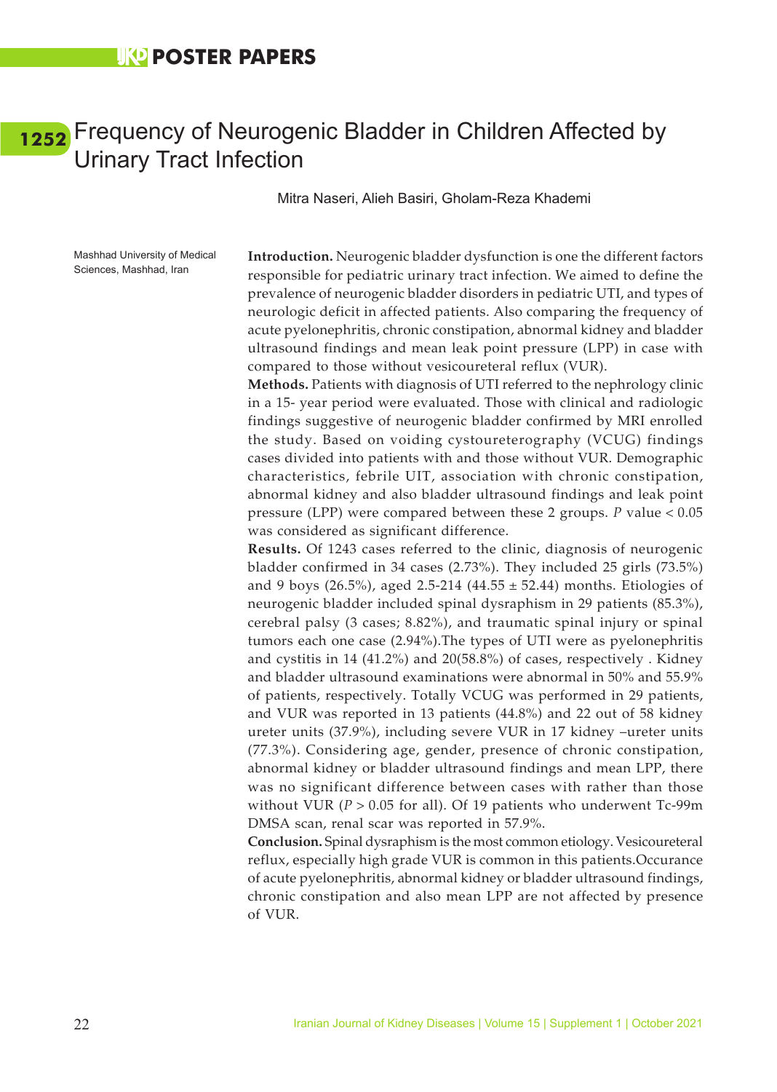### <span id="page-30-0"></span>Frequency of Neurogenic Bladder in Children Affected by **[1252](#page-6-0)**Urinary Tract Infection

#### Mitra Naseri, Alieh Basiri, Gholam-Reza Khademi

Mashhad University of Medical Sciences, Mashhad, Iran

**Introduction.** Neurogenic bladder dysfunction is one the different factors responsible for pediatric urinary tract infection. We aimed to define the prevalence of neurogenic bladder disorders in pediatric UTI, and types of neurologic deficit in affected patients. Also comparing the frequency of acute pyelonephritis, chronic constipation, abnormal kidney and bladder ultrasound findings and mean leak point pressure (LPP) in case with compared to those without vesicoureteral reflux (VUR).

**Methods.** Patients with diagnosis of UTI referred to the nephrology clinic in a 15- year period were evaluated. Those with clinical and radiologic findings suggestive of neurogenic bladder confirmed by MRI enrolled the study. Based on voiding cystoureterography (VCUG) findings cases divided into patients with and those without VUR. Demographic characteristics, febrile UIT, association with chronic constipation, abnormal kidney and also bladder ultrasound findings and leak point pressure (LPP) were compared between these 2 groups. *P* value < 0.05 was considered as significant difference.

**Results.** Of 1243 cases referred to the clinic, diagnosis of neurogenic bladder confirmed in 34 cases (2.73%). They included 25 girls (73.5%) and 9 boys (26.5%), aged 2.5-214 (44.55  $\pm$  52.44) months. Etiologies of neurogenic bladder included spinal dysraphism in 29 patients (85.3%), cerebral palsy (3 cases; 8.82%), and traumatic spinal injury or spinal tumors each one case (2.94%).The types of UTI were as pyelonephritis and cystitis in 14 (41.2%) and 20(58.8%) of cases, respectively . Kidney and bladder ultrasound examinations were abnormal in 50% and 55.9% of patients, respectively. Totally VCUG was performed in 29 patients, and VUR was reported in 13 patients (44.8%) and 22 out of 58 kidney ureter units (37.9%), including severe VUR in 17 kidney –ureter units (77.3%). Considering age, gender, presence of chronic constipation, abnormal kidney or bladder ultrasound findings and mean LPP, there was no significant difference between cases with rather than those without VUR (*P* > 0.05 for all). Of 19 patients who underwent Tc-99m DMSA scan, renal scar was reported in 57.9%.

**Conclusion.** Spinal dysraphism is the most common etiology. Vesicoureteral reflux, especially high grade VUR is common in this patients.Occurance of acute pyelonephritis, abnormal kidney or bladder ultrasound findings, chronic constipation and also mean LPP are not affected by presence of VUR.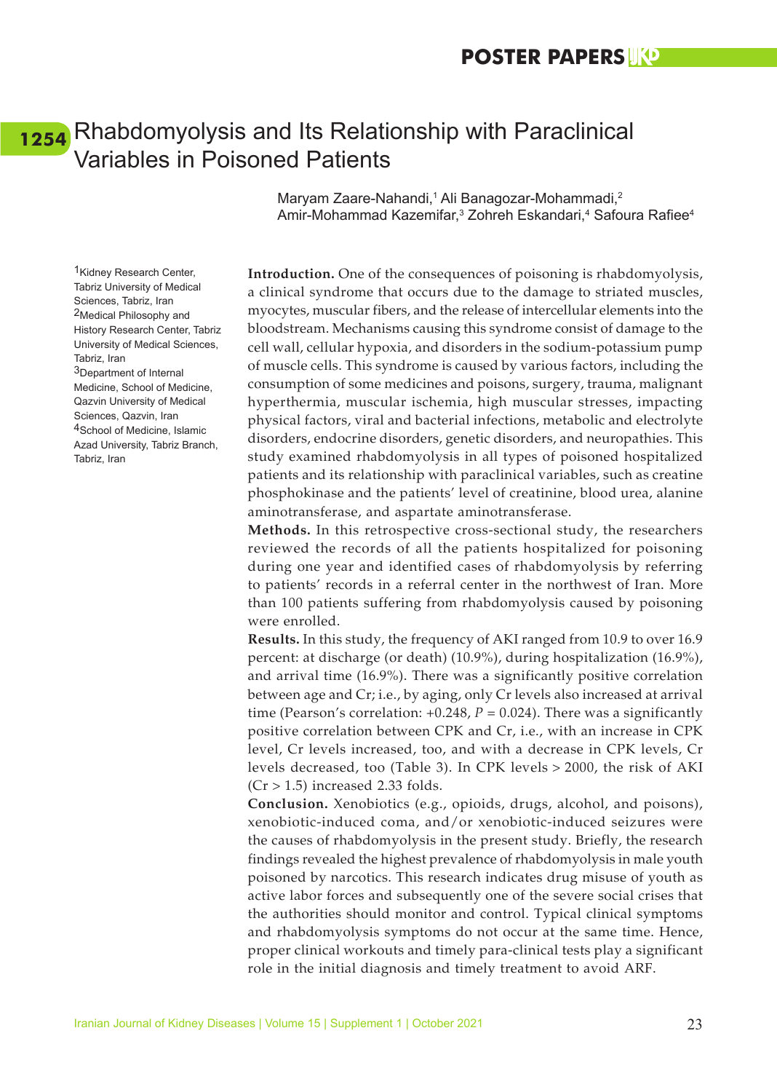### <span id="page-31-0"></span>Rhabdomyolysis and Its Relationship with Paraclinical **[1254](#page-6-0)**Variables in Poisoned Patients

Maryam Zaare-Nahandi,<sup>1</sup> Ali Banagozar-Mohammadi,<sup>2</sup> Amir-Mohammad Kazemifar,<sup>3</sup> Zohreh Eskandari,<sup>4</sup> Safoura Rafiee<sup>4</sup>

**Introduction.** One of the consequences of poisoning is rhabdomyolysis, a clinical syndrome that occurs due to the damage to striated muscles, myocytes, muscular fibers, and the release of intercellular elements into the bloodstream. Mechanisms causing this syndrome consist of damage to the cell wall, cellular hypoxia, and disorders in the sodium-potassium pump of muscle cells. This syndrome is caused by various factors, including the consumption of some medicines and poisons, surgery, trauma, malignant hyperthermia, muscular ischemia, high muscular stresses, impacting physical factors, viral and bacterial infections, metabolic and electrolyte disorders, endocrine disorders, genetic disorders, and neuropathies. This study examined rhabdomyolysis in all types of poisoned hospitalized patients and its relationship with paraclinical variables, such as creatine phosphokinase and the patients' level of creatinine, blood urea, alanine aminotransferase, and aspartate aminotransferase.

**Methods.** In this retrospective cross-sectional study, the researchers reviewed the records of all the patients hospitalized for poisoning during one year and identified cases of rhabdomyolysis by referring to patients' records in a referral center in the northwest of Iran. More than 100 patients suffering from rhabdomyolysis caused by poisoning were enrolled.

**Results.** In this study, the frequency of AKI ranged from 10.9 to over 16.9 percent: at discharge (or death) (10.9%), during hospitalization (16.9%), and arrival time (16.9%). There was a significantly positive correlation between age and Cr; i.e., by aging, only Cr levels also increased at arrival time (Pearson's correlation:  $+0.248$ ,  $P = 0.024$ ). There was a significantly positive correlation between CPK and Cr, i.e., with an increase in CPK level, Cr levels increased, too, and with a decrease in CPK levels, Cr levels decreased, too (Table 3). In CPK levels > 2000, the risk of AKI  $(Cr > 1.5)$  increased 2.33 folds.

**Conclusion.** Xenobiotics (e.g., opioids, drugs, alcohol, and poisons), xenobiotic-induced coma, and/or xenobiotic-induced seizures were the causes of rhabdomyolysis in the present study. Briefly, the research findings revealed the highest prevalence of rhabdomyolysis in male youth poisoned by narcotics. This research indicates drug misuse of youth as active labor forces and subsequently one of the severe social crises that the authorities should monitor and control. Typical clinical symptoms and rhabdomyolysis symptoms do not occur at the same time. Hence, proper clinical workouts and timely para-clinical tests play a significant role in the initial diagnosis and timely treatment to avoid ARF.

1Kidney Research Center, Tabriz University of Medical Sciences, Tabriz, Iran 2Medical Philosophy and History Research Center, Tabriz University of Medical Sciences, Tabriz, Iran 3Department of Internal Medicine, School of Medicine, Qazvin University of Medical Sciences, Qazvin, Iran 4School of Medicine, Islamic Azad University, Tabriz Branch, Tabriz, Iran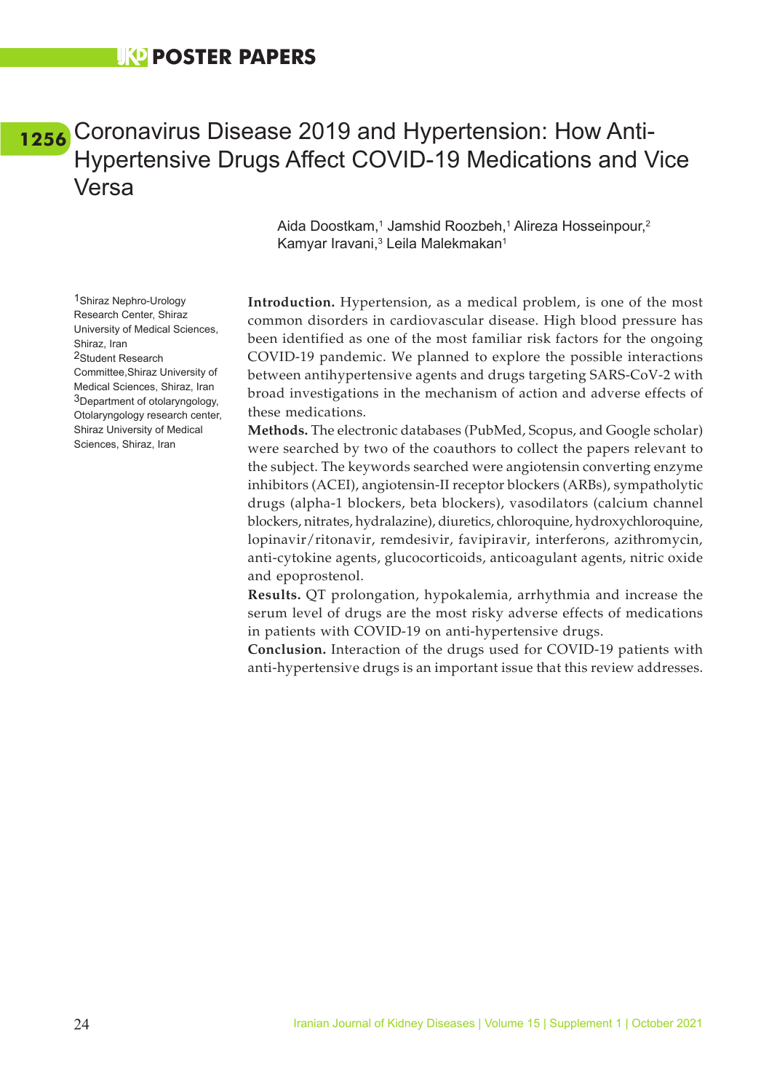## <span id="page-32-0"></span>Coronavirus Disease 2019 and Hypertension: How Anti-**[1256](#page-6-0)**Hypertensive Drugs Affect COVID-19 Medications and Vice Versa

Aida Doostkam,<sup>1</sup> Jamshid Roozbeh,<sup>1</sup> Alireza Hosseinpour,<sup>2</sup> Kamyar Iravani,<sup>3</sup> Leila Malekmakan<sup>1</sup>

**Introduction.** Hypertension, as a medical problem, is one of the most common disorders in cardiovascular disease. High blood pressure has been identified as one of the most familiar risk factors for the ongoing COVID-19 pandemic. We planned to explore the possible interactions between antihypertensive agents and drugs targeting SARS-CoV-2 with broad investigations in the mechanism of action and adverse effects of these medications.

**Methods.** The electronic databases (PubMed, Scopus, and Google scholar) were searched by two of the coauthors to collect the papers relevant to the subject. The keywords searched were angiotensin converting enzyme inhibitors (ACEI), angiotensin-II receptor blockers (ARBs), sympatholytic drugs (alpha-1 blockers, beta blockers), vasodilators (calcium channel blockers, nitrates, hydralazine), diuretics, chloroquine, hydroxychloroquine, lopinavir/ritonavir, remdesivir, favipiravir, interferons, azithromycin, anti-cytokine agents, glucocorticoids, anticoagulant agents, nitric oxide and epoprostenol.

**Results.** QT prolongation, hypokalemia, arrhythmia and increase the serum level of drugs are the most risky adverse effects of medications in patients with COVID-19 on anti-hypertensive drugs.

**Conclusion.** Interaction of the drugs used for COVID-19 patients with anti-hypertensive drugs is an important issue that this review addresses.

1Shiraz Nephro-Urology Research Center, Shiraz University of Medical Sciences, Shiraz, Iran 2Student Research Committee,Shiraz University of Medical Sciences, Shiraz, Iran 3Department of otolaryngology, Otolaryngology research center, Shiraz University of Medical Sciences, Shiraz, Iran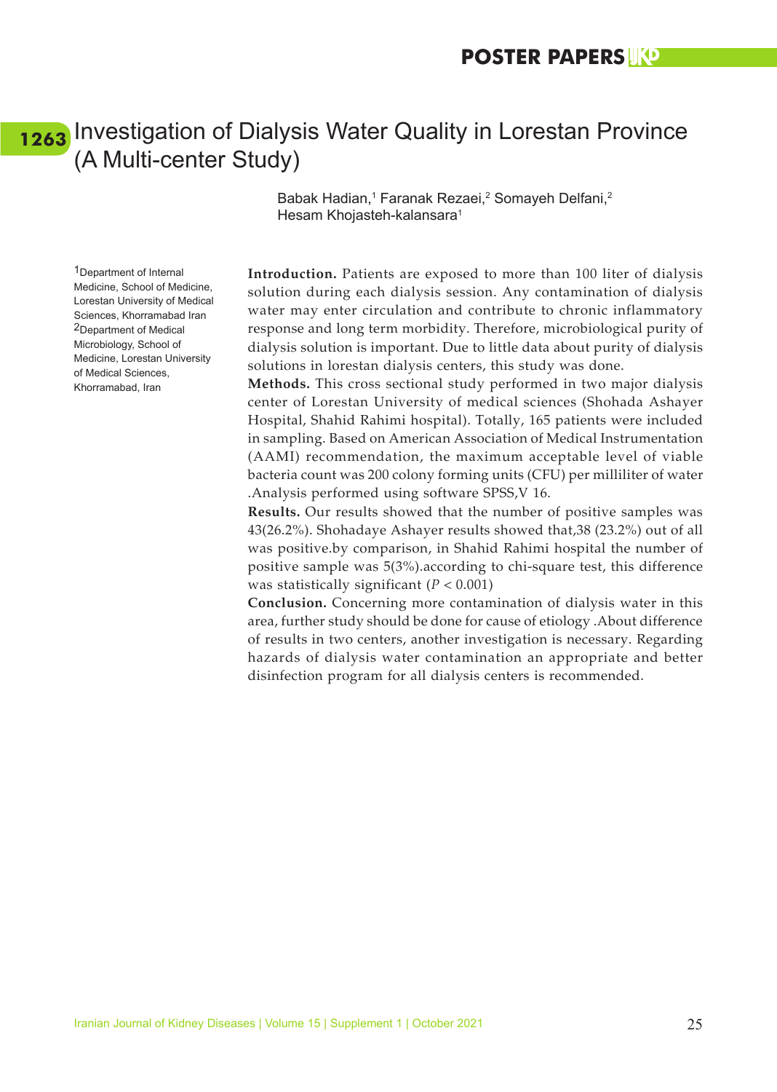### <span id="page-33-0"></span>[1263](#page-6-0) Investigation of Dialysis Water Quality in Lorestan Province (A Multi-center Study)

Babak Hadian,<sup>1</sup> Faranak Rezaei,<sup>2</sup> Somayeh Delfani,<sup>2</sup> Hesam Khojasteh-kalansara<sup>1</sup>

1Department of Internal Medicine, School of Medicine, Lorestan University of Medical Sciences, Khorramabad Iran 2Department of Medical Microbiology, School of Medicine, Lorestan University of Medical Sciences, Khorramabad, Iran

**Introduction.** Patients are exposed to more than 100 liter of dialysis solution during each dialysis session. Any contamination of dialysis water may enter circulation and contribute to chronic inflammatory response and long term morbidity. Therefore, microbiological purity of dialysis solution is important. Due to little data about purity of dialysis solutions in lorestan dialysis centers, this study was done.

**Methods.** This cross sectional study performed in two major dialysis center of Lorestan University of medical sciences (Shohada Ashayer Hospital, Shahid Rahimi hospital). Totally, 165 patients were included in sampling. Based on American Association of Medical Instrumentation (AAMI) recommendation, the maximum acceptable level of viable bacteria count was 200 colony forming units (CFU) per milliliter of water .Analysis performed using software SPSS,V 16.

**Results.** Our results showed that the number of positive samples was 43(26.2%). Shohadaye Ashayer results showed that,38 (23.2%) out of all was positive.by comparison, in Shahid Rahimi hospital the number of positive sample was 5(3%).according to chi-square test, this difference was statistically significant (*P* < 0.001)

**Conclusion.** Concerning more contamination of dialysis water in this area, further study should be done for cause of etiology .About difference of results in two centers, another investigation is necessary. Regarding hazards of dialysis water contamination an appropriate and better disinfection program for all dialysis centers is recommended.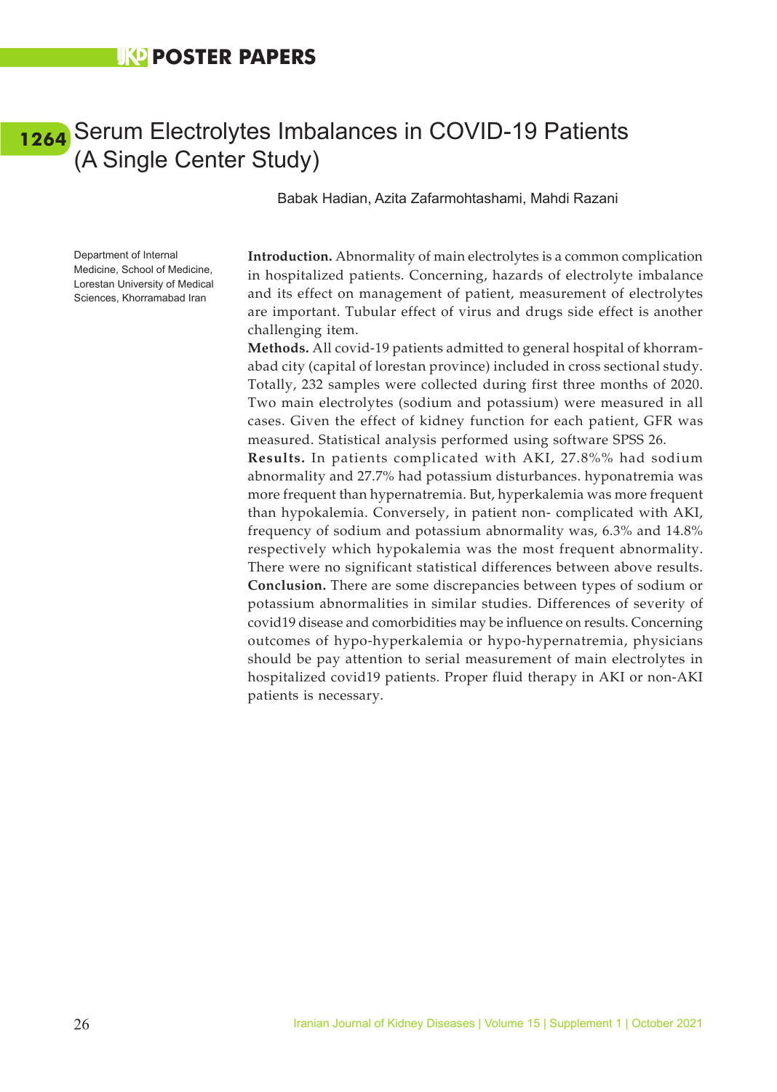### <span id="page-34-0"></span>[1264](#page-6-0) Serum Electrolytes Imbalances in COVID-19 Patients (A Single Center Study)

Babak Hadian, Azita Zafarmohtashami, Mahdi Razani

Department of Internal Medicine, School of Medicine, Lorestan University of Medical Sciences, Khorramabad Iran

**Introduction.** Abnormality of main electrolytes is a common complication in hospitalized patients. Concerning, hazards of electrolyte imbalance and its effect on management of patient, measurement of electrolytes are important. Tubular effect of virus and drugs side effect is another challenging item.

**Methods.** All covid-19 patients admitted to general hospital of khorramabad city (capital of lorestan province) included in cross sectional study. Totally, 232 samples were collected during first three months of 2020. Two main electrolytes (sodium and potassium) were measured in all cases. Given the effect of kidney function for each patient, GFR was measured. Statistical analysis performed using software SPSS 26.

**Results.** In patients complicated with AKI, 27.8%% had sodium abnormality and 27.7% had potassium disturbances. hyponatremia was more frequent than hypernatremia. But, hyperkalemia was more frequent than hypokalemia. Conversely, in patient non- complicated with AKI, frequency of sodium and potassium abnormality was, 6.3% and 14.8% respectively which hypokalemia was the most frequent abnormality. There were no significant statistical differences between above results. **Conclusion.** There are some discrepancies between types of sodium or potassium abnormalities in similar studies. Differences of severity of covid19 disease and comorbidities may be influence on results. Concerning outcomes of hypo-hyperkalemia or hypo-hypernatremia, physicians should be pay attention to serial measurement of main electrolytes in hospitalized covid19 patients. Proper fluid therapy in AKI or non-AKI patients is necessary.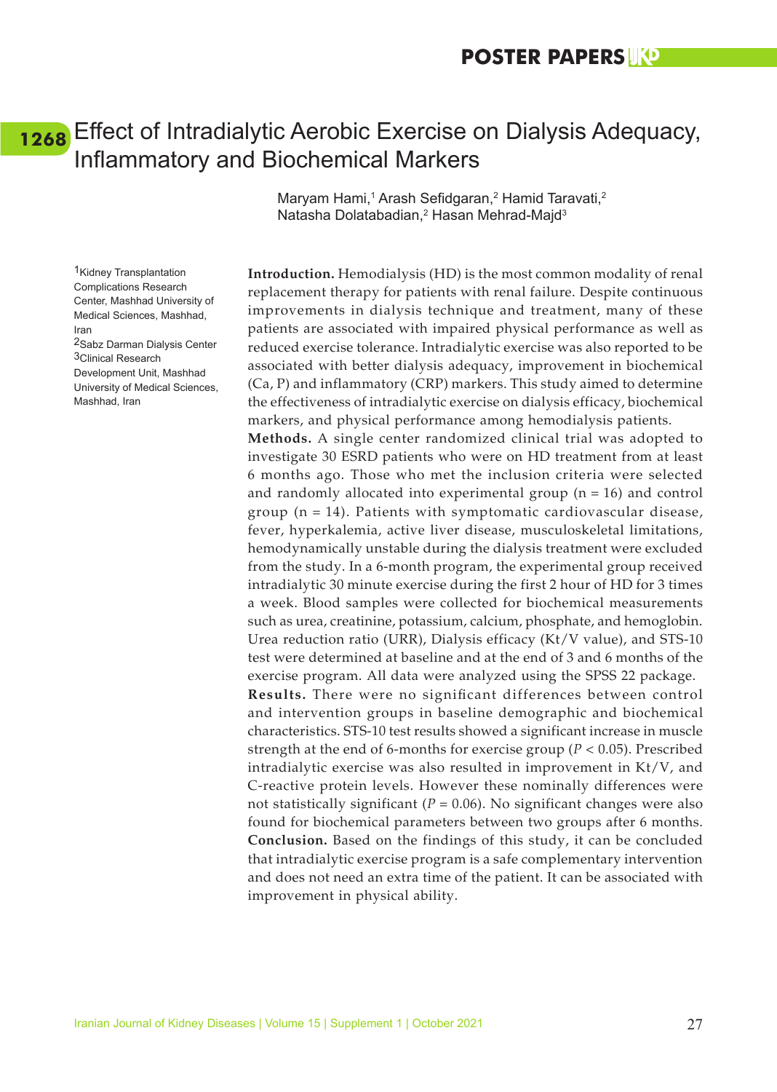### <span id="page-35-0"></span>Effect of Intradialytic Aerobic Exercise on Dialysis Adequacy, **[1268](#page-6-0)**Inflammatory and Biochemical Markers

Maryam Hami,<sup>1</sup> Arash Sefidgaran,<sup>2</sup> Hamid Taravati,<sup>2</sup> Natasha Dolatabadian,<sup>2</sup> Hasan Mehrad-Majd<sup>3</sup>

**Introduction.** Hemodialysis (HD) is the most common modality of renal replacement therapy for patients with renal failure. Despite continuous improvements in dialysis technique and treatment, many of these patients are associated with impaired physical performance as well as reduced exercise tolerance. Intradialytic exercise was also reported to be associated with better dialysis adequacy, improvement in biochemical (Ca, P) and inflammatory (CRP) markers. This study aimed to determine the effectiveness of intradialytic exercise on dialysis efficacy, biochemical markers, and physical performance among hemodialysis patients.

**Methods.** A single center randomized clinical trial was adopted to investigate 30 ESRD patients who were on HD treatment from at least 6 months ago. Those who met the inclusion criteria were selected and randomly allocated into experimental group  $(n = 16)$  and control group  $(n = 14)$ . Patients with symptomatic cardiovascular disease, fever, hyperkalemia, active liver disease, musculoskeletal limitations, hemodynamically unstable during the dialysis treatment were excluded from the study. In a 6-month program, the experimental group received intradialytic 30 minute exercise during the first 2 hour of HD for 3 times a week. Blood samples were collected for biochemical measurements such as urea, creatinine, potassium, calcium, phosphate, and hemoglobin. Urea reduction ratio (URR), Dialysis efficacy (Kt/V value), and STS-10 test were determined at baseline and at the end of 3 and 6 months of the exercise program. All data were analyzed using the SPSS 22 package.

**Results.** There were no significant differences between control and intervention groups in baseline demographic and biochemical characteristics. STS-10 test results showed a significant increase in muscle strength at the end of 6-months for exercise group (*P* < 0.05). Prescribed intradialytic exercise was also resulted in improvement in Kt/V, and C-reactive protein levels. However these nominally differences were not statistically significant ( $P = 0.06$ ). No significant changes were also found for biochemical parameters between two groups after 6 months. **Conclusion.** Based on the findings of this study, it can be concluded that intradialytic exercise program is a safe complementary intervention and does not need an extra time of the patient. It can be associated with improvement in physical ability.

1Kidney Transplantation Complications Research Center, Mashhad University of Medical Sciences, Mashhad, Iran 2Sabz Darman Dialysis Center 3Clinical Research Development Unit, Mashhad

University of Medical Sciences, Mashhad, Iran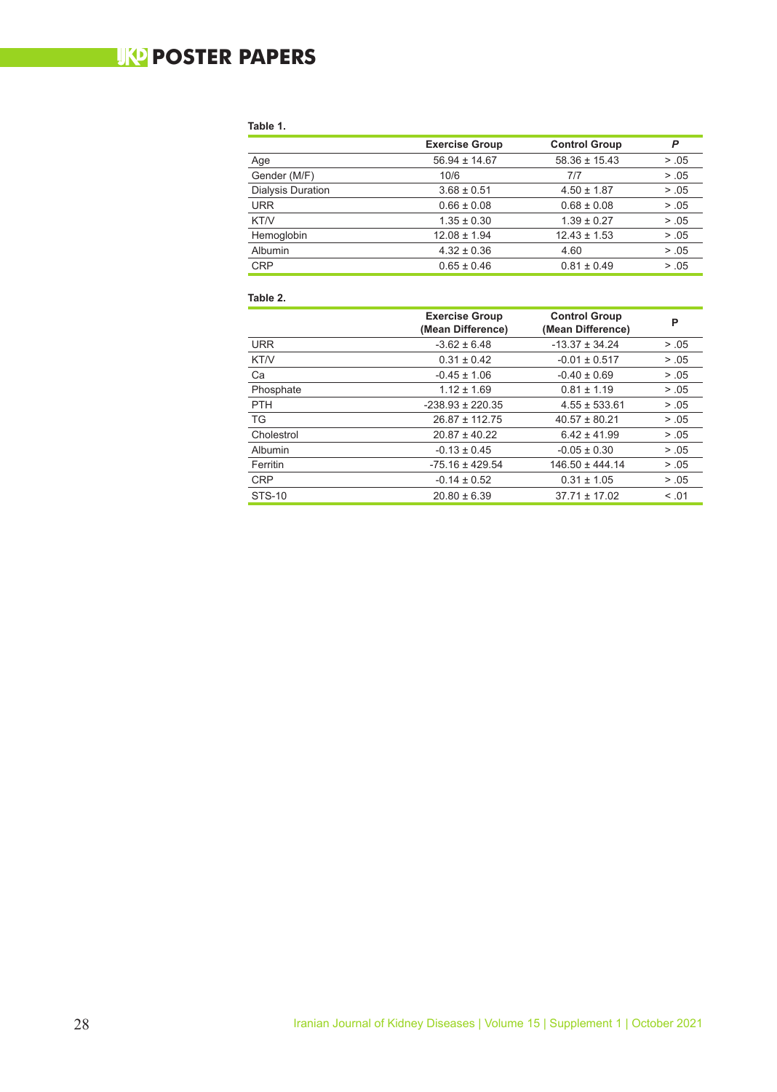### **WO POSTER PAPERS**

#### **Table 1.**

|                          | <b>Exercise Group</b> | <b>Control Group</b> | P     |
|--------------------------|-----------------------|----------------------|-------|
| Age                      | $56.94 \pm 14.67$     | $58.36 \pm 15.43$    | > .05 |
| Gender (M/F)             | 10/6                  | 7/7                  | > .05 |
| <b>Dialysis Duration</b> | $3.68 \pm 0.51$       | $4.50 \pm 1.87$      | > .05 |
| <b>URR</b>               | $0.66 \pm 0.08$       | $0.68 \pm 0.08$      | > .05 |
| KT/V                     | $1.35 \pm 0.30$       | $1.39 \pm 0.27$      | > .05 |
| Hemoglobin               | $12.08 \pm 1.94$      | $12.43 \pm 1.53$     | > .05 |
| <b>Albumin</b>           | $4.32 \pm 0.36$       | 4.60                 | > .05 |
| <b>CRP</b>               | $0.65 \pm 0.46$       | $0.81 \pm 0.49$      | > .05 |

#### **Table 2.**

|                        | <b>Exercise Group</b><br>(Mean Difference) | <b>Control Group</b><br>(Mean Difference) | P      |
|------------------------|--------------------------------------------|-------------------------------------------|--------|
| <b>URR</b>             | $-3.62 \pm 6.48$                           | $-13.37 \pm 34.24$                        | > .05  |
| KT/V                   | $0.31 \pm 0.42$                            | $-0.01 \pm 0.517$                         | > .05  |
| Ca<br>$-0.45 \pm 1.06$ |                                            | $-0.40 \pm 0.69$                          | > .05  |
| Phosphate              | $1.12 \pm 1.69$                            | $0.81 \pm 1.19$                           | > .05  |
| <b>PTH</b>             | $-238.93 \pm 220.35$                       | $4.55 \pm 533.61$                         | > .05  |
| <b>TG</b>              | $26.87 \pm 112.75$                         | $40.57 \pm 80.21$                         | > .05  |
| Cholestrol             | $20.87 \pm 40.22$                          | $6.42 \pm 41.99$                          | > .05  |
| Albumin                | $-0.13 \pm 0.45$                           | $-0.05 \pm 0.30$                          | > .05  |
| Ferritin               | $-75.16 \pm 429.54$                        | $146.50 \pm 444.14$                       | > .05  |
| <b>CRP</b>             | $-0.14 \pm 0.52$                           | $0.31 \pm 1.05$                           | > .05  |
| <b>STS-10</b>          | $20.80 \pm 6.39$                           | $37.71 \pm 17.02$                         | < 0.01 |
|                        |                                            |                                           |        |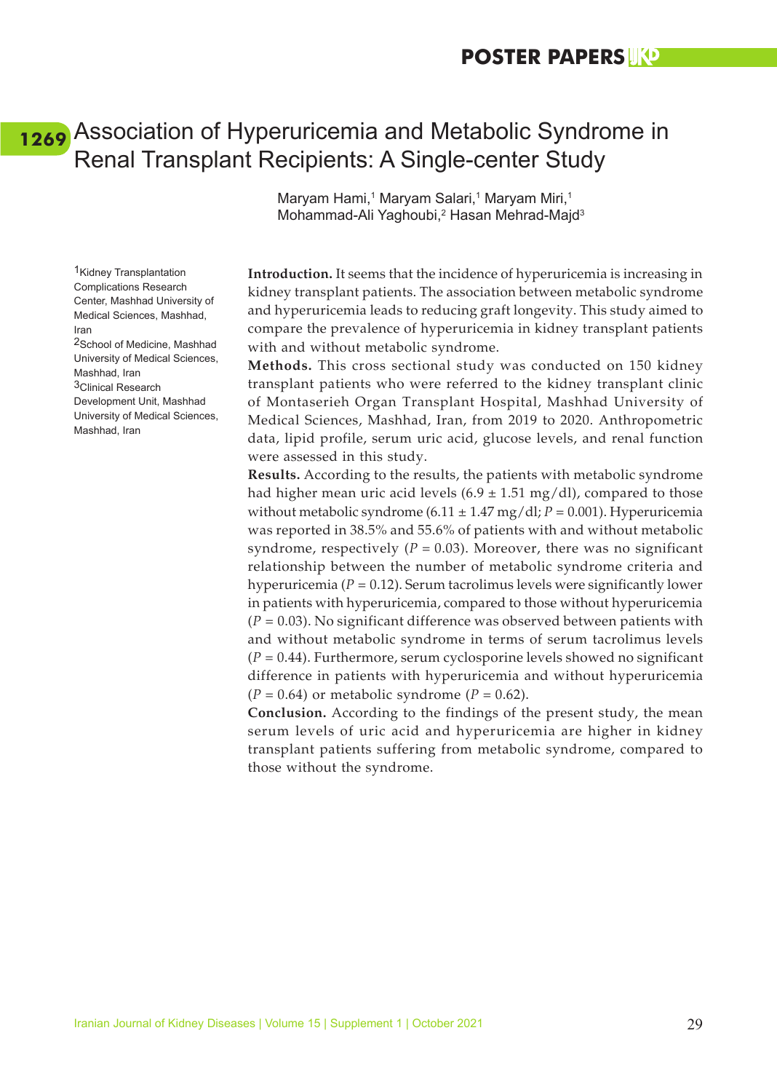### <span id="page-37-0"></span>Association of Hyperuricemia and Metabolic Syndrome in **[1269](#page-6-0)**Renal Transplant Recipients: A Single-center Study

Maryam Hami,<sup>1</sup> Maryam Salari,<sup>1</sup> Maryam Miri,<sup>1</sup> Mohammad-Ali Yaghoubi,<sup>2</sup> Hasan Mehrad-Majd<sup>3</sup>

**Introduction.** It seems that the incidence of hyperuricemia is increasing in kidney transplant patients. The association between metabolic syndrome and hyperuricemia leads to reducing graft longevity. This study aimed to compare the prevalence of hyperuricemia in kidney transplant patients with and without metabolic syndrome.

**Methods.** This cross sectional study was conducted on 150 kidney transplant patients who were referred to the kidney transplant clinic of Montaserieh Organ Transplant Hospital, Mashhad University of Medical Sciences, Mashhad, Iran, from 2019 to 2020. Anthropometric data, lipid profile, serum uric acid, glucose levels, and renal function were assessed in this study.

**Results.** According to the results, the patients with metabolic syndrome had higher mean uric acid levels  $(6.9 \pm 1.51 \text{ mg/dl})$ , compared to those without metabolic syndrome (6.11  $\pm$  1.47 mg/dl; *P* = 0.001). Hyperuricemia was reported in 38.5% and 55.6% of patients with and without metabolic syndrome, respectively ( $P = 0.03$ ). Moreover, there was no significant relationship between the number of metabolic syndrome criteria and hyperuricemia ( $P = 0.12$ ). Serum tacrolimus levels were significantly lower in patients with hyperuricemia, compared to those without hyperuricemia (*P* = 0.03). No significant difference was observed between patients with and without metabolic syndrome in terms of serum tacrolimus levels (*P* = 0.44). Furthermore, serum cyclosporine levels showed no significant difference in patients with hyperuricemia and without hyperuricemia  $(P = 0.64)$  or metabolic syndrome  $(P = 0.62)$ .

**Conclusion.** According to the findings of the present study, the mean serum levels of uric acid and hyperuricemia are higher in kidney transplant patients suffering from metabolic syndrome, compared to those without the syndrome.

Complications Research Center, Mashhad University of Medical Sciences, Mashhad, Iran 2School of Medicine, Mashhad University of Medical Sciences, Mashhad, Iran 3Clinical Research Development Unit, Mashhad University of Medical Sciences, Mashhad, Iran

1Kidney Transplantation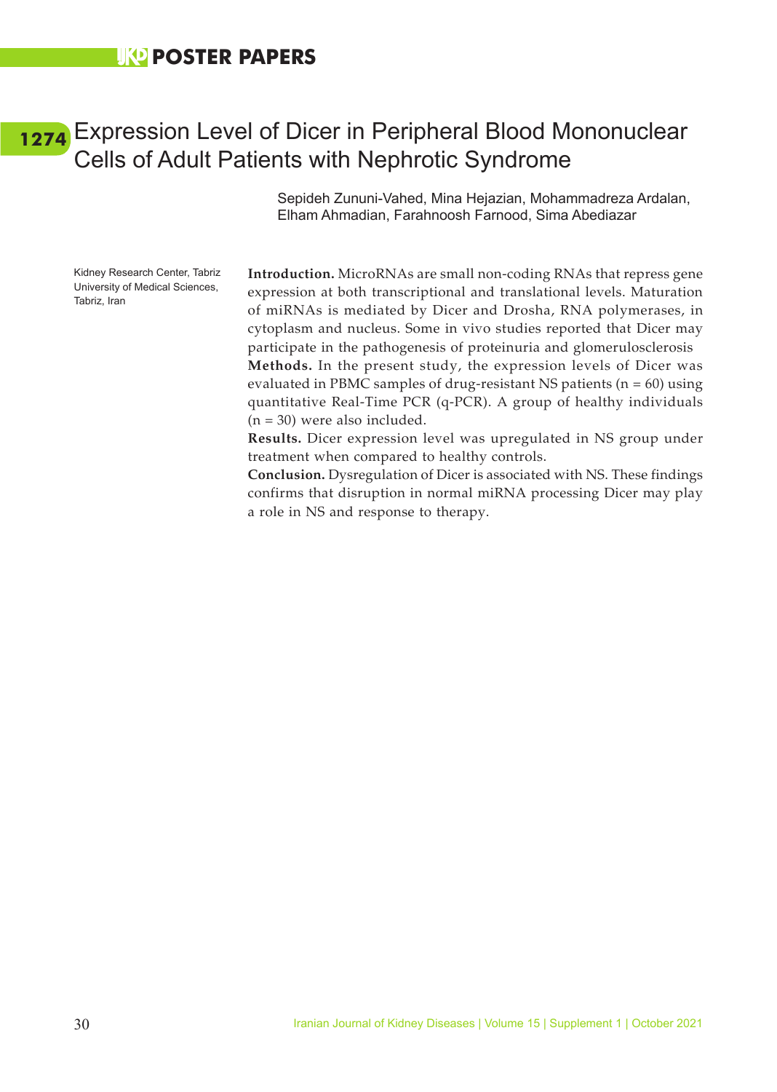### <span id="page-38-0"></span>Expression Level of Dicer in Peripheral Blood Mononuclear **[1274](#page-6-0)**Cells of Adult Patients with Nephrotic Syndrome

Sepideh Zununi-Vahed, Mina Hejazian, Mohammadreza Ardalan, Elham Ahmadian, Farahnoosh Farnood, Sima Abediazar

Kidney Research Center, Tabriz University of Medical Sciences, Tabriz, Iran

**Introduction.** MicroRNAs are small non-coding RNAs that repress gene expression at both transcriptional and translational levels. Maturation of miRNAs is mediated by Dicer and Drosha, RNA polymerases, in cytoplasm and nucleus. Some in vivo studies reported that Dicer may participate in the pathogenesis of proteinuria and glomerulosclerosis **Methods.** In the present study, the expression levels of Dicer was evaluated in PBMC samples of drug-resistant NS patients (n = 60) using quantitative Real-Time PCR (q-PCR). A group of healthy individuals  $(n = 30)$  were also included.

**Results.** Dicer expression level was upregulated in NS group under treatment when compared to healthy controls.

**Conclusion.** Dysregulation of Dicer is associated with NS. These findings confirms that disruption in normal miRNA processing Dicer may play a role in NS and response to therapy.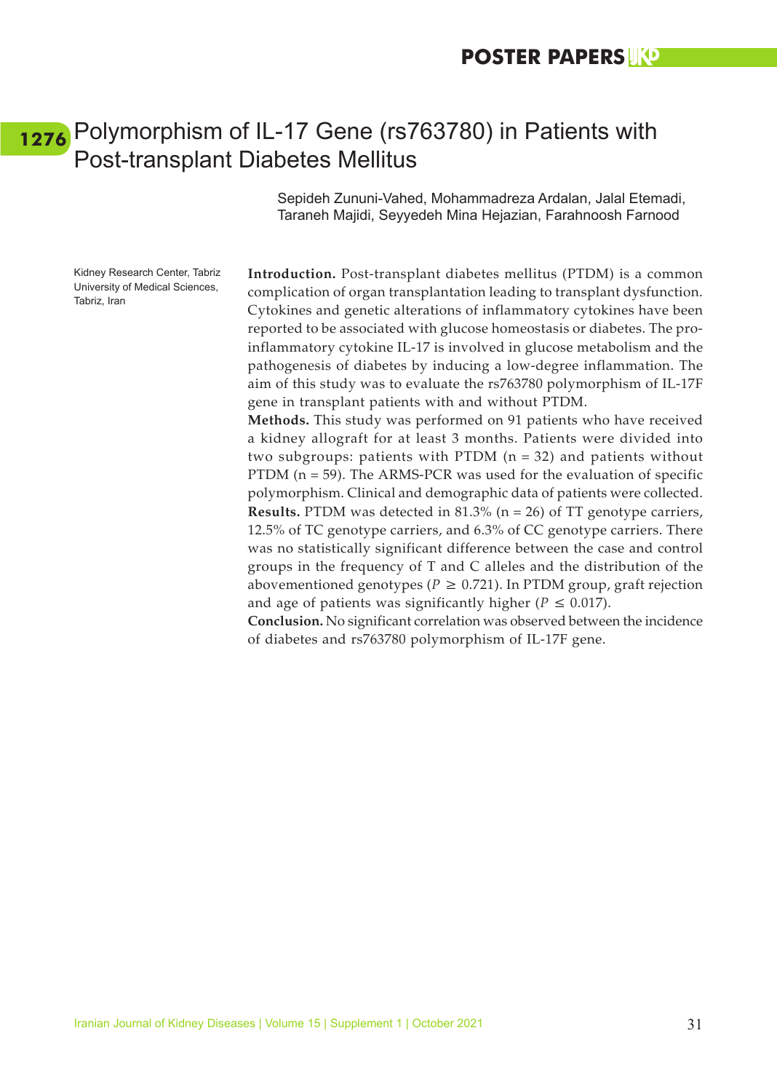### <span id="page-39-0"></span>Polymorphism of IL-17 Gene (rs763780) in Patients with **[1276](#page-7-0)**Post-transplant Diabetes Mellitus

Sepideh Zununi-Vahed, Mohammadreza Ardalan, Jalal Etemadi, Taraneh Majidi, Seyyedeh Mina Hejazian, Farahnoosh Farnood

Kidney Research Center, Tabriz University of Medical Sciences, Tabriz, Iran

**Introduction.** Post-transplant diabetes mellitus (PTDM) is a common complication of organ transplantation leading to transplant dysfunction. Cytokines and genetic alterations of inflammatory cytokines have been reported to be associated with glucose homeostasis or diabetes. The proinflammatory cytokine IL-17 is involved in glucose metabolism and the pathogenesis of diabetes by inducing a low-degree inflammation. The aim of this study was to evaluate the rs763780 polymorphism of IL-17F gene in transplant patients with and without PTDM.

**Methods.** This study was performed on 91 patients who have received a kidney allograft for at least 3 months. Patients were divided into two subgroups: patients with PTDM  $(n = 32)$  and patients without PTDM ( $n = 59$ ). The ARMS-PCR was used for the evaluation of specific polymorphism. Clinical and demographic data of patients were collected. **Results.** PTDM was detected in 81.3% (n = 26) of TT genotype carriers, 12.5% of TC genotype carriers, and 6.3% of CC genotype carriers. There was no statistically significant difference between the case and control groups in the frequency of T and C alleles and the distribution of the abovementioned genotypes ( $P \ge 0.721$ ). In PTDM group, graft rejection and age of patients was significantly higher ( $P \leq 0.017$ ).

**Conclusion.** No significant correlation was observed between the incidence of diabetes and rs763780 polymorphism of IL-17F gene.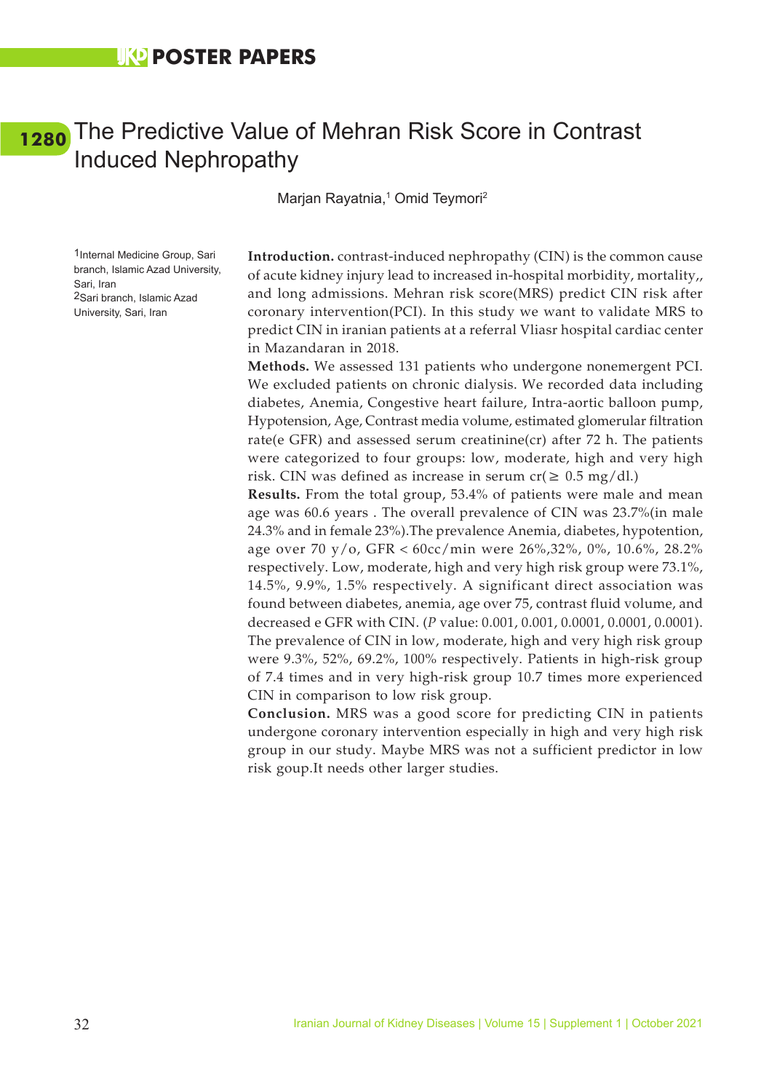### <span id="page-40-0"></span>[1280](#page-7-0) The Predictive Value of Mehran Risk Score in Contrast Induced Nephropathy

Marjan Rayatnia,<sup>1</sup> Omid Teymori<sup>2</sup>

1Internal Medicine Group, Sari branch, Islamic Azad University, Sari, Iran 2Sari branch, Islamic Azad University, Sari, Iran

**Introduction.** contrast-induced nephropathy (CIN) is the common cause of acute kidney injury lead to increased in-hospital morbidity, mortality,, and long admissions. Mehran risk score(MRS) predict CIN risk after coronary intervention(PCI). In this study we want to validate MRS to predict CIN in iranian patients at a referral Vliasr hospital cardiac center in Mazandaran in 2018.

**Methods.** We assessed 131 patients who undergone nonemergent PCI. We excluded patients on chronic dialysis. We recorded data including diabetes, Anemia, Congestive heart failure, Intra-aortic balloon pump, Hypotension, Age, Contrast media volume, estimated glomerular filtration rate(e GFR) and assessed serum creatinine(cr) after 72 h. The patients were categorized to four groups: low, moderate, high and very high risk. CIN was defined as increase in serum  $cr(\geq 0.5 \text{ mg}/\text{d}l)$ .

**Results.** From the total group, 53.4% of patients were male and mean age was 60.6 years . The overall prevalence of CIN was 23.7%(in male 24.3% and in female 23%).The prevalence Anemia, diabetes, hypotention, age over 70 y/o, GFR <  $60cc/min$  were 26%,32%, 0%, 10.6%, 28.2% respectively. Low, moderate, high and very high risk group were 73.1%, 14.5%, 9.9%, 1.5% respectively. A significant direct association was found between diabetes, anemia, age over 75, contrast fluid volume, and decreased e GFR with CIN. (*P* value: 0.001, 0.001, 0.0001, 0.0001, 0.0001). The prevalence of CIN in low, moderate, high and very high risk group were 9.3%, 52%, 69.2%, 100% respectively. Patients in high-risk group of 7.4 times and in very high-risk group 10.7 times more experienced CIN in comparison to low risk group.

**Conclusion.** MRS was a good score for predicting CIN in patients undergone coronary intervention especially in high and very high risk group in our study. Maybe MRS was not a sufficient predictor in low risk goup.It needs other larger studies.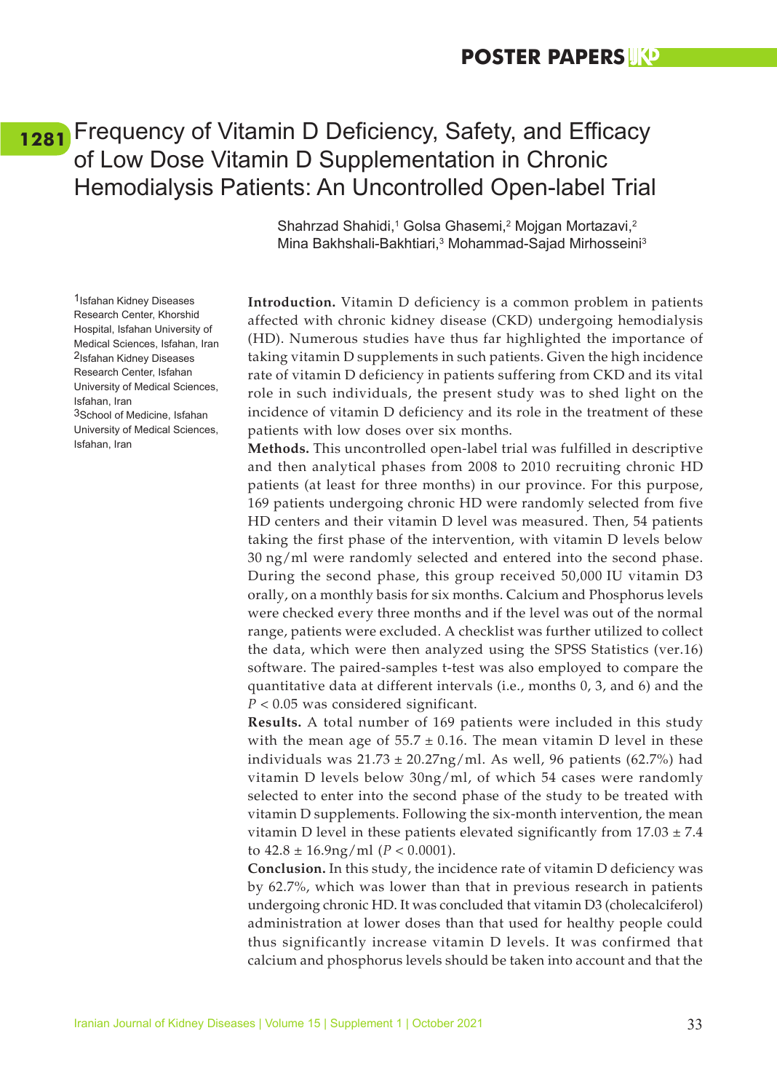### <span id="page-41-0"></span>Frequency of Vitamin D Deficiency, Safety, and Efficacy **[1281](#page-7-0)**of Low Dose Vitamin D Supplementation in Chronic Hemodialysis Patients: An Uncontrolled Open-label Trial

Shahrzad Shahidi,<sup>1</sup> Golsa Ghasemi,<sup>2</sup> Mojgan Mortazavi,<sup>2</sup> Mina Bakhshali-Bakhtiari,<sup>3</sup> Mohammad-Sajad Mirhosseini<sup>3</sup>

**Introduction.** Vitamin D deficiency is a common problem in patients affected with chronic kidney disease (CKD) undergoing hemodialysis (HD). Numerous studies have thus far highlighted the importance of taking vitamin D supplements in such patients. Given the high incidence rate of vitamin D deficiency in patients suffering from CKD and its vital role in such individuals, the present study was to shed light on the incidence of vitamin D deficiency and its role in the treatment of these patients with low doses over six months.

**Methods.** This uncontrolled open-label trial was fulfilled in descriptive and then analytical phases from 2008 to 2010 recruiting chronic HD patients (at least for three months) in our province. For this purpose, 169 patients undergoing chronic HD were randomly selected from five HD centers and their vitamin D level was measured. Then, 54 patients taking the first phase of the intervention, with vitamin D levels below 30 ng/ml were randomly selected and entered into the second phase. During the second phase, this group received 50,000 IU vitamin D3 orally, on a monthly basis for six months. Calcium and Phosphorus levels were checked every three months and if the level was out of the normal range, patients were excluded. A checklist was further utilized to collect the data, which were then analyzed using the SPSS Statistics (ver.16) software. The paired-samples t-test was also employed to compare the quantitative data at different intervals (i.e., months 0, 3, and 6) and the *P* < 0.05 was considered significant.

**Results.** A total number of 169 patients were included in this study with the mean age of  $55.7 \pm 0.16$ . The mean vitamin D level in these individuals was  $21.73 \pm 20.27$ ng/ml. As well, 96 patients (62.7%) had vitamin D levels below 30ng/ml, of which 54 cases were randomly selected to enter into the second phase of the study to be treated with vitamin D supplements. Following the six-month intervention, the mean vitamin D level in these patients elevated significantly from  $17.03 \pm 7.4$ to  $42.8 \pm 16.9$ ng/ml ( $P < 0.0001$ ).

**Conclusion.** In this study, the incidence rate of vitamin D deficiency was by 62.7%, which was lower than that in previous research in patients undergoing chronic HD. It was concluded that vitamin D3 (cholecalciferol) administration at lower doses than that used for healthy people could thus significantly increase vitamin D levels. It was confirmed that calcium and phosphorus levels should be taken into account and that the

1Isfahan Kidney Diseases Research Center, Khorshid Hospital, Isfahan University of Medical Sciences, Isfahan, Iran 2Isfahan Kidney Diseases Research Center, Isfahan University of Medical Sciences, Isfahan, Iran 3School of Medicine, Isfahan

University of Medical Sciences, Isfahan, Iran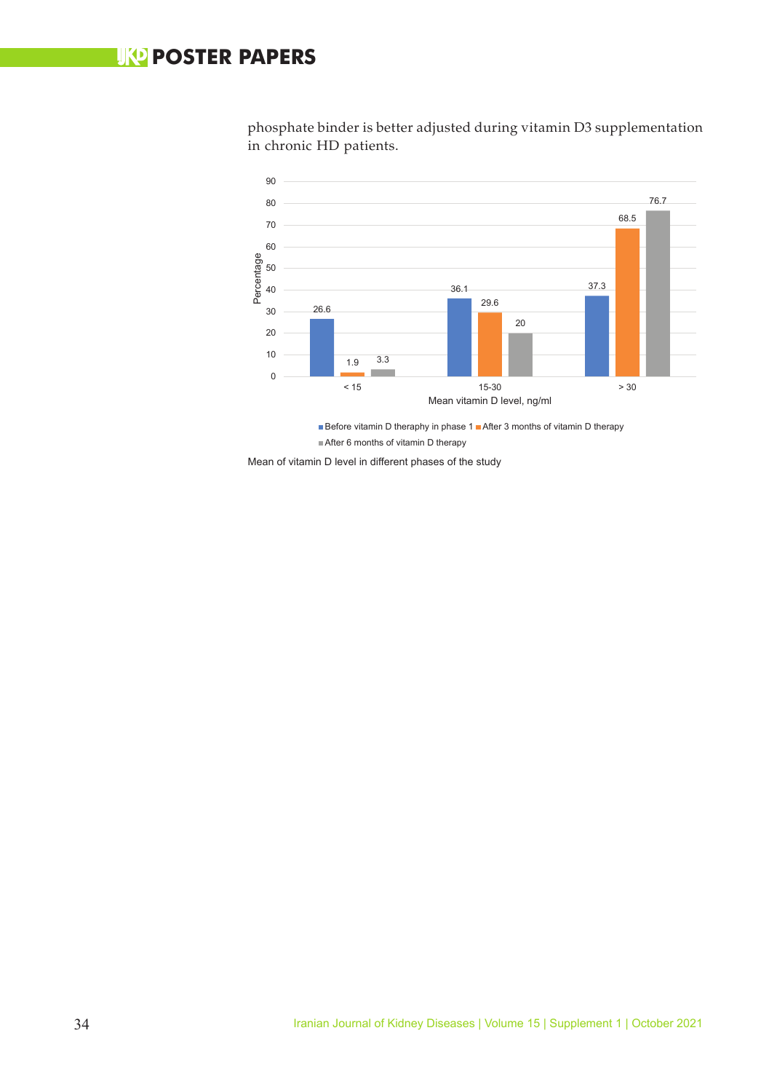### **UKO POSTER PAPERS**

phosphate binder is better adjusted during vitamin D3 supplementation in chronic HD patients.



After 6 months of vitamin D therapy

Mean of vitamin D level in different phases of the study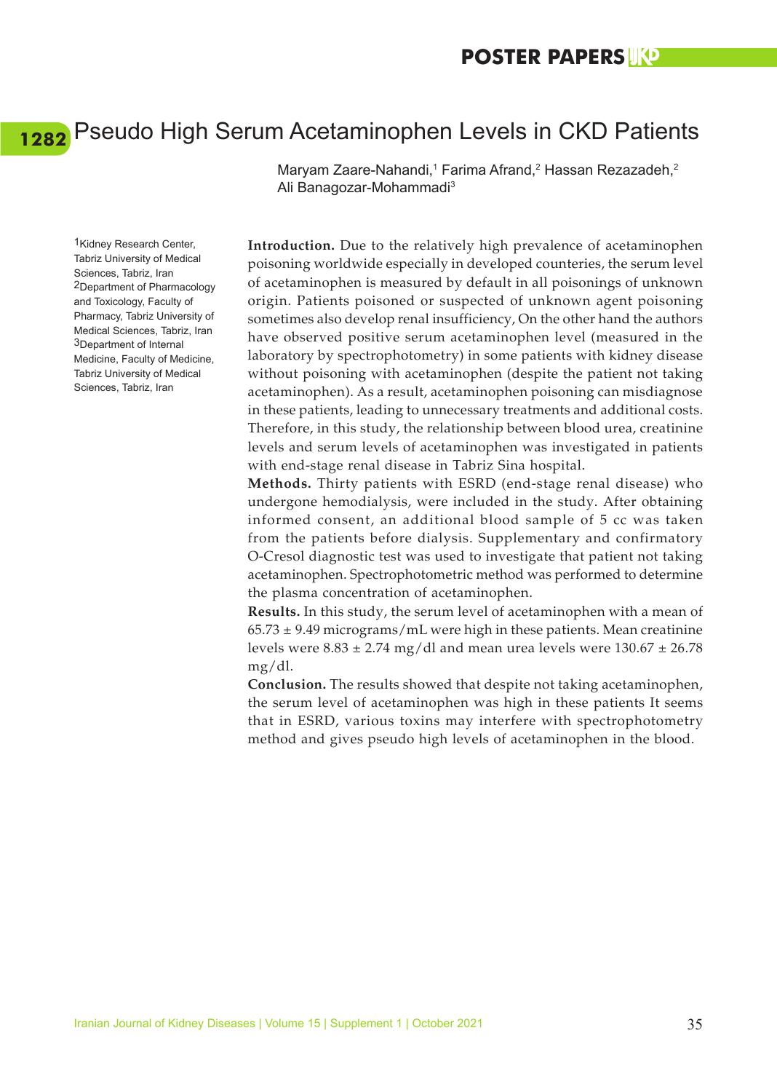# <span id="page-43-0"></span>Pseudo High Serum Acetaminophen Levels in CKD Patients **[1282](#page-7-0)**

Maryam Zaare-Nahandi,<sup>1</sup> Farima Afrand,<sup>2</sup> Hassan Rezazadeh,<sup>2</sup> Ali Banagozar-Mohammadi3

1Kidney Research Center, Tabriz University of Medical Sciences, Tabriz, Iran 2Department of Pharmacology and Toxicology, Faculty of Pharmacy, Tabriz University of Medical Sciences, Tabriz, Iran 3Department of Internal Medicine, Faculty of Medicine, Tabriz University of Medical Sciences, Tabriz, Iran

**Introduction.** Due to the relatively high prevalence of acetaminophen poisoning worldwide especially in developed counteries, the serum level of acetaminophen is measured by default in all poisonings of unknown origin. Patients poisoned or suspected of unknown agent poisoning sometimes also develop renal insufficiency, On the other hand the authors have observed positive serum acetaminophen level (measured in the laboratory by spectrophotometry) in some patients with kidney disease without poisoning with acetaminophen (despite the patient not taking acetaminophen). As a result, acetaminophen poisoning can misdiagnose in these patients, leading to unnecessary treatments and additional costs. Therefore, in this study, the relationship between blood urea, creatinine levels and serum levels of acetaminophen was investigated in patients with end-stage renal disease in Tabriz Sina hospital.

**Methods.** Thirty patients with ESRD (end-stage renal disease) who undergone hemodialysis, were included in the study. After obtaining informed consent, an additional blood sample of 5 cc was taken from the patients before dialysis. Supplementary and confirmatory O-Cresol diagnostic test was used to investigate that patient not taking acetaminophen. Spectrophotometric method was performed to determine the plasma concentration of acetaminophen.

**Results.** In this study, the serum level of acetaminophen with a mean of  $65.73 \pm 9.49$  micrograms/mL were high in these patients. Mean creatinine levels were  $8.83 \pm 2.74$  mg/dl and mean urea levels were  $130.67 \pm 26.78$ mg/dl.

**Conclusion.** The results showed that despite not taking acetaminophen, the serum level of acetaminophen was high in these patients It seems that in ESRD, various toxins may interfere with spectrophotometry method and gives pseudo high levels of acetaminophen in the blood.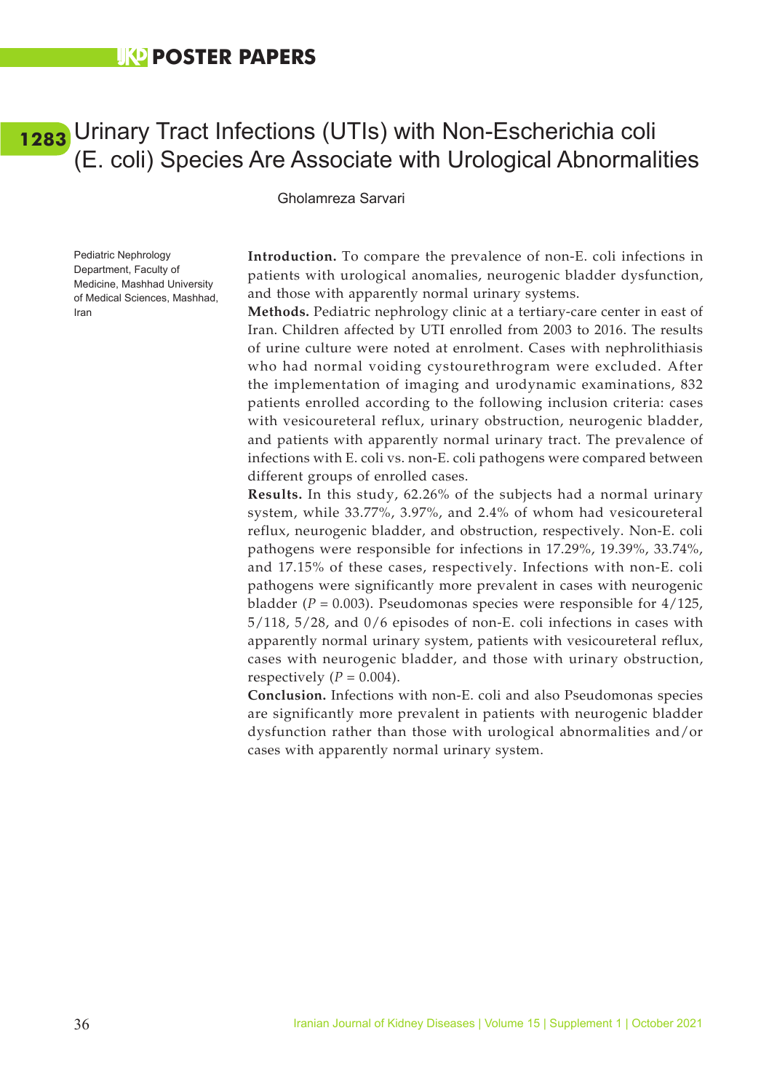### <span id="page-44-0"></span>Urinary Tract Infections (UTIs) with Non-Escherichia coli **[1283](#page-7-0)**(E. coli) Species Are Associate with Urological Abnormalities

#### Gholamreza Sarvari

Pediatric Nephrology Department, Faculty of Medicine, Mashhad University of Medical Sciences, Mashhad, Iran

**Introduction.** To compare the prevalence of non-E. coli infections in patients with urological anomalies, neurogenic bladder dysfunction, and those with apparently normal urinary systems.

**Methods.** Pediatric nephrology clinic at a tertiary-care center in east of Iran. Children affected by UTI enrolled from 2003 to 2016. The results of urine culture were noted at enrolment. Cases with nephrolithiasis who had normal voiding cystourethrogram were excluded. After the implementation of imaging and urodynamic examinations, 832 patients enrolled according to the following inclusion criteria: cases with vesicoureteral reflux, urinary obstruction, neurogenic bladder, and patients with apparently normal urinary tract. The prevalence of infections with E. coli vs. non-E. coli pathogens were compared between different groups of enrolled cases.

**Results.** In this study, 62.26% of the subjects had a normal urinary system, while 33.77%, 3.97%, and 2.4% of whom had vesicoureteral reflux, neurogenic bladder, and obstruction, respectively. Non-E. coli pathogens were responsible for infections in 17.29%, 19.39%, 33.74%, and 17.15% of these cases, respectively. Infections with non-E. coli pathogens were significantly more prevalent in cases with neurogenic bladder (*P* = 0.003). Pseudomonas species were responsible for 4/125, 5/118, 5/28, and 0/6 episodes of non-E. coli infections in cases with apparently normal urinary system, patients with vesicoureteral reflux, cases with neurogenic bladder, and those with urinary obstruction, respectively  $(P = 0.004)$ .

**Conclusion.** Infections with non-E. coli and also Pseudomonas species are significantly more prevalent in patients with neurogenic bladder dysfunction rather than those with urological abnormalities and/or cases with apparently normal urinary system.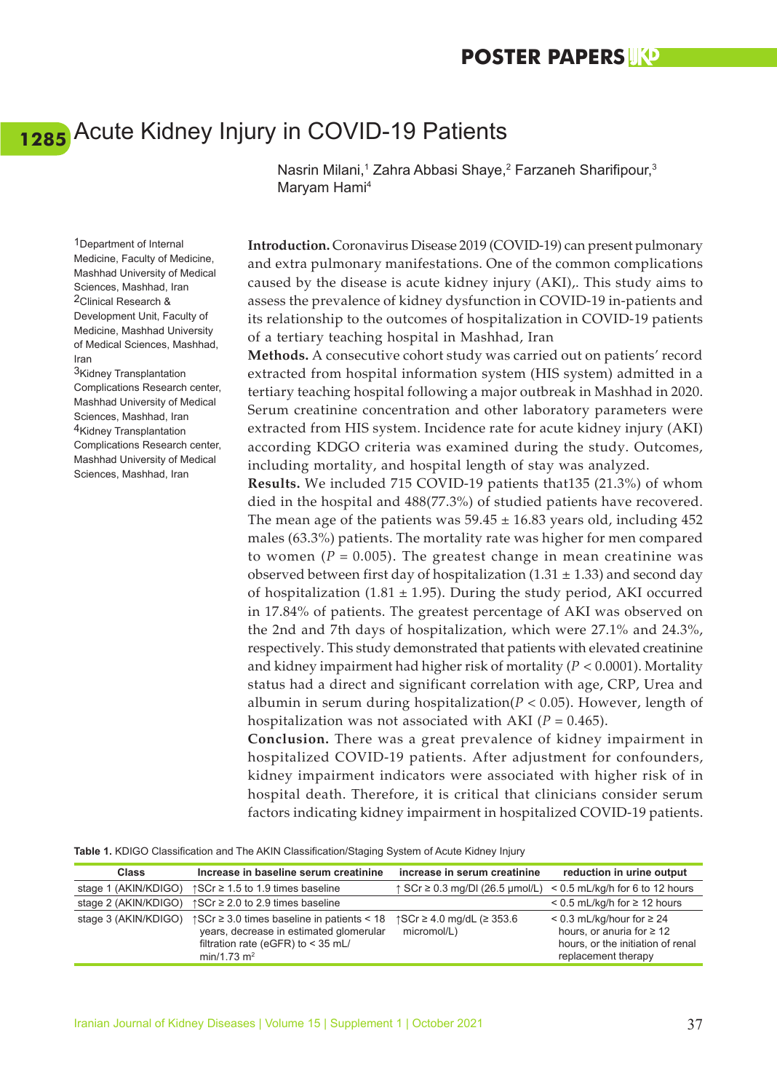# <span id="page-45-0"></span>Acute Kidney Injury in COVID-19 Patients **[1285](#page-7-0)**

Nasrin Milani,<sup>1</sup> Zahra Abbasi Shaye,<sup>2</sup> Farzaneh Sharifipour,<sup>3</sup> Maryam Hami4

**Introduction.** Coronavirus Disease 2019 (COVID-19) can present pulmonary and extra pulmonary manifestations. One of the common complications caused by the disease is acute kidney injury (AKI),. This study aims to assess the prevalence of kidney dysfunction in COVID-19 in-patients and its relationship to the outcomes of hospitalization in COVID-19 patients of a tertiary teaching hospital in Mashhad, Iran

**Methods.** A consecutive cohort study was carried out on patients' record extracted from hospital information system (HIS system) admitted in a tertiary teaching hospital following a major outbreak in Mashhad in 2020. Serum creatinine concentration and other laboratory parameters were extracted from HIS system. Incidence rate for acute kidney injury (AKI) according KDGO criteria was examined during the study. Outcomes, including mortality, and hospital length of stay was analyzed.

**Results.** We included 715 COVID-19 patients that135 (21.3%) of whom died in the hospital and 488(77.3%) of studied patients have recovered. The mean age of the patients was  $59.45 \pm 16.83$  years old, including 452 males (63.3%) patients. The mortality rate was higher for men compared to women  $(P = 0.005)$ . The greatest change in mean creatinine was observed between first day of hospitalization (1.31  $\pm$  1.33) and second day of hospitalization (1.81  $\pm$  1.95). During the study period, AKI occurred in 17.84% of patients. The greatest percentage of AKI was observed on the 2nd and 7th days of hospitalization, which were 27.1% and 24.3%, respectively. This study demonstrated that patients with elevated creatinine and kidney impairment had higher risk of mortality (*P* < 0.0001). Mortality status had a direct and significant correlation with age, CRP, Urea and albumin in serum during hospitalization(*P* < 0.05). However, length of hospitalization was not associated with AKI ( $P = 0.465$ ).

**Conclusion.** There was a great prevalence of kidney impairment in hospitalized COVID-19 patients. After adjustment for confounders, kidney impairment indicators were associated with higher risk of in hospital death. Therefore, it is critical that clinicians consider serum factors indicating kidney impairment in hospitalized COVID-19 patients.

**Table 1.** KDIGO Classification and The AKIN Classification/Staging System of Acute Kidney Injury

| <b>Class</b>         | Increase in baseline serum creatinine                                                                                                                                 | increase in serum creatinine                       | reduction in urine output                                                                                                      |
|----------------------|-----------------------------------------------------------------------------------------------------------------------------------------------------------------------|----------------------------------------------------|--------------------------------------------------------------------------------------------------------------------------------|
| stage 1 (AKIN/KDIGO) | ↑ SCr $\geq$ 1.5 to 1.9 times baseline                                                                                                                                | $\uparrow$ SCr $\geq$ 0.3 mg/DI (26.5 µmol/L)      | $< 0.5$ mL/kg/h for 6 to 12 hours                                                                                              |
| stage 2 (AKIN/KDIGO) | $\uparrow$ SCr $\geq$ 2.0 to 2.9 times baseline                                                                                                                       |                                                    | $< 0.5$ mL/kg/h for $\geq 12$ hours                                                                                            |
| stage 3 (AKIN/KDIGO) | $\uparrow$ SCr $\geq$ 3.0 times baseline in patients < 18<br>years, decrease in estimated glomerular<br>filtration rate (eGFR) to < 35 mL/<br>min/1.73 m <sup>2</sup> | $\uparrow$ SCr ≥ 4.0 mg/dL (≥ 353.6<br>micromol/L) | $< 0.3$ mL/kg/hour for $\geq 24$<br>hours, or anuria for $\geq 12$<br>hours, or the initiation of renal<br>replacement therapy |

1Department of Internal Medicine, Faculty of Medicine, Mashhad University of Medical Sciences, Mashhad, Iran 2Clinical Research & Development Unit, Faculty of Medicine, Mashhad University of Medical Sciences, Mashhad, Iran

3Kidney Transplantation Complications Research center, Mashhad University of Medical Sciences, Mashhad, Iran 4Kidney Transplantation Complications Research center, Mashhad University of Medical Sciences, Mashhad, Iran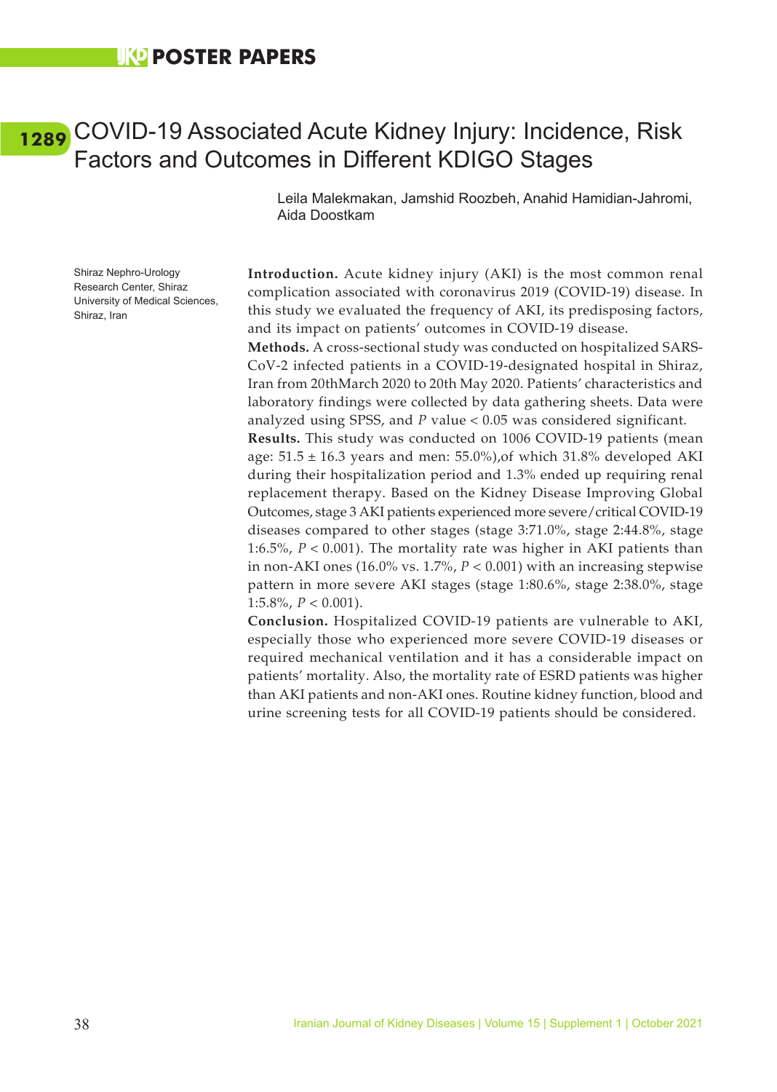### <span id="page-46-0"></span>**UKD POSTER PAPERS**

### COVID-19 Associated Acute Kidney Injury: Incidence, Risk **[1289](#page-7-0)**Factors and Outcomes in Different KDIGO Stages

Leila Malekmakan, Jamshid Roozbeh, Anahid Hamidian-Jahromi, Aida Doostkam

Shiraz Nephro-Urology Research Center, Shiraz University of Medical Sciences, Shiraz, Iran

**Introduction.** Acute kidney injury (AKI) is the most common renal complication associated with coronavirus 2019 (COVID-19) disease. In this study we evaluated the frequency of AKI, its predisposing factors, and its impact on patients' outcomes in COVID-19 disease.

**Methods.** A cross-sectional study was conducted on hospitalized SARS-CoV-2 infected patients in a COVID-19-designated hospital in Shiraz, Iran from 20thMarch 2020 to 20th May 2020. Patients' characteristics and laboratory findings were collected by data gathering sheets. Data were analyzed using SPSS, and *P* value < 0.05 was considered significant.

**Results.** This study was conducted on 1006 COVID-19 patients (mean age:  $51.5 \pm 16.3$  years and men:  $55.0\%$ ), of which 31.8% developed AKI during their hospitalization period and 1.3% ended up requiring renal replacement therapy. Based on the Kidney Disease Improving Global Outcomes, stage 3 AKI patients experienced more severe/critical COVID-19 diseases compared to other stages (stage 3:71.0%, stage 2:44.8%, stage 1:6.5%, *P* < 0.001). The mortality rate was higher in AKI patients than in non-AKI ones  $(16.0\% \text{ vs. } 1.7\%, P < 0.001)$  with an increasing stepwise pattern in more severe AKI stages (stage 1:80.6%, stage 2:38.0%, stage 1:5.8%,  $P < 0.001$ ).

**Conclusion.** Hospitalized COVID-19 patients are vulnerable to AKI, especially those who experienced more severe COVID-19 diseases or required mechanical ventilation and it has a considerable impact on patients' mortality. Also, the mortality rate of ESRD patients was higher than AKI patients and non-AKI ones. Routine kidney function, blood and urine screening tests for all COVID-19 patients should be considered.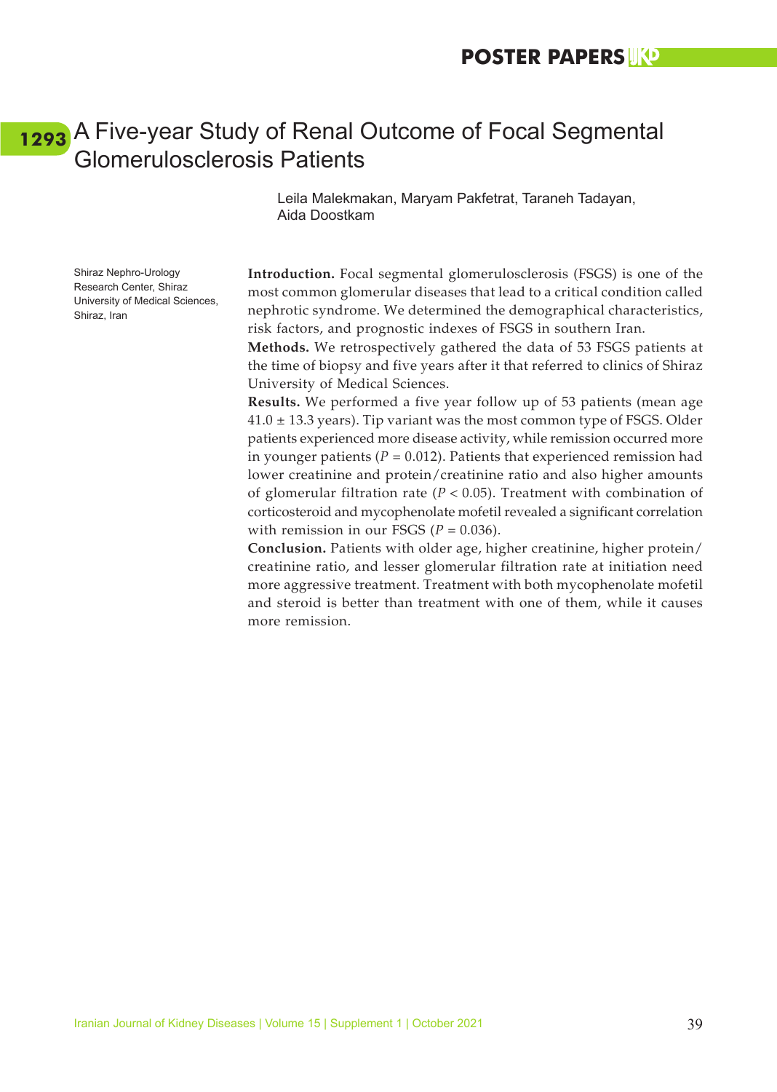### <span id="page-47-0"></span>A Five-year Study of Renal Outcome of Focal Segmental **[1293](#page-7-0)**Glomerulosclerosis Patients

Leila Malekmakan, Maryam Pakfetrat, Taraneh Tadayan, Aida Doostkam

Shiraz Nephro-Urology Research Center, Shiraz University of Medical Sciences, Shiraz, Iran

**Introduction.** Focal segmental glomerulosclerosis (FSGS) is one of the most common glomerular diseases that lead to a critical condition called nephrotic syndrome. We determined the demographical characteristics, risk factors, and prognostic indexes of FSGS in southern Iran.

**Methods.** We retrospectively gathered the data of 53 FSGS patients at the time of biopsy and five years after it that referred to clinics of Shiraz University of Medical Sciences.

**Results.** We performed a five year follow up of 53 patients (mean age  $41.0 \pm 13.3$  years). Tip variant was the most common type of FSGS. Older patients experienced more disease activity, while remission occurred more in younger patients ( $P = 0.012$ ). Patients that experienced remission had lower creatinine and protein/creatinine ratio and also higher amounts of glomerular filtration rate ( $P < 0.05$ ). Treatment with combination of corticosteroid and mycophenolate mofetil revealed a significant correlation with remission in our FSGS  $(P = 0.036)$ .

**Conclusion.** Patients with older age, higher creatinine, higher protein/ creatinine ratio, and lesser glomerular filtration rate at initiation need more aggressive treatment. Treatment with both mycophenolate mofetil and steroid is better than treatment with one of them, while it causes more remission.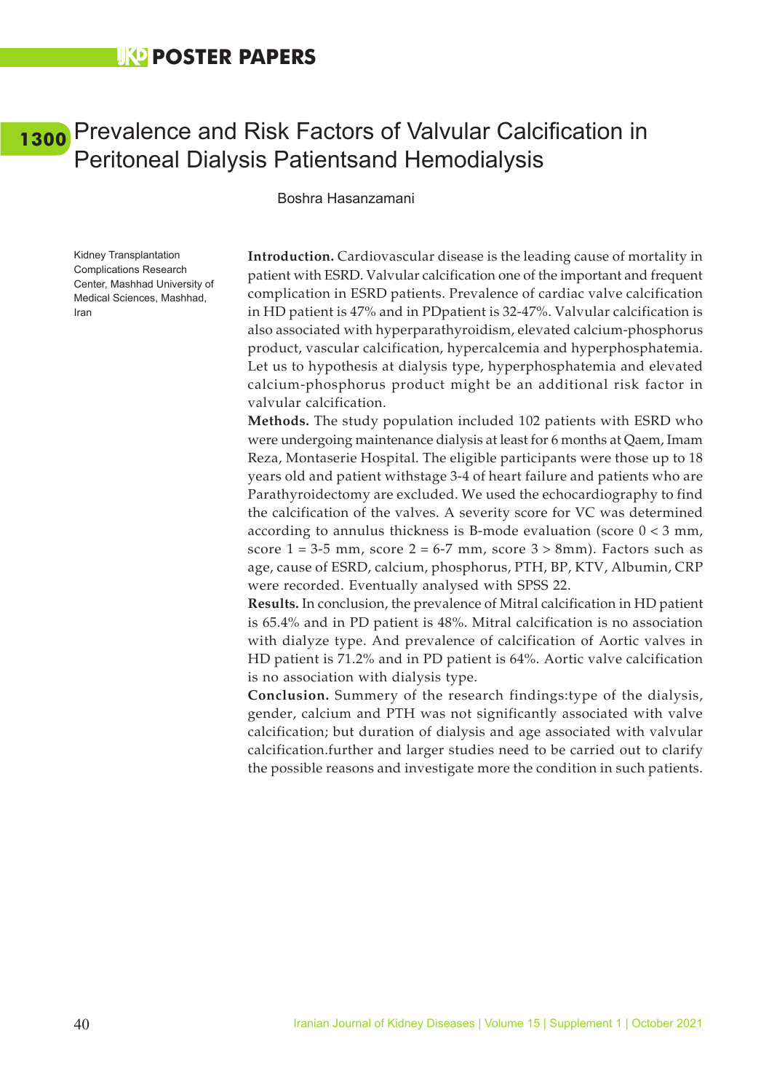### <span id="page-48-0"></span>Prevalence and Risk Factors of Valvular Calcification in **[1300](#page-7-0)**Peritoneal Dialysis Patientsand Hemodialysis

Boshra Hasanzamani

Kidney Transplantation Complications Research Center, Mashhad University of Medical Sciences, Mashhad, Iran

**Introduction.** Cardiovascular disease is the leading cause of mortality in patient with ESRD. Valvular calcification one of the important and frequent complication in ESRD patients. Prevalence of cardiac valve calcification in HD patient is 47% and in PDpatient is 32-47%. Valvular calcification is also associated with hyperparathyroidism, elevated calcium-phosphorus product, vascular calcification, hypercalcemia and hyperphosphatemia. Let us to hypothesis at dialysis type, hyperphosphatemia and elevated calcium-phosphorus product might be an additional risk factor in valvular calcification.

**Methods.** The study population included 102 patients with ESRD who were undergoing maintenance dialysis at least for 6 months at Qaem, Imam Reza, Montaserie Hospital. The eligible participants were those up to 18 years old and patient withstage 3-4 of heart failure and patients who are Parathyroidectomy are excluded. We used the echocardiography to find the calcification of the valves. A severity score for VC was determined according to annulus thickness is B-mode evaluation (score  $0 < 3$  mm, score  $1 = 3-5$  mm, score  $2 = 6-7$  mm, score  $3 > 8$ mm). Factors such as age, cause of ESRD, calcium, phosphorus, PTH, BP, KTV, Albumin, CRP were recorded. Eventually analysed with SPSS 22.

**Results.** In conclusion, the prevalence of Mitral calcification in HD patient is 65.4% and in PD patient is 48%. Mitral calcification is no association with dialyze type. And prevalence of calcification of Aortic valves in HD patient is 71.2% and in PD patient is 64%. Aortic valve calcification is no association with dialysis type.

**Conclusion.** Summery of the research findings:type of the dialysis, gender, calcium and PTH was not significantly associated with valve calcification; but duration of dialysis and age associated with valvular calcification.further and larger studies need to be carried out to clarify the possible reasons and investigate more the condition in such patients.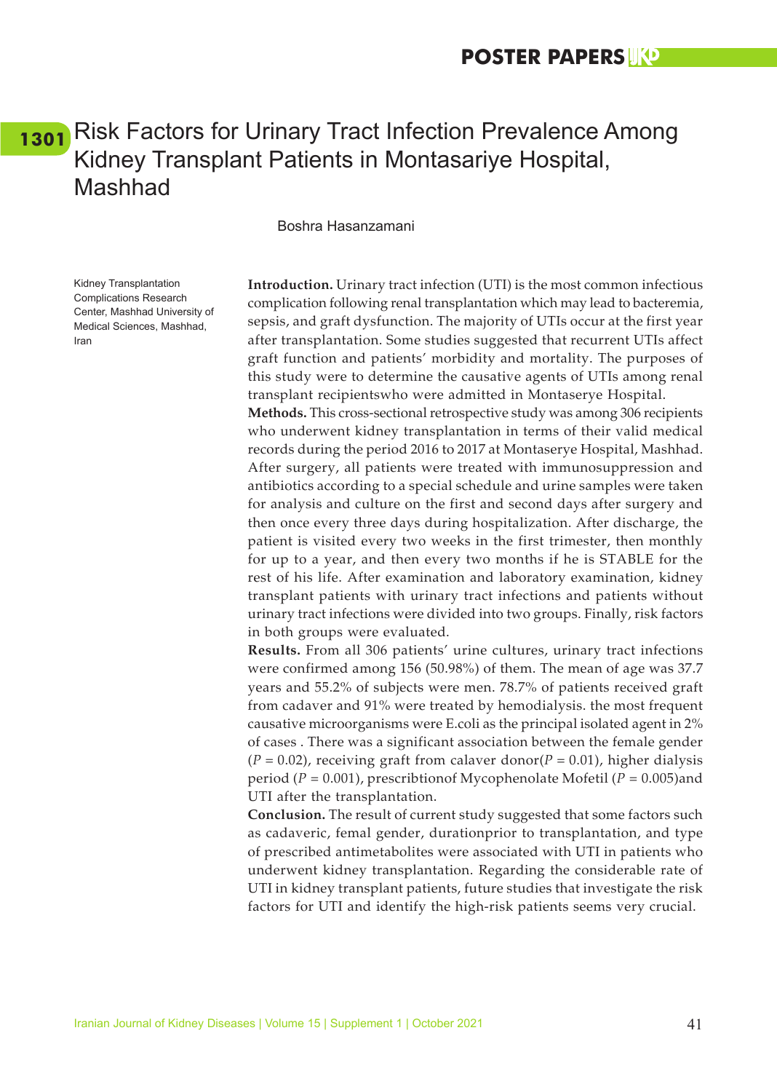## <span id="page-49-0"></span>[1301](#page-7-0) Risk Factors for Urinary Tract Infection Prevalence Among Kidney Transplant Patients in Montasariye Hospital, Mashhad

#### Boshra Hasanzamani

in both groups were evaluated.

Kidney Transplantation Complications Research Center, Mashhad University of Medical Sciences, Mashhad, Iran

**Introduction.** Urinary tract infection (UTI) is the most common infectious complication following renal transplantation which may lead to bacteremia, sepsis, and graft dysfunction. The majority of UTIs occur at the first year after transplantation. Some studies suggested that recurrent UTIs affect graft function and patients' morbidity and mortality. The purposes of this study were to determine the causative agents of UTIs among renal transplant recipientswho were admitted in Montaserye Hospital. **Methods.** This cross-sectional retrospective study was among 306 recipients who underwent kidney transplantation in terms of their valid medical records during the period 2016 to 2017 at Montaserye Hospital, Mashhad. After surgery, all patients were treated with immunosuppression and antibiotics according to a special schedule and urine samples were taken for analysis and culture on the first and second days after surgery and then once every three days during hospitalization. After discharge, the patient is visited every two weeks in the first trimester, then monthly for up to a year, and then every two months if he is STABLE for the rest of his life. After examination and laboratory examination, kidney transplant patients with urinary tract infections and patients without urinary tract infections were divided into two groups. Finally, risk factors

**Results.** From all 306 patients' urine cultures, urinary tract infections were confirmed among 156 (50.98%) of them. The mean of age was 37.7 years and 55.2% of subjects were men. 78.7% of patients received graft from cadaver and 91% were treated by hemodialysis. the most frequent causative microorganisms were E.coli as the principal isolated agent in 2% of cases . There was a significant association between the female gender  $(P = 0.02)$ , receiving graft from calaver donor $(P = 0.01)$ , higher dialysis period (*P* = 0.001), prescribtionof Mycophenolate Mofetil (*P* = 0.005)and UTI after the transplantation.

**Conclusion.** The result of current study suggested that some factors such as cadaveric, femal gender, durationprior to transplantation, and type of prescribed antimetabolites were associated with UTI in patients who underwent kidney transplantation. Regarding the considerable rate of UTI in kidney transplant patients, future studies that investigate the risk factors for UTI and identify the high-risk patients seems very crucial.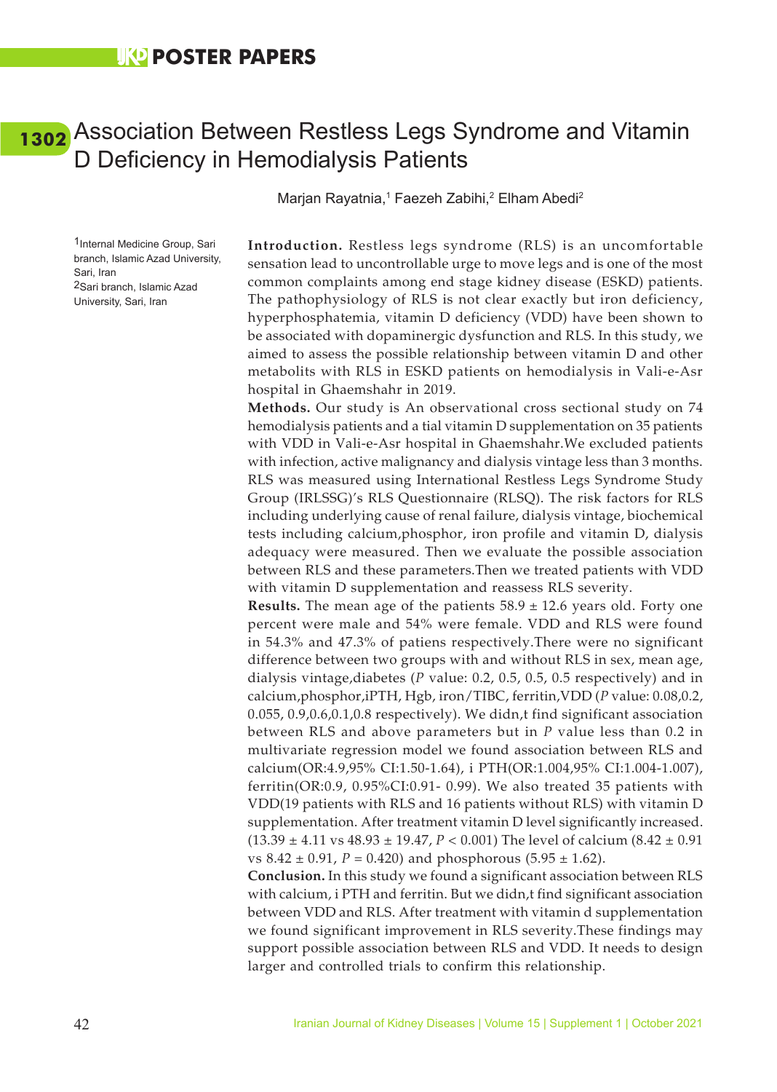### <span id="page-50-0"></span>Association Between Restless Legs Syndrome and Vitamin **[1302](#page-7-0)**D Deficiency in Hemodialysis Patients

Marjan Rayatnia,<sup>1</sup> Faezeh Zabihi,<sup>2</sup> Elham Abedi<sup>2</sup>

1Internal Medicine Group, Sari branch, Islamic Azad University, Sari, Iran 2Sari branch, Islamic Azad University, Sari, Iran

**Introduction.** Restless legs syndrome (RLS) is an uncomfortable sensation lead to uncontrollable urge to move legs and is one of the most common complaints among end stage kidney disease (ESKD) patients. The pathophysiology of RLS is not clear exactly but iron deficiency, hyperphosphatemia, vitamin D deficiency (VDD) have been shown to be associated with dopaminergic dysfunction and RLS. In this study, we aimed to assess the possible relationship between vitamin D and other metabolits with RLS in ESKD patients on hemodialysis in Vali-e-Asr hospital in Ghaemshahr in 2019.

**Methods.** Our study is An observational cross sectional study on 74 hemodialysis patients and a tial vitamin D supplementation on 35 patients with VDD in Vali-e-Asr hospital in Ghaemshahr.We excluded patients with infection, active malignancy and dialysis vintage less than 3 months. RLS was measured using International Restless Legs Syndrome Study Group (IRLSSG)'s RLS Questionnaire (RLSQ). The risk factors for RLS including underlying cause of renal failure, dialysis vintage, biochemical tests including calcium,phosphor, iron profile and vitamin D, dialysis adequacy were measured. Then we evaluate the possible association between RLS and these parameters.Then we treated patients with VDD with vitamin D supplementation and reassess RLS severity.

**Results.** The mean age of the patients 58.9 ± 12.6 years old. Forty one percent were male and 54% were female. VDD and RLS were found in 54.3% and 47.3% of patiens respectively.There were no significant difference between two groups with and without RLS in sex, mean age, dialysis vintage,diabetes (*P* value: 0.2, 0.5, 0.5, 0.5 respectively) and in calcium,phosphor,iPTH, Hgb, iron/TIBC, ferritin,VDD (*P* value: 0.08,0.2, 0.055, 0.9,0.6,0.1,0.8 respectively). We didn,t find significant association between RLS and above parameters but in *P* value less than 0.2 in multivariate regression model we found association between RLS and calcium(OR:4.9,95% CI:1.50-1.64), i PTH(OR:1.004,95% CI:1.004-1.007), ferritin(OR:0.9, 0.95%CI:0.91- 0.99). We also treated 35 patients with VDD(19 patients with RLS and 16 patients without RLS) with vitamin D supplementation. After treatment vitamin D level significantly increased. (13.39 ± 4.11 vs 48.93 ± 19.47, *P* < 0.001) The level of calcium (8.42 ± 0.91 vs  $8.42 \pm 0.91$ ,  $P = 0.420$ ) and phosphorous  $(5.95 \pm 1.62)$ .

**Conclusion.** In this study we found a significant association between RLS with calcium, i PTH and ferritin. But we didn,t find significant association between VDD and RLS. After treatment with vitamin d supplementation we found significant improvement in RLS severity.These findings may support possible association between RLS and VDD. It needs to design larger and controlled trials to confirm this relationship.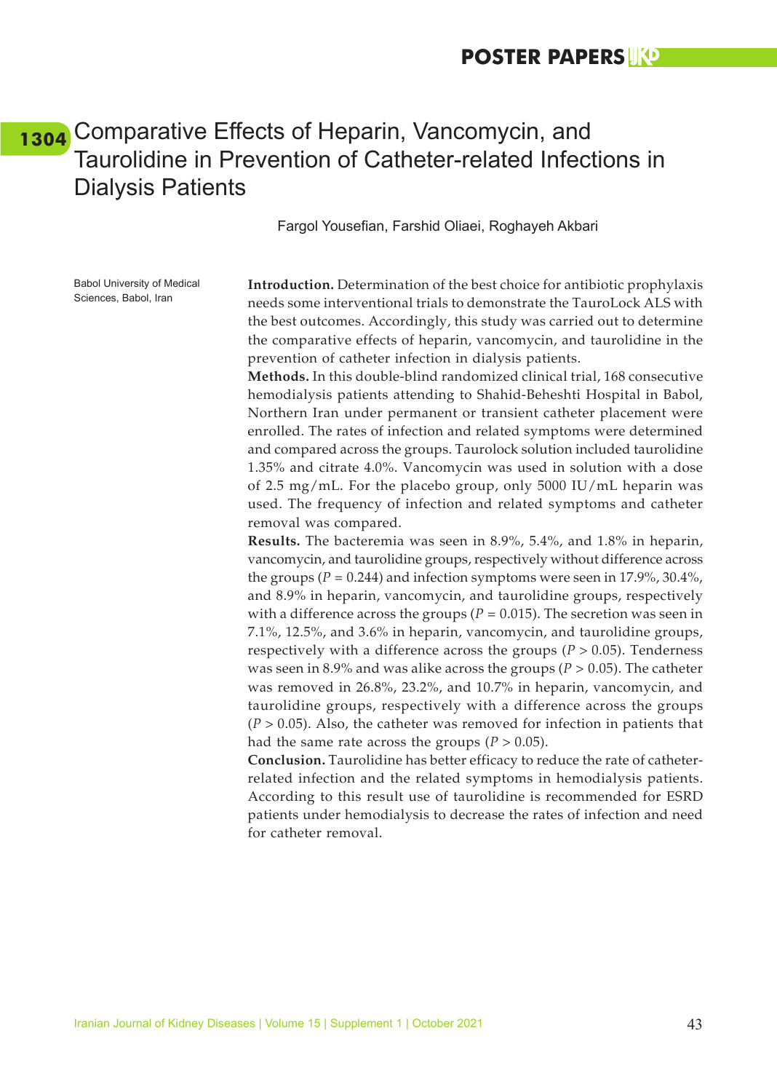### **POSTER PAPERS**

### <span id="page-51-0"></span>Comparative Effects of Heparin, Vancomycin, and **[1304](#page-7-0)**Taurolidine in Prevention of Catheter-related Infections in Dialysis Patients

Fargol Yousefian, Farshid Oliaei, Roghayeh Akbari

Babol University of Medical Sciences, Babol, Iran

**Introduction.** Determination of the best choice for antibiotic prophylaxis needs some interventional trials to demonstrate the TauroLock ALS with the best outcomes. Accordingly, this study was carried out to determine the comparative effects of heparin, vancomycin, and taurolidine in the prevention of catheter infection in dialysis patients.

**Methods.** In this double-blind randomized clinical trial, 168 consecutive hemodialysis patients attending to Shahid-Beheshti Hospital in Babol, Northern Iran under permanent or transient catheter placement were enrolled. The rates of infection and related symptoms were determined and compared across the groups. Taurolock solution included taurolidine 1.35% and citrate 4.0%. Vancomycin was used in solution with a dose of 2.5 mg/mL. For the placebo group, only 5000 IU/mL heparin was used. The frequency of infection and related symptoms and catheter removal was compared.

**Results.** The bacteremia was seen in 8.9%, 5.4%, and 1.8% in heparin, vancomycin, and taurolidine groups, respectively without difference across the groups ( $P = 0.244$ ) and infection symptoms were seen in 17.9%, 30.4%, and 8.9% in heparin, vancomycin, and taurolidine groups, respectively with a difference across the groups ( $P = 0.015$ ). The secretion was seen in 7.1%, 12.5%, and 3.6% in heparin, vancomycin, and taurolidine groups, respectively with a difference across the groups  $(P > 0.05)$ . Tenderness was seen in 8.9% and was alike across the groups ( $P > 0.05$ ). The catheter was removed in 26.8%, 23.2%, and 10.7% in heparin, vancomycin, and taurolidine groups, respectively with a difference across the groups (*P* > 0.05). Also, the catheter was removed for infection in patients that had the same rate across the groups  $(P > 0.05)$ .

**Conclusion.** Taurolidine has better efficacy to reduce the rate of catheterrelated infection and the related symptoms in hemodialysis patients. According to this result use of taurolidine is recommended for ESRD patients under hemodialysis to decrease the rates of infection and need for catheter removal.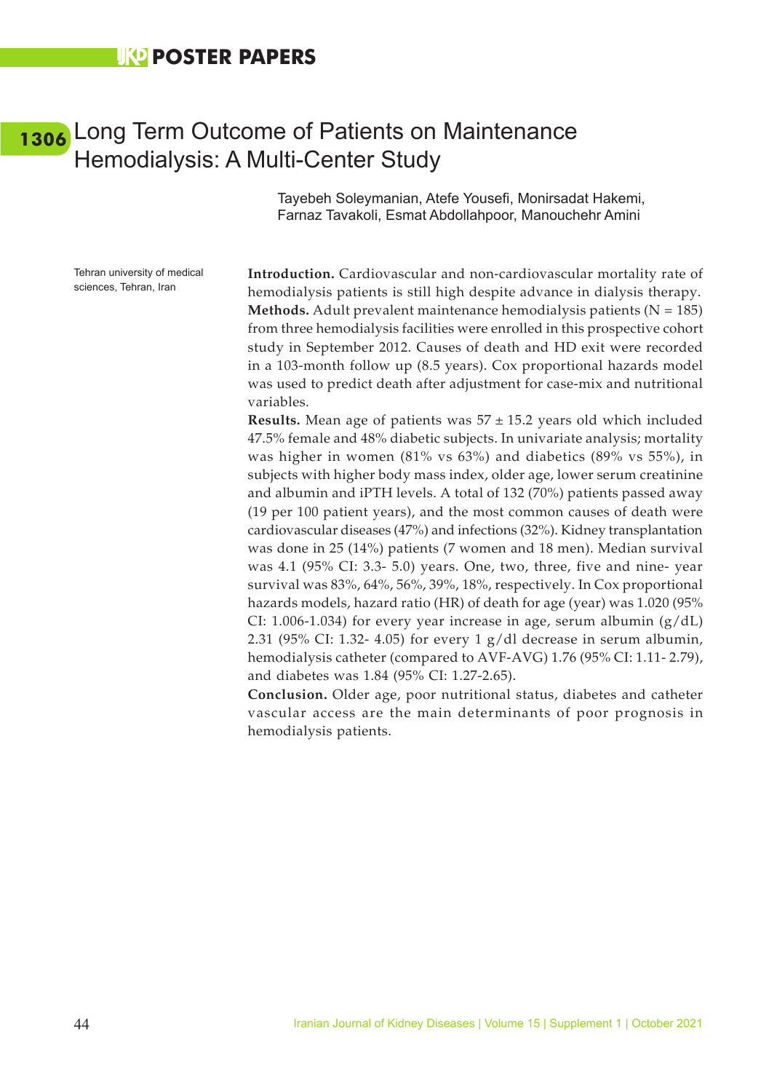### <span id="page-52-0"></span>[1306](#page-7-0) Long Term Outcome of Patients on Maintenance Hemodialysis: A Multi-Center Study

Tayebeh Soleymanian, Atefe Yousefi, Monirsadat Hakemi, Farnaz Tavakoli, Esmat Abdollahpoor, Manouchehr Amini

Tehran university of medical sciences, Tehran, Iran

**Introduction.** Cardiovascular and non-cardiovascular mortality rate of hemodialysis patients is still high despite advance in dialysis therapy. **Methods.** Adult prevalent maintenance hemodialysis patients  $(N = 185)$ from three hemodialysis facilities were enrolled in this prospective cohort study in September 2012. Causes of death and HD exit were recorded in a 103-month follow up (8.5 years). Cox proportional hazards model was used to predict death after adjustment for case-mix and nutritional variables.

**Results.** Mean age of patients was 57 ± 15.2 years old which included 47.5% female and 48% diabetic subjects. In univariate analysis; mortality was higher in women (81% vs 63%) and diabetics (89% vs 55%), in subjects with higher body mass index, older age, lower serum creatinine and albumin and iPTH levels. A total of 132 (70%) patients passed away (19 per 100 patient years), and the most common causes of death were cardiovascular diseases (47%) and infections (32%). Kidney transplantation was done in 25 (14%) patients (7 women and 18 men). Median survival was 4.1 (95% CI: 3.3- 5.0) years. One, two, three, five and nine- year survival was 83%, 64%, 56%, 39%, 18%, respectively. In Cox proportional hazards models, hazard ratio (HR) of death for age (year) was 1.020 (95% CI: 1.006-1.034) for every year increase in age, serum albumin  $(g/dL)$ 2.31 (95% CI: 1.32- 4.05) for every 1 g/dl decrease in serum albumin, hemodialysis catheter (compared to AVF-AVG) 1.76 (95% CI: 1.11- 2.79), and diabetes was 1.84 (95% CI: 1.27-2.65).

**Conclusion.** Older age, poor nutritional status, diabetes and catheter vascular access are the main determinants of poor prognosis in hemodialysis patients.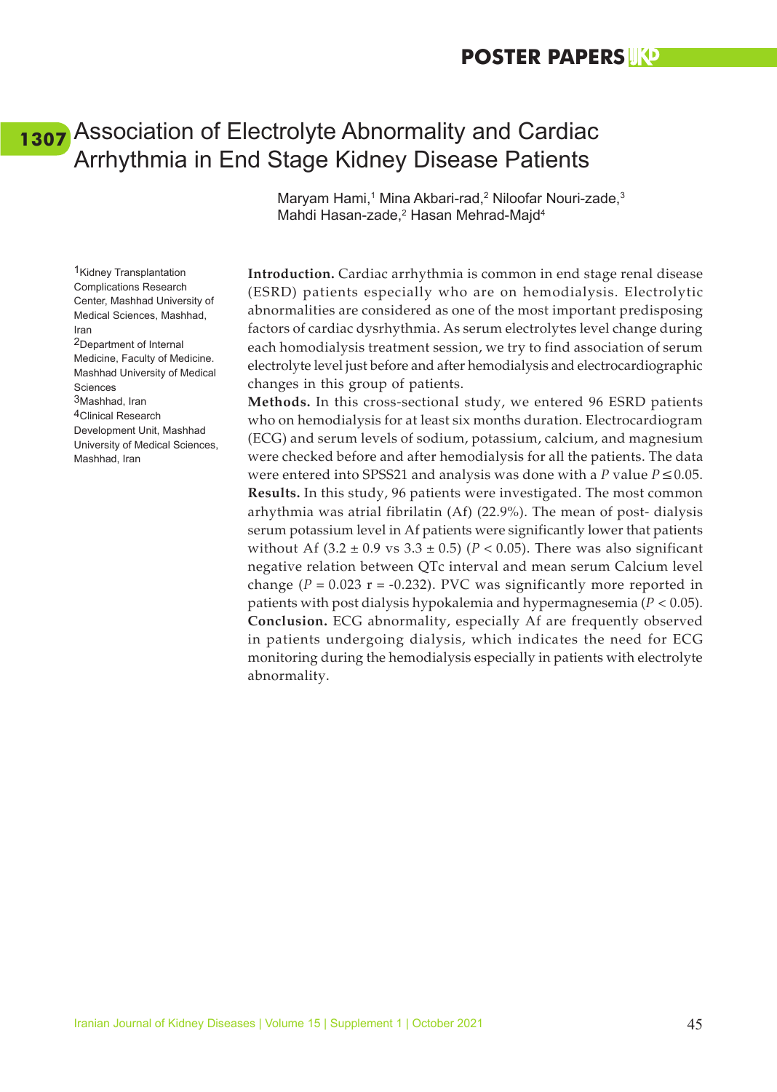### <span id="page-53-0"></span>Association of Electrolyte Abnormality and Cardiac **[1307](#page-7-0)**Arrhythmia in End Stage Kidney Disease Patients

Maryam Hami,<sup>1</sup> Mina Akbari-rad,<sup>2</sup> Niloofar Nouri-zade,<sup>3</sup> Mahdi Hasan-zade,<sup>2</sup> Hasan Mehrad-Majd<sup>4</sup>

**Introduction.** Cardiac arrhythmia is common in end stage renal disease (ESRD) patients especially who are on hemodialysis. Electrolytic abnormalities are considered as one of the most important predisposing factors of cardiac dysrhythmia. As serum electrolytes level change during each homodialysis treatment session, we try to find association of serum electrolyte level just before and after hemodialysis and electrocardiographic changes in this group of patients.

**Methods.** In this cross-sectional study, we entered 96 ESRD patients who on hemodialysis for at least six months duration. Electrocardiogram (ECG) and serum levels of sodium, potassium, calcium, and magnesium were checked before and after hemodialysis for all the patients. The data were entered into SPSS21 and analysis was done with a *P* value *P*≤0.05. **Results.** In this study, 96 patients were investigated. The most common arhythmia was atrial fibrilatin (Af) (22.9%). The mean of post- dialysis serum potassium level in Af patients were significantly lower that patients without Af  $(3.2 \pm 0.9 \text{ vs } 3.3 \pm 0.5)$  ( $P < 0.05$ ). There was also significant negative relation between QTc interval and mean serum Calcium level change  $(P = 0.023$  r = -0.232). PVC was significantly more reported in patients with post dialysis hypokalemia and hypermagnesemia (*P* < 0.05). **Conclusion.** ECG abnormality, especially Af are frequently observed in patients undergoing dialysis, which indicates the need for ECG monitoring during the hemodialysis especially in patients with electrolyte abnormality.

Complications Research Center, Mashhad University of Medical Sciences, Mashhad, Iran 2Department of Internal Medicine, Faculty of Medicine. Mashhad University of Medical Sciences 3Mashhad, Iran 4Clinical Research Development Unit, Mashhad University of Medical Sciences, Mashhad, Iran

1Kidney Transplantation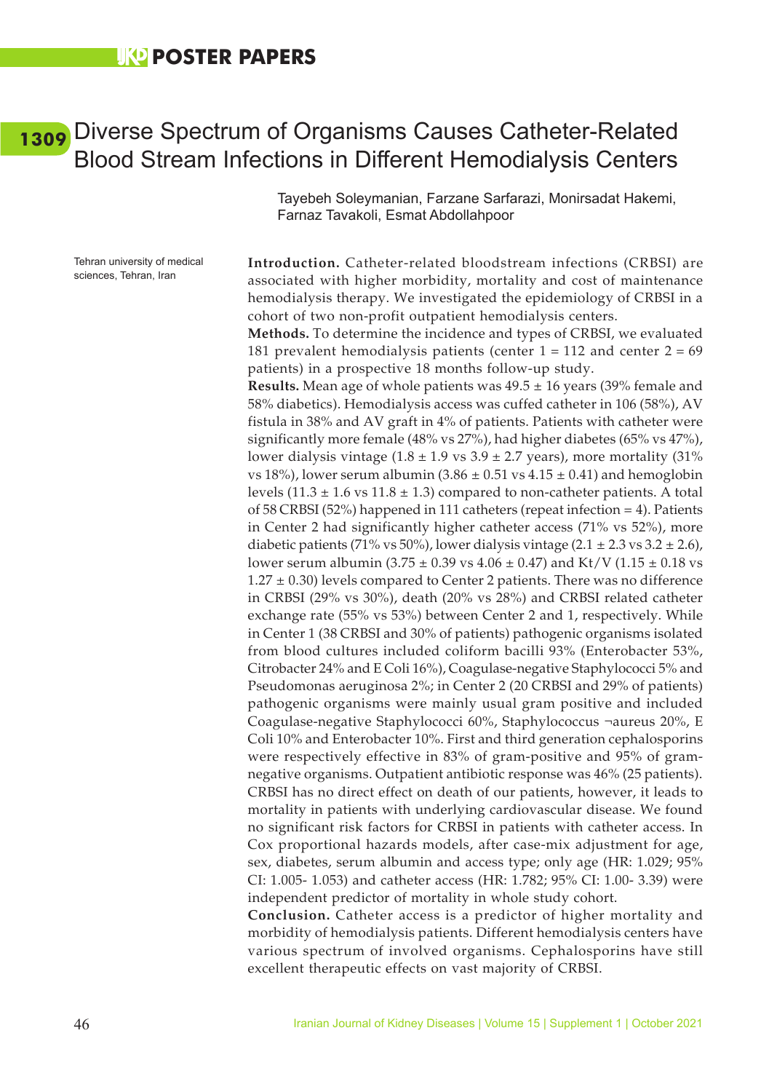### <span id="page-54-0"></span>Diverse Spectrum of Organisms Causes Catheter-Related **[1309](#page-7-0)**Blood Stream Infections in Different Hemodialysis Centers

Tayebeh Soleymanian, Farzane Sarfarazi, Monirsadat Hakemi, Farnaz Tavakoli, Esmat Abdollahpoor

Tehran university of medical sciences, Tehran, Iran

**Introduction.** Catheter-related bloodstream infections (CRBSI) are associated with higher morbidity, mortality and cost of maintenance hemodialysis therapy. We investigated the epidemiology of CRBSI in a cohort of two non-profit outpatient hemodialysis centers.

**Methods.** To determine the incidence and types of CRBSI, we evaluated 181 prevalent hemodialysis patients (center  $1 = 112$  and center  $2 = 69$ patients) in a prospective 18 months follow-up study.

**Results.** Mean age of whole patients was 49.5 ± 16 years (39% female and 58% diabetics). Hemodialysis access was cuffed catheter in 106 (58%), AV fistula in 38% and AV graft in 4% of patients. Patients with catheter were significantly more female (48% vs 27%), had higher diabetes (65% vs 47%), lower dialysis vintage  $(1.8 \pm 1.9 \text{ vs } 3.9 \pm 2.7 \text{ years})$ , more mortality  $(31\%$ vs 18%), lower serum albumin (3.86  $\pm$  0.51 vs 4.15  $\pm$  0.41) and hemoglobin levels  $(11.3 \pm 1.6 \text{ vs } 11.8 \pm 1.3)$  compared to non-catheter patients. A total of 58 CRBSI (52%) happened in 111 catheters (repeat infection = 4). Patients in Center 2 had significantly higher catheter access (71% vs 52%), more diabetic patients (71% vs 50%), lower dialysis vintage (2.1  $\pm$  2.3 vs 3.2  $\pm$  2.6), lower serum albumin (3.75  $\pm$  0.39 vs 4.06  $\pm$  0.47) and Kt/V (1.15  $\pm$  0.18 vs  $1.27 \pm 0.30$ ) levels compared to Center 2 patients. There was no difference in CRBSI (29% vs 30%), death (20% vs 28%) and CRBSI related catheter exchange rate (55% vs 53%) between Center 2 and 1, respectively. While in Center 1 (38 CRBSI and 30% of patients) pathogenic organisms isolated from blood cultures included coliform bacilli 93% (Enterobacter 53%, Citrobacter 24% and E Coli 16%), Coagulase-negative Staphylococci 5% and Pseudomonas aeruginosa 2%; in Center 2 (20 CRBSI and 29% of patients) pathogenic organisms were mainly usual gram positive and included Coagulase-negative Staphylococci 60%, Staphylococcus ¬aureus 20%, E Coli 10% and Enterobacter 10%. First and third generation cephalosporins were respectively effective in 83% of gram-positive and 95% of gramnegative organisms. Outpatient antibiotic response was 46% (25 patients). CRBSI has no direct effect on death of our patients, however, it leads to mortality in patients with underlying cardiovascular disease. We found no significant risk factors for CRBSI in patients with catheter access. In Cox proportional hazards models, after case-mix adjustment for age, sex, diabetes, serum albumin and access type; only age (HR: 1.029; 95% CI: 1.005- 1.053) and catheter access (HR: 1.782; 95% CI: 1.00- 3.39) were independent predictor of mortality in whole study cohort.

**Conclusion.** Catheter access is a predictor of higher mortality and morbidity of hemodialysis patients. Different hemodialysis centers have various spectrum of involved organisms. Cephalosporins have still excellent therapeutic effects on vast majority of CRBSI.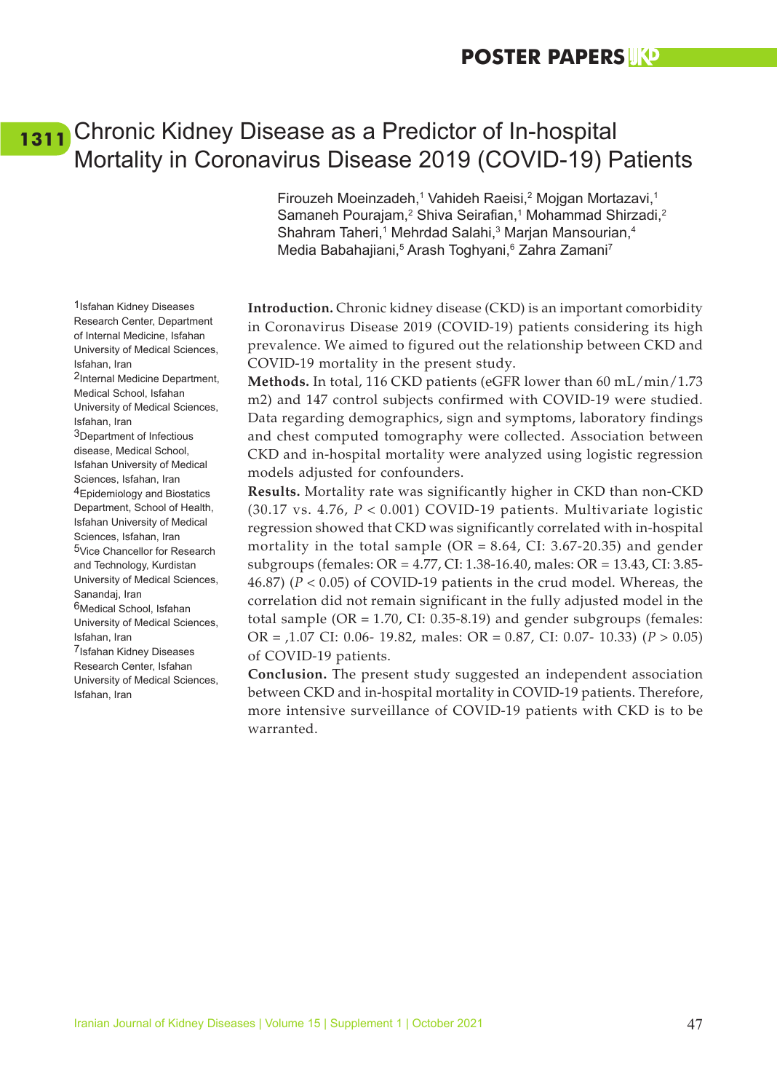### <span id="page-55-0"></span>Chronic Kidney Disease as a Predictor of In-hospital **[1311](#page-8-0)**Mortality in Coronavirus Disease 2019 (COVID-19) Patients

Firouzeh Moeinzadeh,<sup>1</sup> Vahideh Raeisi,<sup>2</sup> Mojgan Mortazavi,<sup>1</sup> Samaneh Pourajam,<sup>2</sup> Shiva Seirafian,<sup>1</sup> Mohammad Shirzadi,<sup>2</sup> Shahram Taheri,<sup>1</sup> Mehrdad Salahi,<sup>3</sup> Marjan Mansourian,<sup>4</sup> Media Babahajiani,<sup>5</sup> Arash Toghyani,<sup>6</sup> Zahra Zamani<sup>7</sup>

**Introduction.** Chronic kidney disease (CKD) is an important comorbidity in Coronavirus Disease 2019 (COVID-19) patients considering its high prevalence. We aimed to figured out the relationship between CKD and COVID-19 mortality in the present study.

**Methods.** In total, 116 CKD patients (eGFR lower than 60 mL/min/1.73 m2) and 147 control subjects confirmed with COVID-19 were studied. Data regarding demographics, sign and symptoms, laboratory findings and chest computed tomography were collected. Association between CKD and in-hospital mortality were analyzed using logistic regression models adjusted for confounders.

**Results.** Mortality rate was significantly higher in CKD than non-CKD (30.17 vs. 4.76, *P* < 0.001) COVID-19 patients. Multivariate logistic regression showed that CKD was significantly correlated with in-hospital mortality in the total sample  $(OR = 8.64, CI: 3.67-20.35)$  and gender subgroups (females: OR = 4.77, CI: 1.38-16.40, males: OR = 13.43, CI: 3.85- 46.87) (*P* < 0.05) of COVID-19 patients in the crud model. Whereas, the correlation did not remain significant in the fully adjusted model in the total sample (OR = 1.70, CI: 0.35-8.19) and gender subgroups (females: OR = ,1.07 CI: 0.06- 19.82, males: OR = 0.87, CI: 0.07- 10.33) (*P* > 0.05) of COVID-19 patients.

**Conclusion.** The present study suggested an independent association between CKD and in-hospital mortality in COVID-19 patients. Therefore, more intensive surveillance of COVID-19 patients with CKD is to be warranted.

1Isfahan Kidney Diseases Research Center, Department of Internal Medicine, Isfahan University of Medical Sciences, Isfahan, Iran 2Internal Medicine Department, Medical School, Isfahan University of Medical Sciences, Isfahan, Iran 3Department of Infectious disease, Medical School, Isfahan University of Medical Sciences, Isfahan, Iran 4Epidemiology and Biostatics Department, School of Health, Isfahan University of Medical Sciences, Isfahan, Iran 5Vice Chancellor for Research and Technology, Kurdistan University of Medical Sciences, Sanandaj, Iran 6Medical School, Isfahan University of Medical Sciences, Isfahan, Iran 7Isfahan Kidney Diseases Research Center, Isfahan University of Medical Sciences, Isfahan, Iran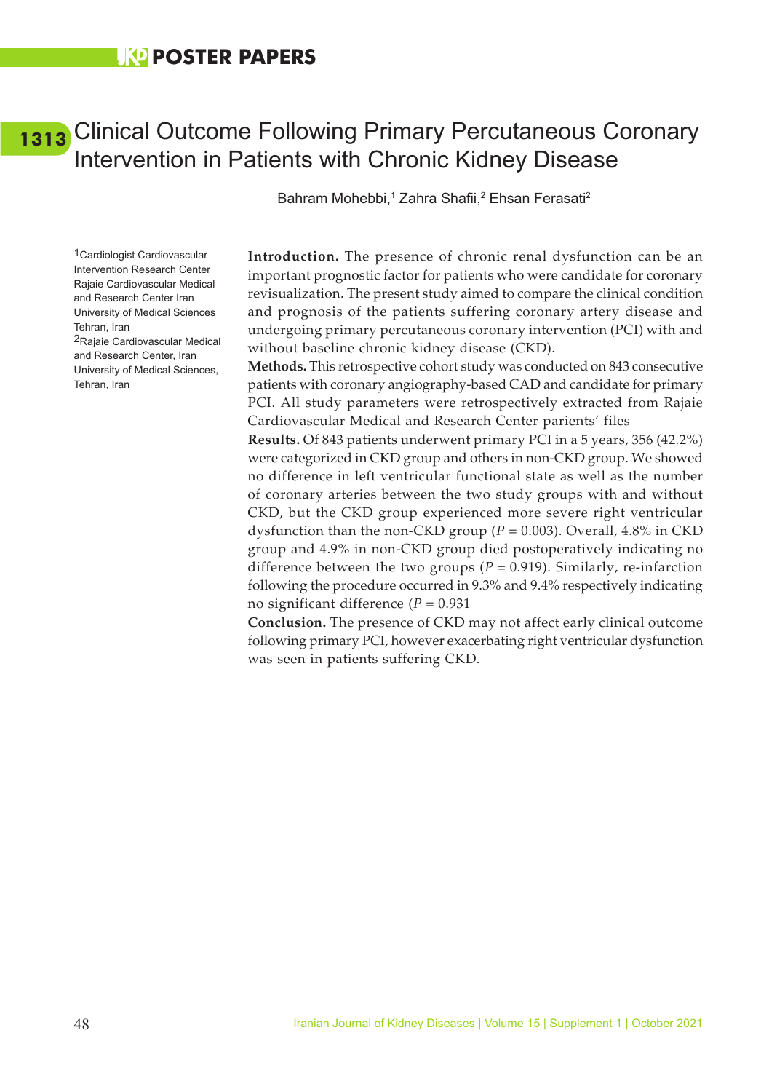### <span id="page-56-0"></span>Clinical Outcome Following Primary Percutaneous Coronary **[1313](#page-8-0)**Intervention in Patients with Chronic Kidney Disease

Bahram Mohebbi,<sup>1</sup> Zahra Shafii,<sup>2</sup> Ehsan Ferasati<sup>2</sup>

1Cardiologist Cardiovascular Intervention Research Center Rajaie Cardiovascular Medical and Research Center Iran University of Medical Sciences Tehran, Iran 2Rajaie Cardiovascular Medical and Research Center, Iran University of Medical Sciences, Tehran, Iran

**Introduction.** The presence of chronic renal dysfunction can be an important prognostic factor for patients who were candidate for coronary revisualization. The present study aimed to compare the clinical condition and prognosis of the patients suffering coronary artery disease and undergoing primary percutaneous coronary intervention (PCI) with and without baseline chronic kidney disease (CKD).

**Methods.** This retrospective cohort study was conducted on 843 consecutive patients with coronary angiography-based CAD and candidate for primary PCI. All study parameters were retrospectively extracted from Rajaie Cardiovascular Medical and Research Center parients' files

**Results.** Of 843 patients underwent primary PCI in a 5 years, 356 (42.2%) were categorized in CKD group and others in non-CKD group. We showed no difference in left ventricular functional state as well as the number of coronary arteries between the two study groups with and without CKD, but the CKD group experienced more severe right ventricular dysfunction than the non-CKD group ( $P = 0.003$ ). Overall, 4.8% in CKD group and 4.9% in non-CKD group died postoperatively indicating no difference between the two groups ( $P = 0.919$ ). Similarly, re-infarction following the procedure occurred in 9.3% and 9.4% respectively indicating no significant difference (*P* = 0.931

**Conclusion.** The presence of CKD may not affect early clinical outcome following primary PCI, however exacerbating right ventricular dysfunction was seen in patients suffering CKD.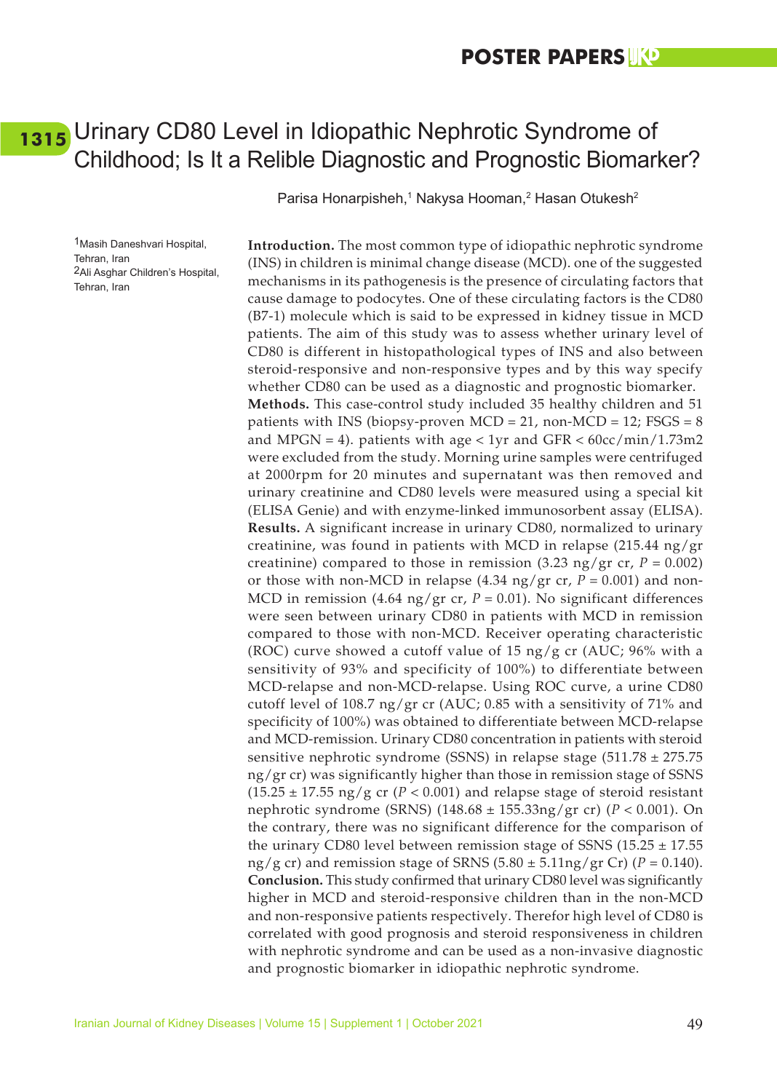### <span id="page-57-0"></span>[1315](#page-8-0) Urinary CD80 Level in Idiopathic Nephrotic Syndrome of Childhood; Is It a Relible Diagnostic and Prognostic Biomarker?

Parisa Honarpisheh,<sup>1</sup> Nakysa Hooman,<sup>2</sup> Hasan Otukesh<sup>2</sup>

1Masih Daneshvari Hospital, Tehran, Iran 2Ali Asghar Children's Hospital, Tehran, Iran

**Introduction.** The most common type of idiopathic nephrotic syndrome (INS) in children is minimal change disease (MCD). one of the suggested mechanisms in its pathogenesis is the presence of circulating factors that cause damage to podocytes. One of these circulating factors is the CD80 (B7-1) molecule which is said to be expressed in kidney tissue in MCD patients. The aim of this study was to assess whether urinary level of CD80 is different in histopathological types of INS and also between steroid-responsive and non-responsive types and by this way specify whether CD80 can be used as a diagnostic and prognostic biomarker. **Methods.** This case-control study included 35 healthy children and 51 patients with INS (biopsy-proven  $MCD = 21$ , non- $MCD = 12$ ; FSGS = 8 and MPGN = 4). patients with age  $< 1$ yr and GFR  $< 60$ cc/min/1.73m2 were excluded from the study. Morning urine samples were centrifuged at 2000rpm for 20 minutes and supernatant was then removed and urinary creatinine and CD80 levels were measured using a special kit (ELISA Genie) and with enzyme-linked immunosorbent assay (ELISA). **Results.** A significant increase in urinary CD80, normalized to urinary creatinine, was found in patients with MCD in relapse (215.44 ng/gr creatinine) compared to those in remission  $(3.23 \text{ ng/gr} \text{ cr}, P = 0.002)$ or those with non-MCD in relapse  $(4.34 \text{ ng}/\text{gr} \text{ cr}, P = 0.001)$  and non-MCD in remission (4.64 ng/gr cr, *P* = 0.01). No significant differences were seen between urinary CD80 in patients with MCD in remission compared to those with non-MCD. Receiver operating characteristic (ROC) curve showed a cutoff value of 15 ng/g cr (AUC; 96% with a sensitivity of 93% and specificity of 100%) to differentiate between MCD-relapse and non-MCD-relapse. Using ROC curve, a urine CD80 cutoff level of 108.7 ng/gr cr (AUC; 0.85 with a sensitivity of 71% and specificity of 100%) was obtained to differentiate between MCD-relapse and MCD-remission. Urinary CD80 concentration in patients with steroid sensitive nephrotic syndrome (SSNS) in relapse stage (511.78 ± 275.75 ng/gr cr) was significantly higher than those in remission stage of SSNS  $(15.25 \pm 17.55 \text{ ng/g} \text{ cr } (P < 0.001)$  and relapse stage of steroid resistant nephrotic syndrome (SRNS) (148.68 ± 155.33ng/gr cr) (*P* < 0.001). On the contrary, there was no significant difference for the comparison of the urinary CD80 level between remission stage of SSNS (15.25  $\pm$  17.55 ng/g cr) and remission stage of SRNS  $(5.80 \pm 5.11)$ ng/gr Cr)  $(P = 0.140)$ . **Conclusion.** This study confirmed that urinary CD80 level was significantly higher in MCD and steroid-responsive children than in the non-MCD and non-responsive patients respectively. Therefor high level of CD80 is correlated with good prognosis and steroid responsiveness in children with nephrotic syndrome and can be used as a non-invasive diagnostic and prognostic biomarker in idiopathic nephrotic syndrome.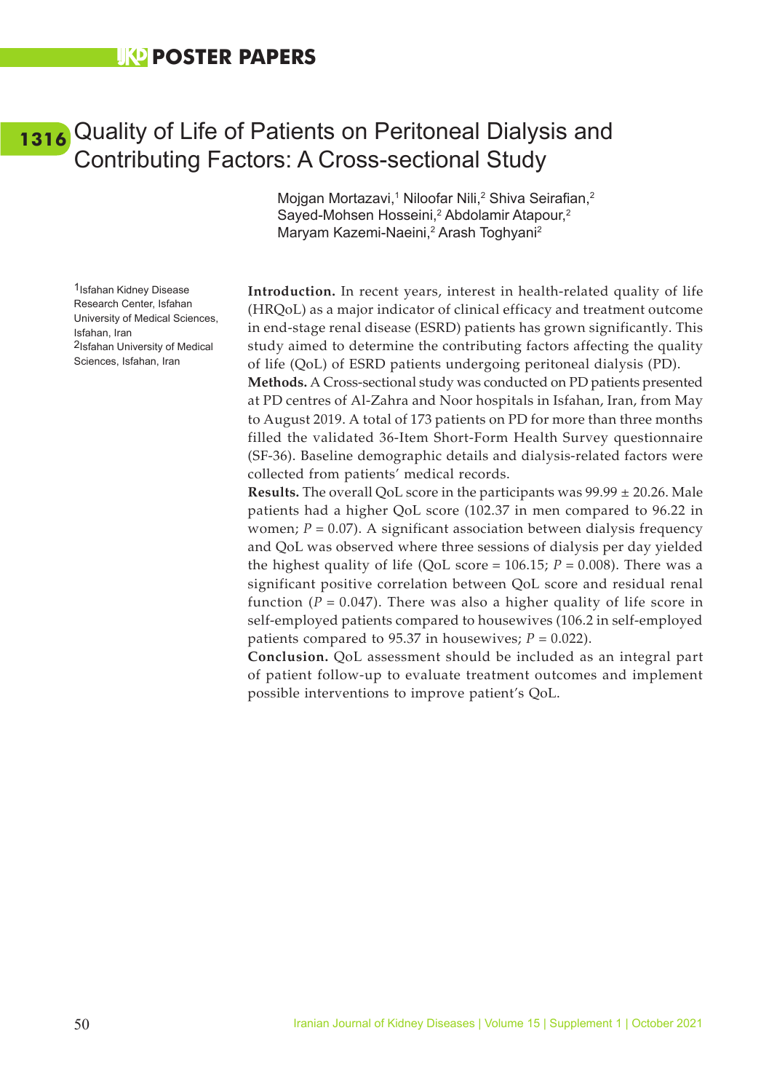### **UKO POSTER PAPERS**

1Isfahan Kidney Disease Research Center, Isfahan University of Medical Sciences,

2Isfahan University of Medical Sciences, Isfahan, Iran

Isfahan, Iran

### <span id="page-58-0"></span>Quality of Life of Patients on Peritoneal Dialysis and **[1316](#page-8-0)**Contributing Factors: A Cross-sectional Study

Mojgan Mortazavi,<sup>1</sup> Niloofar Nili,<sup>2</sup> Shiva Seirafian,<sup>2</sup> Sayed-Mohsen Hosseini,<sup>2</sup> Abdolamir Atapour,<sup>2</sup> Maryam Kazemi-Naeini,2 Arash Toghyani2

**Introduction.** In recent years, interest in health-related quality of life (HRQoL) as a major indicator of clinical efficacy and treatment outcome in end-stage renal disease (ESRD) patients has grown significantly. This study aimed to determine the contributing factors affecting the quality of life (QoL) of ESRD patients undergoing peritoneal dialysis (PD).

**Methods.** A Cross-sectional study was conducted on PD patients presented at PD centres of Al-Zahra and Noor hospitals in Isfahan, Iran, from May to August 2019. A total of 173 patients on PD for more than three months filled the validated 36-Item Short-Form Health Survey questionnaire (SF-36). Baseline demographic details and dialysis-related factors were collected from patients' medical records.

**Results.** The overall QoL score in the participants was 99.99 ± 20.26. Male patients had a higher QoL score (102.37 in men compared to 96.22 in women;  $P = 0.07$ ). A significant association between dialysis frequency and QoL was observed where three sessions of dialysis per day yielded the highest quality of life (QoL score =  $106.15$ ;  $P = 0.008$ ). There was a significant positive correlation between QoL score and residual renal function  $(P = 0.047)$ . There was also a higher quality of life score in self-employed patients compared to housewives (106.2 in self-employed patients compared to 95.37 in housewives;  $P = 0.022$ ).

**Conclusion.** QoL assessment should be included as an integral part of patient follow-up to evaluate treatment outcomes and implement possible interventions to improve patient's QoL.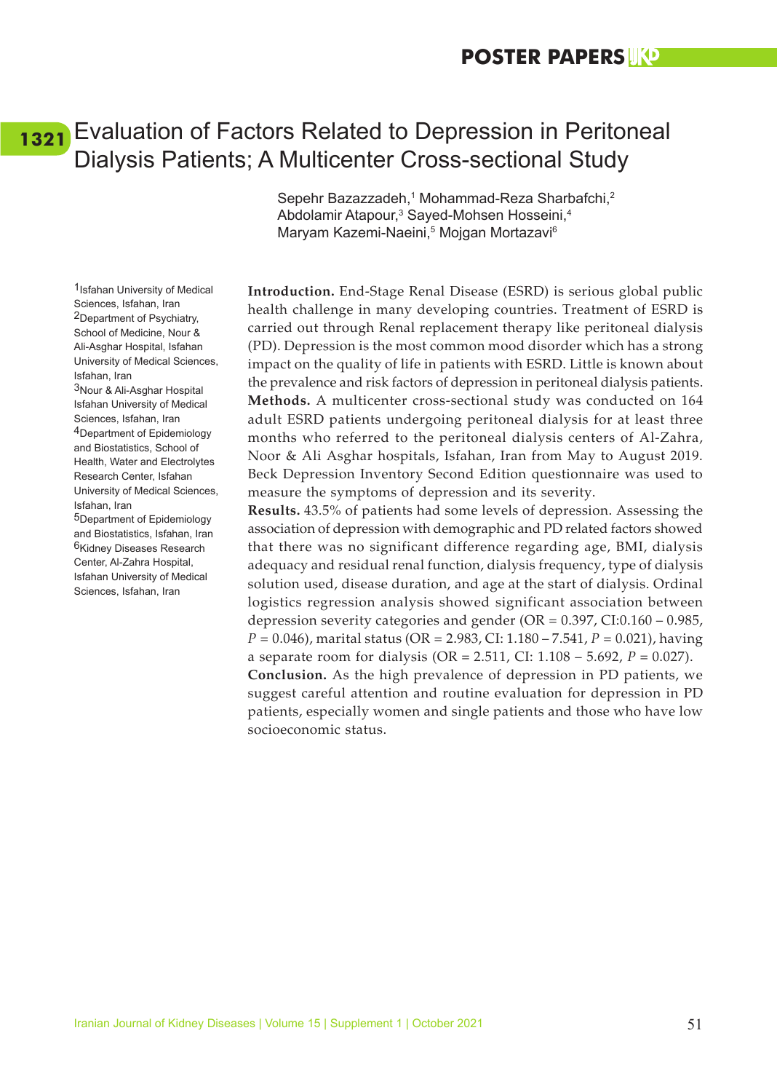### <span id="page-59-0"></span>Evaluation of Factors Related to Depression in Peritoneal **[1321](#page-8-0)**Dialysis Patients; A Multicenter Cross-sectional Study

Sepehr Bazazzadeh,<sup>1</sup> Mohammad-Reza Sharbafchi,<sup>2</sup> Abdolamir Atapour,<sup>3</sup> Sayed-Mohsen Hosseini,<sup>4</sup> Maryam Kazemi-Naeini,5 Mojgan Mortazavi6

**Introduction.** End-Stage Renal Disease (ESRD) is serious global public health challenge in many developing countries. Treatment of ESRD is carried out through Renal replacement therapy like peritoneal dialysis (PD). Depression is the most common mood disorder which has a strong impact on the quality of life in patients with ESRD. Little is known about the prevalence and risk factors of depression in peritoneal dialysis patients. **Methods.** A multicenter cross-sectional study was conducted on 164 adult ESRD patients undergoing peritoneal dialysis for at least three months who referred to the peritoneal dialysis centers of Al-Zahra, Noor & Ali Asghar hospitals, Isfahan, Iran from May to August 2019. Beck Depression Inventory Second Edition questionnaire was used to measure the symptoms of depression and its severity.

**Results.** 43.5% of patients had some levels of depression. Assessing the association of depression with demographic and PD related factors showed that there was no significant difference regarding age, BMI, dialysis adequacy and residual renal function, dialysis frequency, type of dialysis solution used, disease duration, and age at the start of dialysis. Ordinal logistics regression analysis showed significant association between depression severity categories and gender (OR = 0.397, CI:0.160 – 0.985, *P* = 0.046), marital status (OR = 2.983, CI: 1.180 – 7.541, *P* = 0.021), having a separate room for dialysis (OR = 2.511, CI: 1.108 – 5.692, *P* = 0.027). **Conclusion.** As the high prevalence of depression in PD patients, we suggest careful attention and routine evaluation for depression in PD patients, especially women and single patients and those who have low socioeconomic status.

1Isfahan University of Medical Sciences, Isfahan, Iran 2Department of Psychiatry, School of Medicine, Nour & Ali-Asghar Hospital, Isfahan University of Medical Sciences, Isfahan, Iran 3Nour & Ali-Asghar Hospital Isfahan University of Medical Sciences, Isfahan, Iran 4Department of Epidemiology and Biostatistics, School of Health, Water and Electrolytes Research Center, Isfahan University of Medical Sciences, Isfahan, Iran 5Department of Epidemiology and Biostatistics, Isfahan, Iran 6Kidney Diseases Research Center, Al-Zahra Hospital, Isfahan University of Medical Sciences, Isfahan, Iran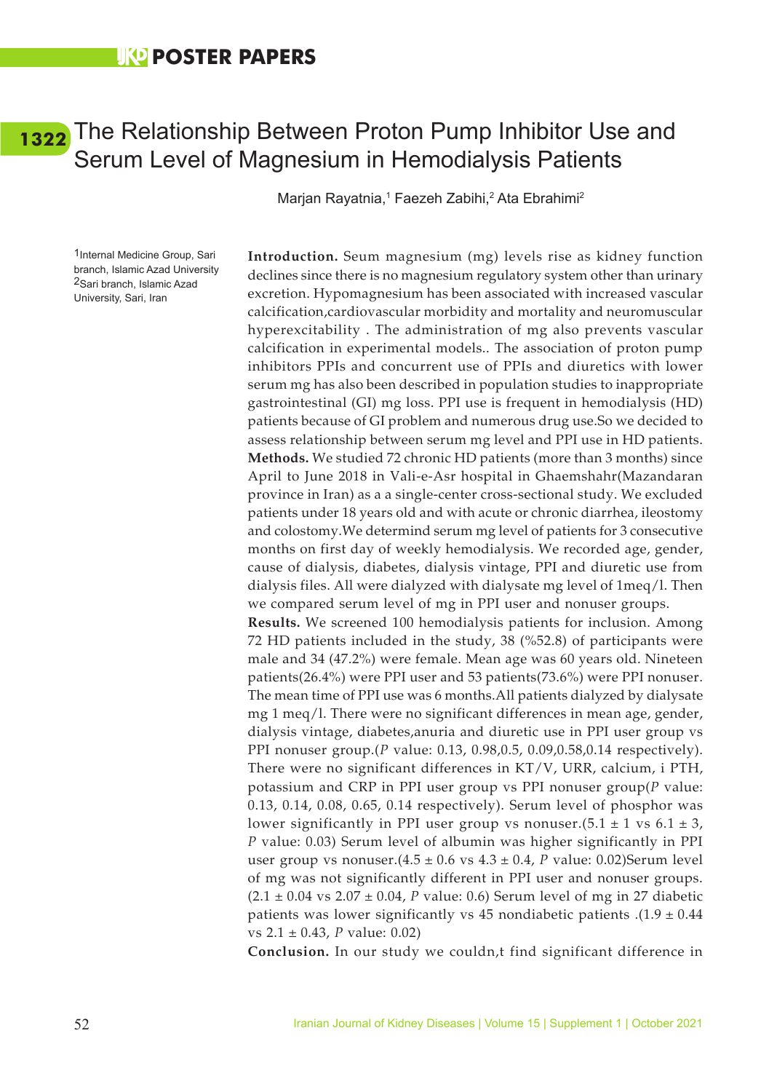### <span id="page-60-0"></span>[1322](#page-8-0) The Relationship Between Proton Pump Inhibitor Use and Serum Level of Magnesium in Hemodialysis Patients

Marjan Rayatnia,<sup>1</sup> Faezeh Zabihi,<sup>2</sup> Ata Ebrahimi<sup>2</sup>

1Internal Medicine Group, Sari branch, Islamic Azad University 2Sari branch, Islamic Azad University, Sari, Iran

**Introduction.** Seum magnesium (mg) levels rise as kidney function declines since there is no magnesium regulatory system other than urinary excretion. Hypomagnesium has been associated with increased vascular calcification,cardiovascular morbidity and mortality and neuromuscular hyperexcitability . The administration of mg also prevents vascular calcification in experimental models.. The association of proton pump inhibitors PPIs and concurrent use of PPIs and diuretics with lower serum mg has also been described in population studies to inappropriate gastrointestinal (GI) mg loss. PPI use is frequent in hemodialysis (HD) patients because of GI problem and numerous drug use.So we decided to assess relationship between serum mg level and PPI use in HD patients. **Methods.** We studied 72 chronic HD patients (more than 3 months) since April to June 2018 in Vali-e-Asr hospital in Ghaemshahr(Mazandaran province in Iran) as a a single-center cross-sectional study. We excluded patients under 18 years old and with acute or chronic diarrhea, ileostomy and colostomy.We determind serum mg level of patients for 3 consecutive months on first day of weekly hemodialysis. We recorded age, gender, cause of dialysis, diabetes, dialysis vintage, PPI and diuretic use from dialysis files. All were dialyzed with dialysate mg level of 1meq/l. Then we compared serum level of mg in PPI user and nonuser groups.

**Results.** We screened 100 hemodialysis patients for inclusion. Among 72 HD patients included in the study, 38 (%52.8) of participants were male and 34 (47.2%) were female. Mean age was 60 years old. Nineteen patients(26.4%) were PPI user and 53 patients(73.6%) were PPI nonuser. The mean time of PPI use was 6 months.All patients dialyzed by dialysate mg 1 meq/l. There were no significant differences in mean age, gender, dialysis vintage, diabetes,anuria and diuretic use in PPI user group vs PPI nonuser group.(*P* value: 0.13, 0.98,0.5, 0.09,0.58,0.14 respectively). There were no significant differences in KT/V, URR, calcium, i PTH, potassium and CRP in PPI user group vs PPI nonuser group(*P* value: 0.13, 0.14, 0.08, 0.65, 0.14 respectively). Serum level of phosphor was lower significantly in PPI user group vs nonuser. $(5.1 \pm 1 \text{ vs } 6.1 \pm 3,$ *P* value: 0.03) Serum level of albumin was higher significantly in PPI user group vs nonuser.(4.5 ± 0.6 vs 4.3 ± 0.4, *P* value: 0.02)Serum level of mg was not significantly different in PPI user and nonuser groups.  $(2.1 \pm 0.04 \text{ vs } 2.07 \pm 0.04, P \text{ value: } 0.6)$  Serum level of mg in 27 diabetic patients was lower significantly vs 45 nondiabetic patients .(1.9  $\pm$  0.44 vs 2.1 ± 0.43, *P* value: 0.02)

**Conclusion.** In our study we couldn,t find significant difference in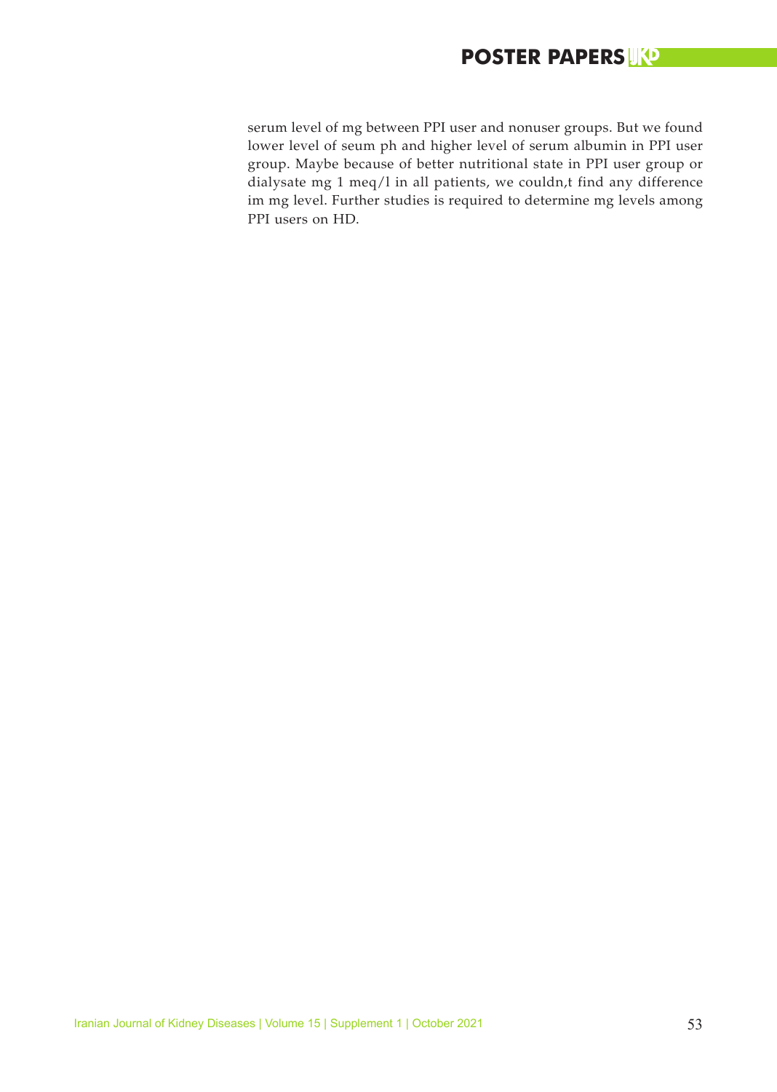### **POSTER PAPERS**

serum level of mg between PPI user and nonuser groups. But we found lower level of seum ph and higher level of serum albumin in PPI user group. Maybe because of better nutritional state in PPI user group or dialysate mg 1 meq/l in all patients, we couldn,t find any difference im mg level. Further studies is required to determine mg levels among PPI users on HD.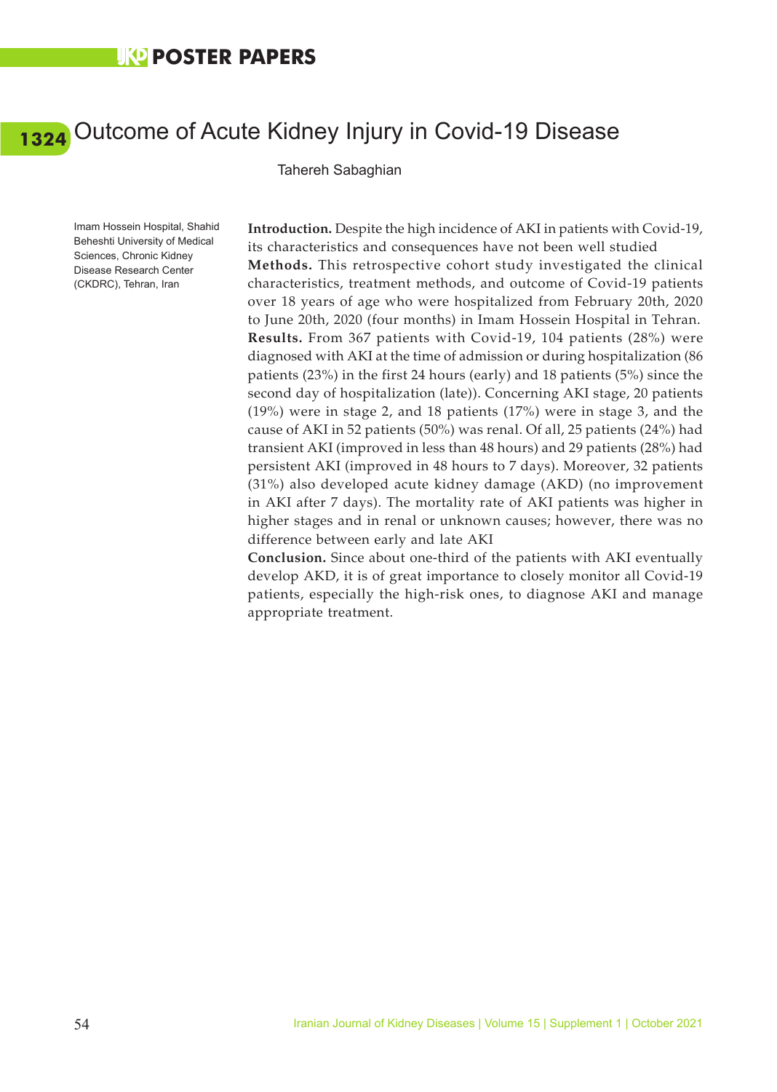# <span id="page-62-0"></span>Outcome of Acute Kidney Injury in Covid-19 Disease **[1324](#page-8-0)**

Tahereh Sabaghian

Imam Hossein Hospital, Shahid Beheshti University of Medical Sciences, Chronic Kidney Disease Research Center (CKDRC), Tehran, Iran

**Introduction.** Despite the high incidence of AKI in patients with Covid-19, its characteristics and consequences have not been well studied **Methods.** This retrospective cohort study investigated the clinical characteristics, treatment methods, and outcome of Covid-19 patients over 18 years of age who were hospitalized from February 20th, 2020 to June 20th, 2020 (four months) in Imam Hossein Hospital in Tehran. **Results.** From 367 patients with Covid-19, 104 patients (28%) were diagnosed with AKI at the time of admission or during hospitalization (86 patients (23%) in the first 24 hours (early) and 18 patients (5%) since the second day of hospitalization (late)). Concerning AKI stage, 20 patients (19%) were in stage 2, and 18 patients (17%) were in stage 3, and the cause of AKI in 52 patients (50%) was renal. Of all, 25 patients (24%) had transient AKI (improved in less than 48 hours) and 29 patients (28%) had persistent AKI (improved in 48 hours to 7 days). Moreover, 32 patients (31%) also developed acute kidney damage (AKD) (no improvement in AKI after 7 days). The mortality rate of AKI patients was higher in higher stages and in renal or unknown causes; however, there was no difference between early and late AKI

**Conclusion.** Since about one-third of the patients with AKI eventually develop AKD, it is of great importance to closely monitor all Covid-19 patients, especially the high-risk ones, to diagnose AKI and manage appropriate treatment.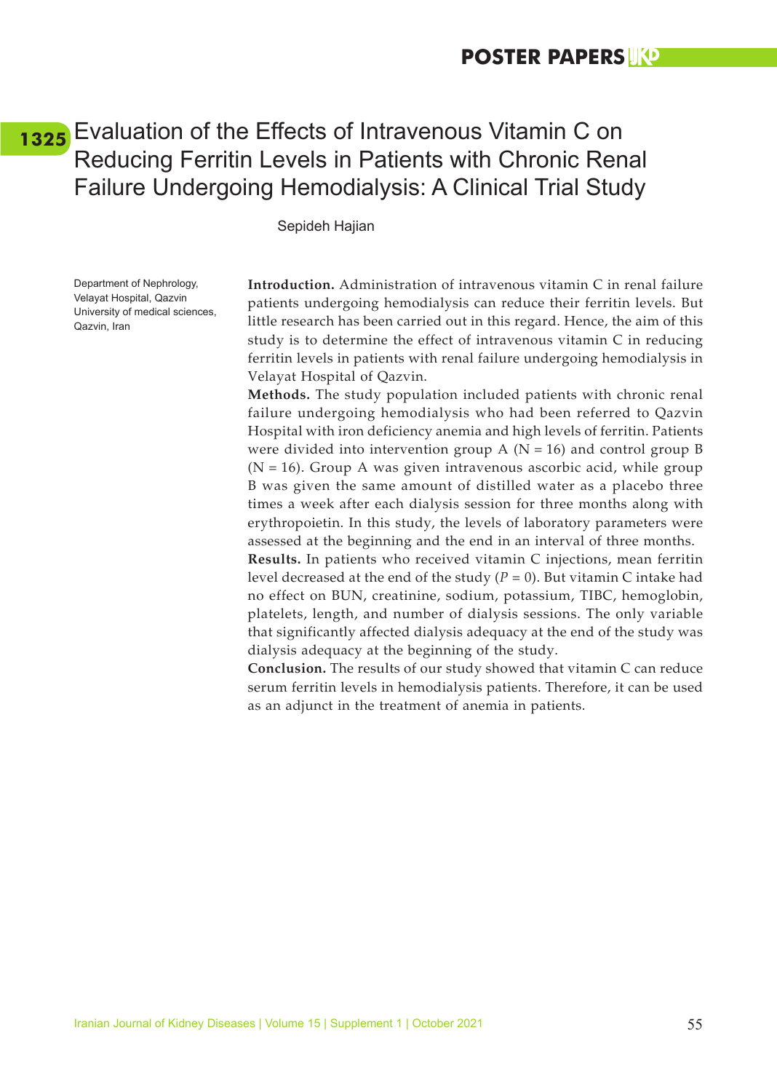### <span id="page-63-0"></span>Evaluation of the Effects of Intravenous Vitamin C on **[1325](#page-8-0)**Reducing Ferritin Levels in Patients with Chronic Renal Failure Undergoing Hemodialysis: A Clinical Trial Study

Sepideh Hajian

Department of Nephrology, Velayat Hospital, Qazvin University of medical sciences, Qazvin, Iran

**Introduction.** Administration of intravenous vitamin C in renal failure patients undergoing hemodialysis can reduce their ferritin levels. But little research has been carried out in this regard. Hence, the aim of this study is to determine the effect of intravenous vitamin C in reducing ferritin levels in patients with renal failure undergoing hemodialysis in Velayat Hospital of Qazvin.

**Methods.** The study population included patients with chronic renal failure undergoing hemodialysis who had been referred to Qazvin Hospital with iron deficiency anemia and high levels of ferritin. Patients were divided into intervention group A ( $N = 16$ ) and control group B  $(N = 16)$ . Group A was given intravenous ascorbic acid, while group B was given the same amount of distilled water as a placebo three times a week after each dialysis session for three months along with erythropoietin. In this study, the levels of laboratory parameters were assessed at the beginning and the end in an interval of three months.

**Results.** In patients who received vitamin C injections, mean ferritin level decreased at the end of the study  $(P = 0)$ . But vitamin C intake had no effect on BUN, creatinine, sodium, potassium, TIBC, hemoglobin, platelets, length, and number of dialysis sessions. The only variable that significantly affected dialysis adequacy at the end of the study was dialysis adequacy at the beginning of the study.

**Conclusion.** The results of our study showed that vitamin C can reduce serum ferritin levels in hemodialysis patients. Therefore, it can be used as an adjunct in the treatment of anemia in patients.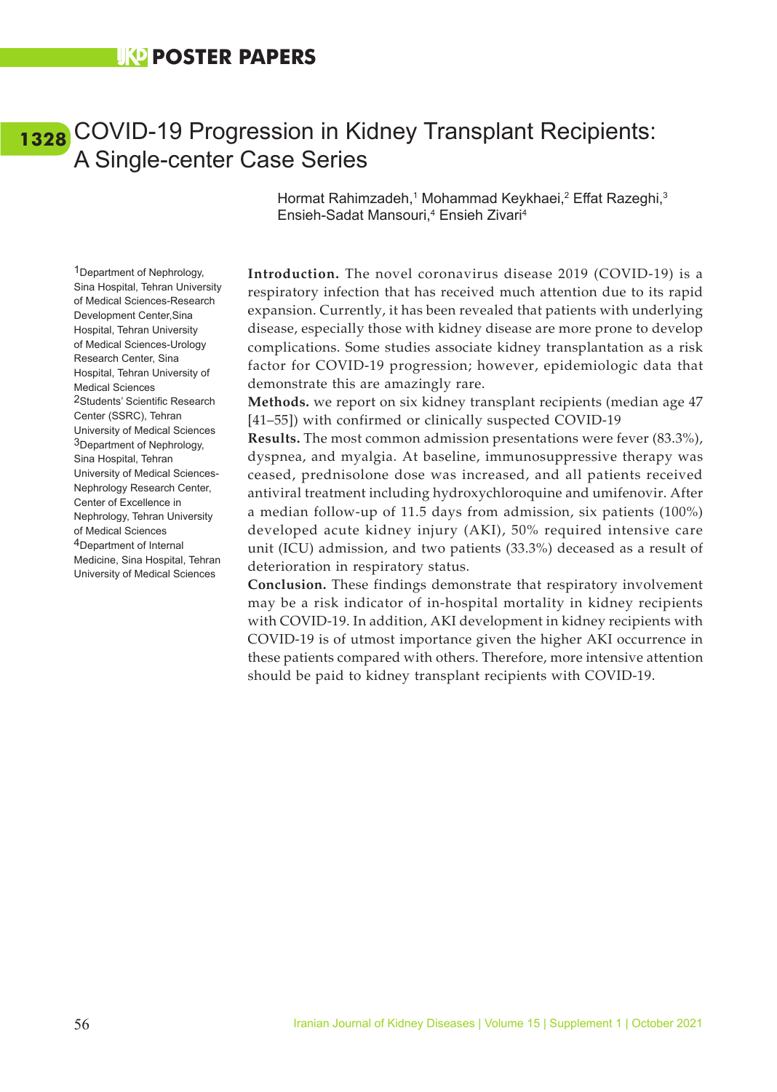### <span id="page-64-0"></span>COVID-19 Progression in Kidney Transplant Recipients: **[1328](#page-8-0)**A Single-center Case Series

Hormat Rahimzadeh,<sup>1</sup> Mohammad Keykhaei,<sup>2</sup> Effat Razeghi,<sup>3</sup> Ensieh-Sadat Mansouri,<sup>4</sup> Ensieh Zivari<sup>4</sup>

1Department of Nephrology, Sina Hospital, Tehran University of Medical Sciences-Research Development Center,Sina Hospital, Tehran University of Medical Sciences-Urology Research Center, Sina Hospital, Tehran University of Medical Sciences 2Students' Scientific Research Center (SSRC), Tehran University of Medical Sciences 3Department of Nephrology, Sina Hospital, Tehran University of Medical Sciences-Nephrology Research Center, Center of Excellence in Nephrology, Tehran University of Medical Sciences 4Department of Internal Medicine, Sina Hospital, Tehran University of Medical Sciences

**Introduction.** The novel coronavirus disease 2019 (COVID-19) is a respiratory infection that has received much attention due to its rapid expansion. Currently, it has been revealed that patients with underlying disease, especially those with kidney disease are more prone to develop complications. Some studies associate kidney transplantation as a risk factor for COVID-19 progression; however, epidemiologic data that demonstrate this are amazingly rare.

**Methods.** we report on six kidney transplant recipients (median age 47 [41–55]) with confirmed or clinically suspected COVID-19

**Results.** The most common admission presentations were fever (83.3%), dyspnea, and myalgia. At baseline, immunosuppressive therapy was ceased, prednisolone dose was increased, and all patients received antiviral treatment including hydroxychloroquine and umifenovir. After a median follow-up of 11.5 days from admission, six patients (100%) developed acute kidney injury (AKI), 50% required intensive care unit (ICU) admission, and two patients (33.3%) deceased as a result of deterioration in respiratory status.

**Conclusion.** These findings demonstrate that respiratory involvement may be a risk indicator of in-hospital mortality in kidney recipients with COVID-19. In addition, AKI development in kidney recipients with COVID-19 is of utmost importance given the higher AKI occurrence in these patients compared with others. Therefore, more intensive attention should be paid to kidney transplant recipients with COVID-19.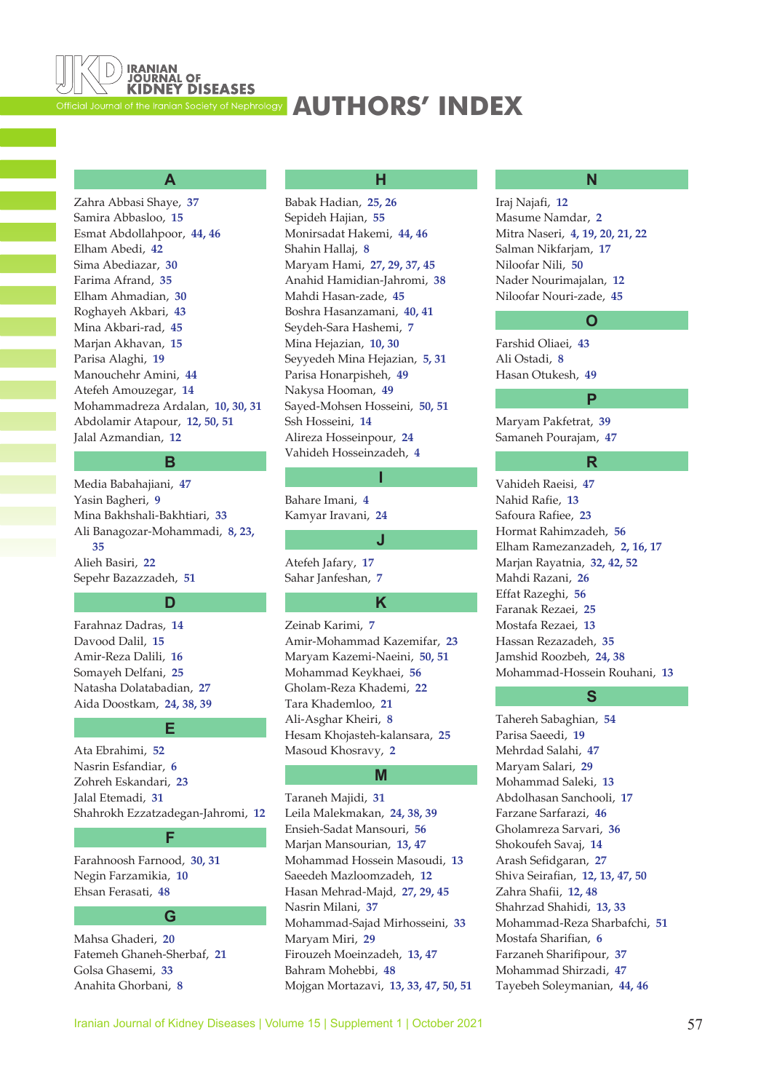<span id="page-65-0"></span>

### **[AUTHORS' INDEX](#page-4-0)**

### **A**

Zahra Abbasi Shaye, **37** Samira Abbasloo, **[15](#page-23-0)** Esmat Abdollahpoor, **[44,](#page-52-0) [46](#page-54-0)** Elham Abedi, **[42](#page-50-0)** Sima Abediazar, **[30](#page-38-0)** Farima Afrand, **[35](#page-43-0)** Elham Ahmadian, **[30](#page-38-0)** Roghayeh Akbari, **[43](#page-51-0)** Mina Akbari-rad, **[45](#page-53-0)** Marjan Akhavan, **[15](#page-23-0)** Parisa Alaghi, **[19](#page-27-0)** Manouchehr Amini, **[44](#page-52-0)** Atefeh Amouzegar, **[14](#page-22-0)** Mohammadreza Ardalan, **[10,](#page-18-0) [30](#page-38-0), [31](#page-39-0)** Abdolamir Atapour, **[12](#page-20-0), [50,](#page-58-0) [51](#page-59-0)** Jalal Azmandian, **[12](#page-20-0)**

### **B**

Media Babahajiani, **[47](#page-55-0)** Yasin Bagheri, **[9](#page-17-0)** Mina Bakhshali-Bakhtiari, **[33](#page-41-0)** Ali Banagozar-Mohammadi, **[8](#page-16-0), [23,](#page-31-0) [35](#page-43-0)** Alieh Basiri, **[22](#page-30-0)** Sepehr Bazazzadeh, **[51](#page-59-0)**

#### **D**

Farahnaz Dadras, **[14](#page-22-0)** Davood Dalil, **[15](#page-23-0)** Amir-Reza Dalili, **[16](#page-24-0)** Somayeh Delfani, **[25](#page-33-0)** Natasha Dolatabadian, **[27](#page-35-0)** Aida Doostkam, **[24](#page-32-0), [38,](#page-46-0) [39](#page-47-0)**

#### **E**

Ata Ebrahimi, **[52](#page-60-0)** Nasrin Esfandiar, **[6](#page-14-0)** Zohreh Eskandari, **[23](#page-31-0)** Jalal Etemadi, **[31](#page-39-0)** Shahrokh Ezzatzadegan-Jahromi, **[12](#page-20-0)**

**F**

Farahnoosh Farnood, **[30](#page-38-0), [31](#page-39-0)** Negin Farzamikia, **[10](#page-18-0)** Ehsan Ferasati, **[48](#page-56-0)**

#### **G**

Mahsa Ghaderi, **[20](#page-28-0)** Fatemeh Ghaneh-Sherbaf, **[21](#page-29-0)** Golsa Ghasemi, **[33](#page-41-0)** Anahita Ghorbani, **[8](#page-16-0)**

#### **H**

Babak Hadian, **[25,](#page-33-0) [26](#page-34-0)** Sepideh Hajian, **[55](#page-63-0)** Monirsadat Hakemi, **[44](#page-52-0), [46](#page-54-0)** Shahin Hallaj, **[8](#page-16-0)** Maryam Hami, **[27,](#page-35-0) [29](#page-37-0), [37,](#page-45-0) [45](#page-53-0)** Anahid Hamidian-Jahromi, **[38](#page-46-0)** Mahdi Hasan-zade, **[45](#page-53-0)** Boshra Hasanzamani, **[40,](#page-48-0) [41](#page-49-0)** Seydeh-Sara Hashemi, **[7](#page-15-0)** Mina Hejazian, **[10](#page-18-0), [30](#page-38-0)** Seyyedeh Mina Hejazian, **[5,](#page-13-0) [31](#page-39-0)** Parisa Honarpisheh, **[49](#page-57-0)** Nakysa Hooman, **[49](#page-57-0)** Sayed-Mohsen Hosseini, **[50](#page-58-0), [51](#page-59-0)** Ssh Hosseini, **[14](#page-22-0)** Alireza Hosseinpour, **[24](#page-32-0)** Vahideh Hosseinzadeh, **[4](#page-12-0)**

Bahare Imani, **[4](#page-12-0)** Kamyar Iravani, **[24](#page-32-0)**

### Atefeh Jafary, **[17](#page-25-0)**

Sahar Janfeshan, **[7](#page-15-0)**

#### **K**

**I**

**J**

Zeinab Karimi, **[7](#page-15-0)** Amir-Mohammad Kazemifar, **[23](#page-31-0)** Maryam Kazemi-Naeini, **[50](#page-58-0), [51](#page-59-0)** Mohammad Keykhaei, **[56](#page-64-0)** Gholam-Reza Khademi, **[22](#page-30-0)** Tara Khademloo, **[21](#page-29-0)** Ali-Asghar Kheiri, **[8](#page-16-0)** Hesam Khojasteh-kalansara, **[25](#page-33-0)** Masoud Khosravy, **[2](#page-10-0)**

### **M**

Taraneh Majidi, **[31](#page-39-0)** Leila Malekmakan, **[24,](#page-32-0) [38](#page-46-0), [39](#page-47-0)** Ensieh-Sadat Mansouri, **[56](#page-64-0)** Marjan Mansourian, **[13,](#page-21-0) [47](#page-55-0)** Mohammad Hossein Masoudi, **[13](#page-21-0)** Saeedeh Mazloomzadeh, **[12](#page-20-0)** Hasan Mehrad-Majd, **[27](#page-35-0), [29,](#page-37-0) [45](#page-53-0)** Nasrin Milani, **[37](#page-45-0)** Mohammad-Sajad Mirhosseini, **[33](#page-41-0)** Maryam Miri, **[29](#page-37-0)** Firouzeh Moeinzadeh, **[13](#page-21-0), [47](#page-55-0)** Bahram Mohebbi, **[48](#page-56-0)** Mojgan Mortazavi, **[13,](#page-21-0) [33](#page-41-0), [47,](#page-55-0) [50](#page-58-0), [51](#page-59-0)**

#### **N**

Iraj Najafi, **[12](#page-20-0)** Masume Namdar, **[2](#page-10-0)** Mitra Naseri, **[4,](#page-12-0) [19](#page-27-0), [20,](#page-28-0) [21](#page-29-0), [22](#page-30-0)** Salman Nikfarjam, **[17](#page-25-0)** Niloofar Nili, **[50](#page-58-0)** Nader Nourimajalan, **[12](#page-20-0)** Niloofar Nouri-zade, **[45](#page-53-0)**

#### **O**

**P**

**R**

Farshid Oliaei, **[43](#page-51-0)** Ali Ostadi, **[8](#page-16-0)** Hasan Otukesh, **[49](#page-57-0)**

Maryam Pakfetrat, **[39](#page-47-0)** Samaneh Pourajam, **[47](#page-55-0)**

Vahideh Raeisi, **[47](#page-55-0)** Nahid Rafie, **[13](#page-21-0)** Safoura Rafiee, **[23](#page-31-0)** Hormat Rahimzadeh, **[56](#page-64-0)** Elham Ramezanzadeh, **[2](#page-10-0), [16,](#page-24-0) [17](#page-25-0)** Marjan Rayatnia, **[32,](#page-40-0) [42](#page-50-0), [52](#page-60-0)** Mahdi Razani, **[26](#page-34-0)** Effat Razeghi, **[56](#page-64-0)** Faranak Rezaei, **[25](#page-33-0)** Mostafa Rezaei, **[13](#page-21-0)** Hassan Rezazadeh, **[35](#page-43-0)** Jamshid Roozbeh, **[24](#page-32-0), [38](#page-46-0)** Mohammad-Hossein Rouhani, **[13](#page-21-0)**

**S**

Tahereh Sabaghian, **[54](#page-62-0)** Parisa Saeedi, **[19](#page-27-0)** Mehrdad Salahi, **[47](#page-55-0)** Maryam Salari, **[29](#page-37-0)** Mohammad Saleki, **[13](#page-21-0)** Abdolhasan Sanchooli, **[17](#page-25-0)** Farzane Sarfarazi, **[46](#page-54-0)** Gholamreza Sarvari, **[36](#page-44-0)** Shokoufeh Savaj, **[14](#page-22-0)** Arash Sefidgaran, **[27](#page-35-0)** Shiva Seirafian, **[12](#page-20-0), [13,](#page-21-0) [47](#page-55-0), [50](#page-58-0)** Zahra Shafii, **[12](#page-20-0), [48](#page-56-0)** Shahrzad Shahidi, **[13](#page-21-0), [33](#page-41-0)** Mohammad-Reza Sharbafchi, **[51](#page-59-0)** Mostafa Sharifian, **[6](#page-14-0)** Farzaneh Sharifipour, **[37](#page-45-0)** Mohammad Shirzadi, **[47](#page-55-0)** Tayebeh Soleymanian, **[44](#page-52-0), [46](#page-54-0)**